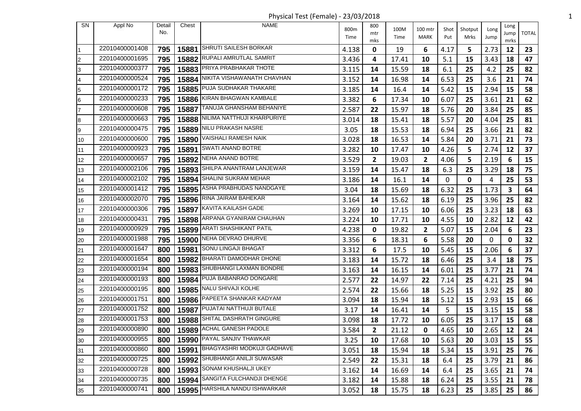Physical Test (Female) - 23/03/2018 1

| SN              | Appl No        | Detail | Chest | <b>NAME</b>                      |       | 800          |       |                |      |         |      | Long |              |
|-----------------|----------------|--------|-------|----------------------------------|-------|--------------|-------|----------------|------|---------|------|------|--------------|
|                 |                | No.    |       |                                  | 800m  | mtr          | 100M  | 100 mtr        | Shot | Shotput | Long | Jump | <b>TOTAL</b> |
|                 |                |        |       |                                  | Time  | mks          | Time  | MARK           | Put  | Mrks    | Jump | mrks |              |
| I1              | 22010400001408 | 795    |       | 15881 SHRUTI SAILESH BORKAR      | 4.138 | 0            | 19    | 6              | 4.17 | 5       | 2.73 | 12   | 23           |
| I2              | 22010400001695 | 795    |       | 15882 RUPALI AMRUTLAL SAMRIT     | 3.436 | 4            | 17.41 | 10             | 5.1  | 15      | 3.43 | 18   | 47           |
| l3              | 22010400000377 | 795    |       | 15883 PRIYA PRABHAKAR THOTE      | 3.115 | 14           | 15.59 | 18             | 6.1  | 25      | 4.2  | 25   | 82           |
| l4              | 22010400000524 | 795    | 15884 | NIKITA VISHAWANATH CHAVHAN       | 3.152 | 14           | 16.98 | 14             | 6.53 | 25      | 3.6  | 21   | 74           |
| 5               | 22010400000172 | 795    |       | 15885 PUJA SUDHAKAR THAKARE      | 3.185 | 14           | 16.4  | 14             | 5.42 | 15      | 2.94 | 15   | 58           |
| 6               | 22010400000233 | 795    |       | 15886 KIRAN BHAGWAN KAMBALE      | 3.382 | 6            | 17.34 | 10             | 6.07 | 25      | 3.61 | 21   | 62           |
| 17              | 22010400000608 | 795    | 15887 | TANUJA GHANSHAM BEHANIYE         | 2.587 | 22           | 15.97 | 18             | 5.76 | 20      | 3.84 | 25   | 85           |
| 8               | 22010400000663 | 795    |       | 15888 NILIMA NATTHUJI KHARPURIYE | 3.014 | 18           | 15.41 | 18             | 5.57 | 20      | 4.04 | 25   | 81           |
| l9              | 22010400000475 | 795    | 15889 | NILU PRAKASH NASRE               | 3.05  | 18           | 15.53 | 18             | 6.94 | 25      | 3.66 | 21   | 82           |
| 10              | 22010400000600 | 795    |       | 15890 VAISHALI RAMESH NAIK       | 3.028 | 18           | 16.53 | 14             | 5.84 | 20      | 3.71 | 21   | 73           |
| 11              | 22010400000923 | 795    | 15891 | <b>SWATI ANAND BOTRE</b>         | 3.282 | 10           | 17.47 | 10             | 4.26 | 5       | 2.74 | 12   | 37           |
| 12              | 22010400000657 | 795    |       | 15892 NEHA ANAND BOTRE           | 3.529 | $\mathbf{2}$ | 19.03 | $\overline{2}$ | 4.06 | 5       | 2.19 | 6    | 15           |
| 13              | 22010400002106 | 795    |       | 15893 SHILPA ANANTRAM LANJEWAR   | 3.159 | 14           | 15.47 | 18             | 6.3  | 25      | 3.29 | 18   | 75           |
| 14              | 22010400002102 | 795    | 15894 | SHALINI SUKRAM MEHAR             | 3.186 | 14           | 16.1  | 14             | 0    | 0       | 4    | 25   | 53           |
| 15              | 22010400001412 | 795    |       | 15895 ASHA PRABHUDAS NANDGAYE    | 3.04  | 18           | 15.69 | 18             | 6.32 | 25      | 1.73 | 3    | 64           |
| 16              | 22010400002070 | 795    |       | 15896 RINA JAIRAM BAHEKAR        | 3.164 | 14           | 15.62 | 18             | 6.19 | 25      | 3.96 | 25   | 82           |
| 17              | 22010400000306 | 795    |       | 15897 KAVITA KAILASH GADE        | 3.269 | 10           | 17.15 | 10             | 6.06 | 25      | 3.23 | 18   | 63           |
| 18              | 22010400000431 | 795    |       | 15898 ARPANA GYANIRAM CHAUHAN    | 3.224 | 10           | 17.71 | 10             | 4.55 | 10      | 2.82 | 12   | 42           |
| 19              | 22010400000929 | 795    |       | 15899 ARATI SHASHIKANT PATIL     | 4.238 | 0            | 19.82 | $\overline{2}$ | 5.07 | 15      | 2.04 | 6    | 23           |
| 20              | 22010400001988 | 795    |       | 15900 NEHA DEVRAO DHURVE         | 3.356 | 6            | 18.31 | 6              | 5.58 | 20      | 0    | 0    | 32           |
| 21              | 22010400001647 | 800    | 15981 | SONU LINGAJI BHAGAT              | 3.312 | 6            | 17.5  | 10             | 5.45 | 15      | 2.06 | 6    | 37           |
| 22              | 22010400001654 | 800    |       | 15982 BHARATI DAMODHAR DHONE     | 3.183 | 14           | 15.72 | 18             | 6.46 | 25      | 3.4  | 18   | 75           |
| 23              | 22010400000194 | 800    |       | 15983 SHUBHANGI LAXMAN BONDRE    | 3.163 | 14           | 16.15 | 14             | 6.01 | 25      | 3.77 | 21   | 74           |
| 24              | 22010400000193 | 800    |       | 15984 PUJA BABANRAO DONGARE      | 2.577 | 22           | 14.97 | 22             | 7.14 | 25      | 4.21 | 25   | 94           |
| 25              | 22010400000195 | 800    |       | 15985 NALU SHIVAJI KOLHE         | 2.574 | 22           | 15.66 | 18             | 5.25 | 15      | 3.92 | 25   | 80           |
| 26              | 22010400001751 | 800    |       | 15986 PAPEETA SHANKAR KADYAM     | 3.094 | 18           | 15.94 | 18             | 5.12 | 15      | 2.93 | 15   | 66           |
| 27              | 22010400001752 | 800    |       | 15987 PUJATAI NATTHUJI BUTALE    | 3.17  | 14           | 16.41 | 14             | 5    | 15      | 3.15 | 15   | 58           |
| 28              | 22010400001753 | 800    |       | 15988 SHITAL DASHRATH GINGURE    | 3.098 | 18           | 17.72 | 10             | 6.05 | 25      | 3.17 | 15   | 68           |
| $\overline{29}$ | 22010400000890 |        |       | 800   15989 ACHAL GANESH PADOLE  | 3.584 | $2^{\circ}$  | 21.12 | $\mathbf 0$    | 4.65 | 10      | 2.65 | 12   | 24           |
| 30              | 22010400000955 | 800    |       | 15990 PAYAL SANJIV THAWKAR       | 3.25  | 10           | 17.68 | 10             | 5.63 | 20      | 3.03 | 15   | 55           |
| 31              | 22010400000860 | 800    |       | 15991 BHAGYASHRI MODKUJI GADHAVE | 3.051 | 18           | 15.94 | 18             | 5.34 | 15      | 3.91 | 25   | 76           |
| 32              | 22010400000725 | 800    |       | 15992 SHUBHANGI ANILJI SUWASAR   | 2.549 | 22           | 15.31 | 18             | 6.4  | 25      | 3.79 | 21   | 86           |
| 33              | 22010400000728 | 800    |       | 15993 SONAM KHUSHALJI UKEY       | 3.162 | 14           | 16.69 | 14             | 6.4  | 25      | 3.65 | 21   | 74           |
| 34              | 22010400000735 | 800    |       | 15994 SANGITA FULCHANDJI DHENGE  | 3.182 | 14           | 15.88 | 18             | 6.24 | 25      | 3.55 | 21   | 78           |
| 35              | 22010400000741 | 800    |       | 15995   HARSHILA NANDU ISHWARKAR | 3.052 | 18           | 15.75 | 18             | 6.23 | 25      | 3.85 | 25   | 86           |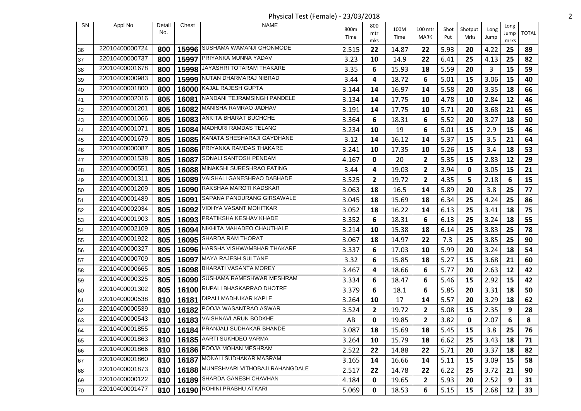Physical Test (Female) - 23/03/2018 2

| <b>SN</b> | Appl No        | Detail<br>No. | Chest | <b>NAME</b>                            | 800m  | 800<br>mtr   | 100M  | 100 mtr        | Shot | Shotput | Long | Long<br>Jump | <b>TOTAL</b> |
|-----------|----------------|---------------|-------|----------------------------------------|-------|--------------|-------|----------------|------|---------|------|--------------|--------------|
|           |                |               |       |                                        | Time  | mks          | Time  | MARK           | Put  | Mrks    | Jump | mrks         |              |
| 36        | 22010400000724 | 800           |       | 15996 SUSHAMA WAMANJI GHONMODE         | 2.515 | 22           | 14.87 | 22             | 5.93 | 20      | 4.22 | 25           | 89           |
| 37        | 22010400000737 | 800           | 15997 | PRIYANKA MUNNA YADAV                   | 3.23  | 10           | 14.9  | 22             | 6.41 | 25      | 4.13 | 25           | 82           |
| 38        | 22010400001678 | 800           |       | 15998 JAYASHRI TOTARAM THAKARE         | 3.35  | 6            | 15.93 | 18             | 5.59 | 20      | 3    | 15           | 59           |
| 39        | 22010400000983 | 800           | 15999 | NUTAN DHARMARAJ NIBRAD                 | 3.44  | 4            | 18.72 | 6              | 5.01 | 15      | 3.06 | 15           | 40           |
| 40        | 22010400001800 | 800           | 16000 | KAJAL RAJESH GUPTA                     | 3.144 | 14           | 16.97 | 14             | 5.58 | 20      | 3.35 | 18           | 66           |
| 41        | 22010400002016 | 805           |       | 16081 NANDANI TEJRAMSINGH PANDELE      | 3.134 | 14           | 17.75 | 10             | 4.78 | 10      | 2.84 | 12           | 46           |
| 42        | 22010400001201 | 805           | 16082 | MANISHA RAMRAO JADHAV                  | 3.191 | 14           | 17.75 | 10             | 5.71 | 20      | 3.68 | 21           | 65           |
| 43        | 22010400001066 | 805           |       | 16083 ANKITA BHARAT BUCHCHE            | 3.364 | 6            | 18.31 | 6              | 5.52 | 20      | 3.27 | 18           | 50           |
| 44        | 22010400001071 | 805           | 16084 | <b>MADHURI RAMDAS TELANG</b>           | 3.234 | 10           | 19    | 6              | 5.01 | 15      | 2.9  | 15           | 46           |
| 45        | 22010400001679 | 805           |       | 16085 KANATA SHESHARAJI GAYDHANE       | 3.12  | 14           | 16.12 | 14             | 5.37 | 15      | 3.5  | 21           | 64           |
| 46        | 22010400000087 | 805           |       | 16086 PRIYANKA RAMDAS THAKARE          | 3.241 | 10           | 17.35 | 10             | 5.26 | 15      | 3.4  | 18           | 53           |
| 47        | 22010400001538 | 805           | 16087 | SONALI SANTOSH PENDAM                  | 4.167 | 0            | 20    | 2              | 5.35 | 15      | 2.83 | 12           | 29           |
| 48        | 22010400000551 | 805           |       | 16088 MINAKSHI SURESHRAO FATING        | 3.44  | 4            | 19.03 | 2              | 3.94 | 0       | 3.05 | 15           | 21           |
| 49        | 22010400001311 | 805           | 16089 | VAISHALI GANESHRAO DABHADE             | 3.525 | $\mathbf{2}$ | 19.72 | $\mathbf{2}$   | 4.35 | 5       | 2.18 | 6            | 15           |
| 50        | 22010400001209 | 805           |       | 16090 RAKSHAA MAROTI KADSKAR           | 3.063 | 18           | 16.5  | 14             | 5.89 | 20      | 3.8  | 25           | 77           |
| 51        | 22010400001489 | 805           | 16091 | SAPANA PANDURANG GIRSAWALE             | 3.045 | 18           | 15.69 | 18             | 6.34 | 25      | 4.24 | 25           | 86           |
| 52        | 22010400002034 | 805           |       | 16092 VIDHYA VASANT MOHITKAR           | 3.052 | 18           | 16.22 | 14             | 6.13 | 25      | 3.41 | 18           | 75           |
| 53        | 22010400001903 | 805           |       | 16093 PRATIKSHA KESHAV KHADE           | 3.352 | 6            | 18.31 | 6              | 6.13 | 25      | 3.24 | 18           | 55           |
| 54        | 22010400002109 | 805           | 16094 | NIKHITA MAHADEO CHAUTHALE              | 3.214 | 10           | 15.38 | 18             | 6.14 | 25      | 3.83 | 25           | 78           |
| 55        | 22010400001922 | 805           |       | 16095 SHARDA RAM THORAT                | 3.067 | 18           | 14.97 | 22             | 7.3  | 25      | 3.85 | 25           | 90           |
| 56        | 22010400000327 | 805           | 16096 | HARSHA VISHWAMBHAR THAKARE             | 3.337 | 6            | 17.03 | 10             | 5.99 | 20      | 3.24 | 18           | 54           |
| 57        | 22010400000709 | 805           |       | 16097 MAYA RAJESH SULTANE              | 3.32  | 6            | 15.85 | 18             | 5.27 | 15      | 3.68 | 21           | 60           |
| 58        | 22010400000665 | 805           |       | 16098 BHARATI VASANTA MOREY            | 3.467 | 4            | 18.66 | 6              | 5.77 | 20      | 2.63 | 12           | 42           |
| 59        | 22010400000325 | 805           |       | 16099 SUSHAMA RAMESHWAR MESHRAM        | 3.334 | 6            | 18.47 | 6              | 5.46 | 15      | 2.92 | 15           | 42           |
| 60        | 22010400001302 | 805           |       | 16100 RUPALI BHASKARRAO DHOTRE         | 3.379 | 6            | 18.1  | 6              | 5.85 | 20      | 3.31 | 18           | 50           |
| 61        | 22010400000538 | 810           | 16181 | DIPALI MADHUKAR KAPLE                  | 3.264 | 10           | 17    | 14             | 5.57 | 20      | 3.29 | 18           | 62           |
| 62        | 22010400000539 | 810           |       | 16182 POOJA WASANTRAO ASWAR            | 3.524 | $\mathbf{2}$ | 19.72 | $\overline{2}$ | 5.08 | 15      | 2.35 | 9            | 28           |
| 63        | 22010400000543 | 810           |       | 16183 VAISHNAVI ARUN BODKHE            | AB    | 0            | 19.85 | $\mathbf{2}$   | 3.82 | 0       | 2.07 | 6            | 8            |
| 64        | 22010400001855 |               |       | 810   16184   PRANJALI SUDHAKAR BHANDE | 3.087 | 18           | 15.69 | 18             | 5.45 | 15      | 3.8  | 25           | 76           |
| 65        | 22010400001863 | 810           |       | 16185   AARTI SUKHDEO VARMA            | 3.264 | 10           | 15.79 | 18             | 6.62 | 25      | 3.43 | 18           | 71           |
| 66        | 22010400001866 | 810           |       | 16186 POOJA MOHAN MESHRAM              | 2.522 | 22           | 14.88 | 22             | 5.71 | 20      | 3.37 | 18           | 82           |
| 67        | 22010400001860 | 810           |       | 16187 MONALI SUDHAKAR MASRAM           | 3.165 | 14           | 16.66 | 14             | 5.11 | 15      | 3.09 | 15           | 58           |
| 68        | 22010400001873 | 810           |       | 16188 MUNESHVARI VITHOBAJI RAHANGDALE  | 2.517 | 22           | 14.78 | 22             | 6.22 | 25      | 3.72 | 21           | 90           |
| 69        | 22010400000122 | 810           |       | 16189 SHARDA GANESH CHAVHAN            | 4.184 | 0            | 19.65 | 2              | 5.93 | 20      | 2.52 | 9            | 31           |
| 170       | 22010400001477 | 810           |       | 16190 ROHINI PRABHU ATKARI             | 5.069 | 0            | 18.53 | 6              | 5.15 | 15      | 2.68 | 12           | 33           |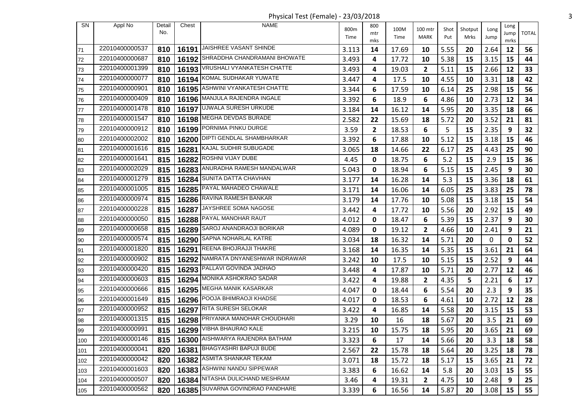Physical Test (Female) - 23/03/2018 3

| <b>SN</b> | Appl No        | Detail | Chest | <b>NAME</b>                        | 800m  | 800       | 100M  | 100 mtr      | Shot | Shotput | Long | Long       |              |
|-----------|----------------|--------|-------|------------------------------------|-------|-----------|-------|--------------|------|---------|------|------------|--------------|
|           |                | No.    |       |                                    | Time  | mtr       | Time  | <b>MARK</b>  | Put  | Mrks    | Jump | Jump       | <b>TOTAL</b> |
| 71        | 22010400000537 | 810    | 16191 | JAISHREE VASANT SHINDE             | 3.113 | mks<br>14 | 17.69 | 10           | 5.55 | 20      | 2.64 | mrks<br>12 | 56           |
| 72        | 22010400000687 | 810    |       | 16192 SHRADDHA CHANDRAMANI BHOWATE | 3.493 | 4         | 17.72 | 10           | 5.38 | 15      | 3.15 | 15         | 44           |
| 173       | 22010400001399 | 810    |       | 16193   VRUSHALI VYANKATESH CHATTE | 3.493 | 4         | 19.03 | $\mathbf{2}$ | 5.11 | 15      | 2.66 | 12         | 33           |
| 74        | 22010400000077 | 810    |       | 16194 KOMAL SUDHAKAR YUWATE        | 3.447 | 4         | 17.5  | 10           | 4.55 | 10      | 3.31 | 18         | 42           |
| 75        | 22010400000901 | 810    |       | 16195 ASHWINI VYANKATESH CHATTE    | 3.344 | 6         | 17.59 | 10           | 6.14 | 25      | 2.98 | 15         | 56           |
| 76        | 22010400000409 | 810    |       | 16196 MANJULA RAJENDRA INGALE      | 3.392 | 6         | 18.9  | 6            | 4.86 | 10      | 2.73 | 12         | 34           |
| 177       | 22010400001478 | 810    | 16197 | UJWALA SURESH URKUDE               | 3.184 | 14        | 16.12 | 14           | 5.95 | 20      | 3.35 | 18         | 66           |
| 78        | 22010400001547 | 810    |       | 16198 MEGHA DEVDAS BURADE          | 2.582 | 22        | 15.69 | 18           | 5.72 | 20      | 3.52 | 21         | 81           |
| 79        | 22010400000912 | 810    |       | 16199 PORNIMA PINKU DURGE          | 3.59  | 2         | 18.53 | 6            | 5    | 15      | 2.35 | 9          | 32           |
| 80        | 22010400002002 | 810    | 16200 | DIPTI GENDLAL SHAMBHARKAR          | 3.392 | 6         | 17.88 | 10           | 5.12 | 15      | 3.18 | 15         | 46           |
| 81        | 22010400001616 | 815    |       | 16281 KAJAL SUDHIR SUBUGADE        | 3.065 | 18        | 14.66 | 22           | 6.17 | 25      | 4.43 | 25         | 90           |
| 82        | 22010400001641 | 815    | 16282 | ROSHNI VIJAY DUBE                  | 4.45  | 0         | 18.75 | 6            | 5.2  | 15      | 2.9  | 15         | 36           |
| 83        | 22010400002029 | 815    |       | 16283 ANURADHA RAMESH MANDALWAR    | 5.043 | 0         | 18.94 | 6            | 5.15 | 15      | 2.45 | 9          | 30           |
| 84        | 22010400001279 | 815    | 16284 | SUNITA DATTA CHAVHAN               | 3.177 | 14        | 16.28 | 14           | 5.3  | 15      | 3.36 | 18         | 61           |
| 85        | 22010400001005 | 815    |       | 16285   PAYAL MAHADEO CHAWALE      | 3.171 | 14        | 16.06 | 14           | 6.05 | 25      | 3.83 | 25         | 78           |
| 86        | 22010400000974 | 815    |       | 16286 RAVINA RAMESH BANKAR         | 3.179 | 14        | 17.76 | 10           | 5.08 | 15      | 3.18 | 15         | 54           |
| 87        | 22010400000228 | 815    | 16287 | JAYSHREE SOMA NAGOSE               | 3.442 | 4         | 17.72 | 10           | 5.56 | 20      | 2.92 | 15         | 49           |
| 88        | 22010400000050 | 815    |       | 16288 PAYAL MANOHAR RAUT           | 4.012 | 0         | 18.47 | 6            | 5.39 | 15      | 2.37 | 9          | 30           |
| 89        | 22010400000658 | 815    | 16289 | SAROJ ANANDRAOJI BORIKAR           | 4.089 | 0         | 19.12 | $\mathbf{2}$ | 4.66 | 10      | 2.41 | 9          | 21           |
| 90        | 22010400000574 | 815    |       | 16290 SAPNA NOHARLAL KATRE         | 3.034 | 18        | 16.32 | 14           | 5.71 | 20      | 0    | 0          | 52           |
| 91        | 22010400001820 | 815    | 16291 | REENA BHOJRAJJI THAKRE             | 3.168 | 14        | 16.35 | 14           | 5.35 | 15      | 3.61 | 21         | 64           |
| 92        | 22010400000902 | 815    |       | 16292 NAMRATA DNYANESHWAR INDRAWAR | 3.242 | 10        | 17.5  | 10           | 5.15 | 15      | 2.52 | 9          | 44           |
| 93        | 22010400000420 | 815    |       | 16293 PALLAVI GOVINDA JADHAO       | 3.448 | 4         | 17.87 | 10           | 5.71 | 20      | 2.77 | 12         | 46           |
| 94        | 22010400000603 | 815    |       | 16294 MONIKA ASHOKRAO SADAR        | 3.422 | 4         | 19.88 | $\mathbf{2}$ | 4.35 | 5       | 2.21 | 6          | 17           |
| 95        | 22010400000666 | 815    |       | 16295 MEGHA MANIK KASARKAR         | 4.047 | 0         | 18.44 | 6            | 5.54 | 20      | 2.3  | 9          | 35           |
| 96        | 22010400001649 | 815    | 16296 | POOJA BHIMRAOJI KHADSE             | 4.017 | 0         | 18.53 | 6            | 4.61 | 10      | 2.72 | 12         | 28           |
| 97        | 22010400000952 | 815    |       | 16297 RITA SURESH SELOKAR          | 3.422 | 4         | 16.85 | 14           | 5.58 | 20      | 3.15 | 15         | 53           |
| 98        | 22010400001315 | 815    |       | 16298 PRIYANKA MANOHAR CHOUDHARI   | 3.29  | 10        | 16    | 18           | 5.67 | 20      | 3.5  | 21         | 69           |
| 99        | 22010400000991 |        |       | 815   16299 VIBHA BHAURAO KALE     | 3.215 | 10        | 15.75 | 18           | 5.95 | 20      | 3.65 | 21         | 69           |
| 100       | 22010400000146 | 815    |       | 16300 AISHWARYA RAJENDRA BATHAM    | 3.323 | 6         | 17    | 14           | 5.66 | 20      | 3.3  | 18         | 58           |
| 101       | 22010400000041 | 820    |       | 16381 BHAGYASHRI BAPUJI BUDE       | 2.567 | 22        | 15.78 | 18           | 5.64 | 20      | 3.25 | 18         | 78           |
| 102       | 22010400000042 | 820    |       | 16382 ASMITA SHANKAR TEKAM         | 3.071 | 18        | 15.72 | 18           | 5.17 | 15      | 3.65 | 21         | 72           |
| 103       | 22010400001603 | 820    | 16383 | ASHWINI NANDU SIPPEWAR             | 3.383 | 6         | 16.62 | 14           | 5.8  | 20      | 3.03 | 15         | 55           |
| 104       | 22010400000507 | 820    |       | 16384 NITASHA DULICHAND MESHRAM    | 3.46  | 4         | 19.31 | 2            | 4.75 | 10      | 2.48 | 9          | 25           |
| 105       | 22010400000562 | 820    |       | 16385 SUVARNA GOVINDRAO PANDHARE   | 3.339 | 6         | 16.56 | 14           | 5.87 | 20      | 3.08 | 15         | 55           |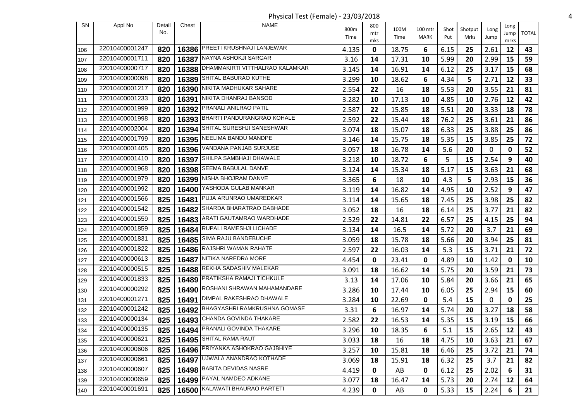Physical Test (Female) - 23/03/2018 4

| SN  | Appl No        | Detail | Chest | <b>NAME</b>                           | 800m  | 800 | 100M  | 100 mtr |             |                 |              | Long |              |
|-----|----------------|--------|-------|---------------------------------------|-------|-----|-------|---------|-------------|-----------------|--------------|------|--------------|
|     |                | No.    |       |                                       | Time  | mtr | Time  | MARK    | Shot<br>Put | Shotput<br>Mrks | Long<br>Jump | Jump | <b>TOTAL</b> |
|     | 22010400001247 | 820    |       | 16386 PREETI KRUSHNAJI LANJEWAR       |       | mks |       |         |             |                 |              | mrks |              |
| 106 | 22010400001711 |        |       | NAYNA ASHOKJI SARGAR                  | 4.135 | 0   | 18.75 | 6       | 6.15        | 25              | 2.61         | 12   | 43           |
| 107 | 22010400000717 | 820    | 16387 | 16388 DHAMMAKIRTI VITTHALRAO KALAMKAR | 3.16  | 14  | 17.31 | 10      | 5.99        | 20              | 2.99         | 15   | 59           |
| 108 |                | 820    |       | SHITAL BABURAO KUTHE                  | 3.145 | 14  | 16.91 | 14      | 6.12        | 25              | 3.17         | 15   | 68           |
| 109 | 22010400000098 | 820    | 16389 |                                       | 3.299 | 10  | 18.62 | 6       | 4.34        | 5               | 2.71         | 12   | 33           |
| 110 | 22010400001217 | 820    | 16390 | NIKITA MADHUKAR SAHARE                | 2.554 | 22  | 16    | 18      | 5.53        | 20              | 3.55         | 21   | 81           |
| 111 | 22010400001233 | 820    |       | 16391 NIKITA DHANRAJ BANSOD           | 3.282 | 10  | 17.13 | 10      | 4.85        | 10              | 2.76         | 12   | 42           |
| 112 | 22010400001999 | 820    | 16392 | PRANALI ANILRAO PATIL                 | 2.587 | 22  | 15.85 | 18      | 5.51        | 20              | 3.33         | 18   | 78           |
| 113 | 22010400001998 | 820    |       | 16393 BHARTI PANDURANGRAO KOHALE      | 2.592 | 22  | 15.44 | 18      | 76.2        | 25              | 3.61         | 21   | 86           |
| 114 | 22010400002004 | 820    | 16394 | SHITAL SURESHJI SANESHWAR             | 3.074 | 18  | 15.07 | 18      | 6.33        | 25              | 3.88         | 25   | 86           |
| 115 | 22010400001799 | 820    |       | 16395 NEELIMA BANDU MANDPE            | 3.146 | 14  | 15.75 | 18      | 5.35        | 15              | 3.85         | 25   | 72           |
| 116 | 22010400001405 | 820    |       | 16396 VANDANA PANJAB SURJUSE          | 3.057 | 18  | 16.78 | 14      | 5.6         | 20              | 0            | 0    | 52           |
| 117 | 22010400001410 | 820    |       | 16397 SHILPA SAMBHAJI DHAWALE         | 3.218 | 10  | 18.72 | 6       | 5           | 15              | 2.54         | 9    | 40           |
| 118 | 22010400001968 | 820    |       | 16398 SEEMA BABULAL DANVE             | 3.124 | 14  | 15.34 | 18      | 5.17        | 15              | 3.63         | 21   | 68           |
| 119 | 22010400001979 | 820    | 16399 | NISHA BHOJRAM DANVE                   | 3.365 | 6   | 18    | 10      | 4.3         | 5               | 2.93         | 15   | 36           |
| 120 | 22010400001992 | 820    | 16400 | YASHODA GULAB MANKAR                  | 3.119 | 14  | 16.82 | 14      | 4.95        | 10              | 2.52         | 9    | 47           |
| 121 | 22010400001566 | 825    | 16481 | PUJA ARUNRAO UMAREDKAR                | 3.114 | 14  | 15.65 | 18      | 7.45        | 25              | 3.98         | 25   | 82           |
| 122 | 22010400001542 | 825    | 16482 | SHARDA BHARATRAO DABHADE              | 3.052 | 18  | 16    | 18      | 6.14        | 25              | 3.77         | 21   | 82           |
| 123 | 22010400001559 | 825    |       | 16483 ARATI GAUTAMRAO WARDHADE        | 2.529 | 22  | 14.81 | 22      | 6.57        | 25              | 4.15         | 25   | 94           |
| 124 | 22010400001859 | 825    | 16484 | RUPALI RAMESHJI LICHADE               | 3.134 | 14  | 16.5  | 14      | 5.72        | 20              | 3.7          | 21   | 69           |
| 125 | 22010400001831 | 825    |       | 16485 SIMA RAJU BANDEBUCHE            | 3.059 | 18  | 15.78 | 18      | 5.66        | 20              | 3.94         | 25   | 81           |
| 126 | 22010400001822 | 825    | 16486 | RAJSHRI WAMAN RAHATE                  | 2.597 | 22  | 16.03 | 14      | 5.3         | 15              | 3.71         | 21   | 72           |
| 127 | 22010400000613 | 825    |       | 16487 NITIKA NAREDRA MORE             | 4.454 | 0   | 23.41 | 0       | 4.89        | 10              | 1.42         | 0    | 10           |
| 128 | 22010400000515 | 825    | 16488 | REKHA SADASHIV MALEKAR                | 3.091 | 18  | 16.62 | 14      | 5.75        | 20              | 3.59         | 21   | 73           |
| 129 | 22010400001833 | 825    |       | 16489 PRATIKSHA RAMAJI TICHKULE       | 3.13  | 14  | 17.06 | 10      | 5.84        | 20              | 3.66         | 21   | 65           |
| 130 | 22010400000292 | 825    | 16490 | ROSHANI SHRAWAN MAHAMANDARE           | 3.286 | 10  | 17.44 | 10      | 6.05        | 25              | 2.94         | 15   | 60           |
| 131 | 22010400001271 | 825    | 16491 | DIMPAL RAKESHRAO DHAWALE              | 3.284 | 10  | 22.69 | 0       | 5.4         | 15              | 0            | 0    | 25           |
| 132 | 22010400001242 | 825    |       | 16492 BHAGYASHRI RAMKRUSHNA GOMASE    | 3.31  | 6   | 16.97 | 14      | 5.74        | 20              | 3.27         | 18   | 58           |
| 133 | 22010400000134 | 825    |       | 16493 CHANDA GOVINDA THAKARE          | 2.582 | 22  | 16.53 | 14      | 5.35        | 15              | 3.19         | 15   | 66           |
| 134 | 22010400000135 |        |       | 825   16494   PRANALI GOVINDA THAKARE | 3.296 | 10  | 18.35 | 6       | $5.1$       | 15              | 2.65         | 12   | 43           |
| 135 | 22010400000621 | 825    |       | 16495 SHITAL RAMA RAUT                | 3.033 | 18  | 16    | 18      | 4.75        | 10              | 3.63         | 21   | 67           |
| 136 | 22010400000606 | 825    |       | 16496 PRIYANKA ASHOKRAO GAJBHIYE      | 3.257 | 10  | 15.81 | 18      | 6.46        | 25              | 3.72         | 21   | 74           |
|     | 22010400000661 | 825    |       | 16497 UJWALA ANANDRAO KOTHADE         | 3.069 | 18  | 15.91 | 18      | 6.32        | 25              | 3.7          | 21   | 82           |
| 137 | 22010400000607 | 825    |       | 16498 BABITA DEVIDAS NASRE            | 4.419 | 0   | AB    | 0       | 6.12        | 25              | 2.02         | 6    | 31           |
| 138 | 22010400000659 |        |       | 16499 PAYAL NAMDEO ADKANE             |       |     |       |         |             |                 |              |      |              |
| 139 |                | 825    |       | 16500 KALAWATI BHAURAO PARTETI        | 3.077 | 18  | 16.47 | 14      | 5.73        | 20              | 2.74         | 12   | 64           |
| 140 | 22010400001691 | 825    |       |                                       | 4.239 | 0   | AB    | 0       | 5.33        | 15              | 2.24         | 6    | 21           |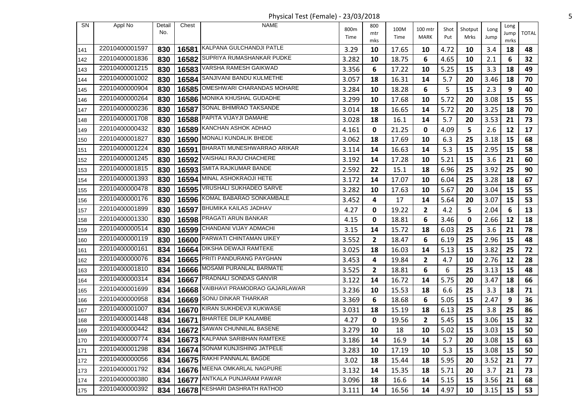Physical Test (Female) - 23/03/2018 5

| SN  | Appl No        | Detail | Chest | <b>NAME</b>                        | 800m  | 800          | 100M  | 100 mtr      | Shot | Shotput | Long | Long       |              |
|-----|----------------|--------|-------|------------------------------------|-------|--------------|-------|--------------|------|---------|------|------------|--------------|
|     |                | No.    |       |                                    | Time  | mtr          | Time  | MARK         | Put  | Mrks    | Jump | Jump       | <b>TOTAL</b> |
| 141 | 22010400001597 | 830    |       | 16581 KALPANA GULCHANDJI PATLE     | 3.29  | mks<br>10    | 17.65 | 10           | 4.72 | 10      | 3.4  | mrks<br>18 | 48           |
| 142 | 22010400001836 | 830    |       | 16582 SUPRIYA RUMASHANKAR PUDKE    | 3.282 | 10           | 18.75 | 6            | 4.65 | 10      | 2.1  | 6          | 32           |
| 143 | 22010400001215 | 830    |       | 16583 VARSHA RAMESH GAIKWAD        | 3.356 | 6            | 17.22 | 10           | 5.25 | 15      | 3.3  | 18         | 49           |
| 144 | 22010400001002 | 830    | 16584 | SANJIVANI BANDU KULMETHE           | 3.057 | 18           | 16.31 | 14           | 5.7  | 20      | 3.46 | 18         | 70           |
| 145 | 22010400000904 | 830    | 16585 | OMESHWARI CHARANDAS MOHARE         | 3.284 | 10           | 18.28 | 6            | 5    | 15      | 2.3  | 9          | 40           |
| 146 | 22010400000264 | 830    |       | 16586 MONIKA KHUSHAL GUDADHE       | 3.299 | 10           | 17.68 | 10           | 5.72 | 20      | 3.08 | 15         | 55           |
| 147 | 22010400000236 | 830    | 16587 | SONAL BHIMRAO TAKSANDE             | 3.014 | 18           | 16.65 | 14           | 5.72 | 20      | 3.25 | 18         | 70           |
| 148 | 22010400001708 | 830    |       | 16588 PAPITA VIJAYJI DAMAHE        | 3.028 | 18           | 16.1  | 14           | 5.7  | 20      | 3.53 | 21         | 73           |
| 149 | 22010400000432 | 830    | 16589 | KANCHAN ASHOK ADHAO                | 4.161 | 0            | 21.25 | 0            | 4.09 | 5       | 2.6  | 12         | 17           |
| 150 | 22010400001827 | 830    |       | 16590 MONALI KUNDALIK BHEDE        | 3.062 | 18           | 17.69 | 10           | 6.3  | 25      | 3.18 | 15         | 68           |
| 151 | 22010400001224 | 830    |       | 16591 BHARATI MUNESHWARRAO ARIKAR  | 3.114 | 14           | 16.63 | 14           | 5.3  | 15      | 2.95 | 15         | 58           |
| 152 | 22010400001245 | 830    | 16592 | VAISHALI RAJU CHACHERE             | 3.192 | 14           | 17.28 | 10           | 5.21 | 15      | 3.6  | 21         | 60           |
| 153 | 22010400001815 | 830    |       | 16593 SMITA RAJKUMAR BANDE         | 2.592 | 22           | 15.1  | 18           | 6.96 | 25      | 3.92 | 25         | 90           |
| 154 | 22010400001393 | 830    | 16594 | MINAL ASHOKRAOJI HETE              | 3.172 | 14           | 17.07 | 10           | 6.04 | 25      | 3.28 | 18         | 67           |
| 155 | 22010400000478 | 830    |       | 16595   VRUSHALI SUKHADEO SARVE    | 3.282 | 10           | 17.63 | 10           | 5.67 | 20      | 3.04 | 15         | 55           |
| 156 | 22010400000176 | 830    |       | 16596 KOMAL BABARAO SONKAMBALE     | 3.452 | 4            | 17    | 14           | 5.64 | 20      | 3.07 | 15         | 53           |
| 157 | 22010400001899 | 830    |       | 16597 BHUMIKA KAILAS JADHAV        | 4.27  | 0            | 19.22 | $\mathbf{2}$ | 4.2  | 5       | 2.04 | 6          | 13           |
| 158 | 22010400001330 | 830    |       | 16598 PRAGATI ARUN BANKAR          | 4.15  | 0            | 18.81 | 6            | 3.46 | 0       | 2.66 | 12         | 18           |
| 159 | 22010400000514 | 830    | 16599 | CHANDANI VIJAY ADMACHI             | 3.15  | 14           | 15.72 | 18           | 6.03 | 25      | 3.6  | 21         | 78           |
| 160 | 22010400000119 | 830    |       | 16600 PARWATI CHINTAMAN UIKEY      | 3.552 | $\mathbf{2}$ | 18.47 | 6            | 6.19 | 25      | 2.96 | 15         | 48           |
| 161 | 22010400000161 | 834    | 16664 | DIKSHA DEWAJI RAMTEKE              | 3.025 | 18           | 16.03 | 14           | 5.13 | 15      | 3.82 | 25         | 72           |
| 162 | 22010400000076 | 834    |       | 16665 PRITI PANDURANG PAYGHAN      | 3.453 | 4            | 19.84 | $\mathbf{2}$ | 4.7  | 10      | 2.76 | 12         | 28           |
| 163 | 22010400001810 | 834    |       | 16666 MOSAMI PURANLAL BARMATE      | 3.525 | $\mathbf{2}$ | 18.81 | 6            | 6    | 25      | 3.13 | 15         | 48           |
| 164 | 22010400000314 | 834    |       | 16667 PRADNALI SONDAS GANVIR       | 3.122 | 14           | 16.72 | 14           | 5.75 | 20      | 3.47 | 18         | 66           |
| 165 | 22010400001699 | 834    | 16668 | VAIBHAVI PRAMODRAO GAJARLAWAR      | 3.236 | 10           | 15.53 | 18           | 6.6  | 25      | 3.3  | 18         | 71           |
| 166 | 22010400000958 | 834    | 16669 | SONU DINKAR THARKAR                | 3.369 | 6            | 18.68 | 6            | 5.05 | 15      | 2.47 | 9          | 36           |
| 167 | 22010400001007 | 834    |       | 16670 KIRAN SUKHDEVJI KUKWASE      | 3.031 | 18           | 15.19 | 18           | 6.13 | 25      | 3.8  | 25         | 86           |
| 168 | 22010400001448 | 834    | 16671 | <b>BHARTEE DILIP KALAMBE</b>       | 4.27  | 0            | 19.56 | 2            | 5.45 | 15      | 3.06 | 15         | 32           |
| 169 | 22010400000442 |        |       | 834   16672 SAWAN CHUNNILAL BASENE | 3.279 | 10           | 18    | 10           | 5.02 | 15      | 3.03 | 15         | 50           |
| 170 | 22010400000774 | 834    |       | 16673 KALPANA SARIBHAN RAMTEKE     | 3.186 | 14           | 16.9  | 14           | 5.7  | 20      | 3.08 | 15         | 63           |
| 171 | 22010400001298 | 834    |       | 16674 SONAM KUNJISHING JATPELE     | 3.283 | 10           | 17.19 | 10           | 5.3  | 15      | 3.08 | 15         | 50           |
| 172 | 22010400000056 | 834    |       | 16675 RAKHI PANNALAL BAGDE         | 3.02  | 18           | 15.44 | 18           | 5.95 | 20      | 3.52 | 21         | 77           |
| 173 | 22010400001792 | 834    |       | 16676 MEENA OMKARLAL NAGPURE       | 3.132 | 14           | 15.35 | 18           | 5.71 | 20      | 3.7  | 21         | 73           |
| 174 | 22010400000380 | 834    |       | 16677 ANTKALA PUNJARAM PAWAR       | 3.096 | 18           | 16.6  | 14           | 5.15 | 15      | 3.56 | 21         | 68           |
| 175 | 22010400000392 | 834    |       | 16678 KESHARI DASHRATH RATHOD      | 3.111 | 14           | 16.56 | 14           | 4.97 | 10      | 3.15 | 15         | 53           |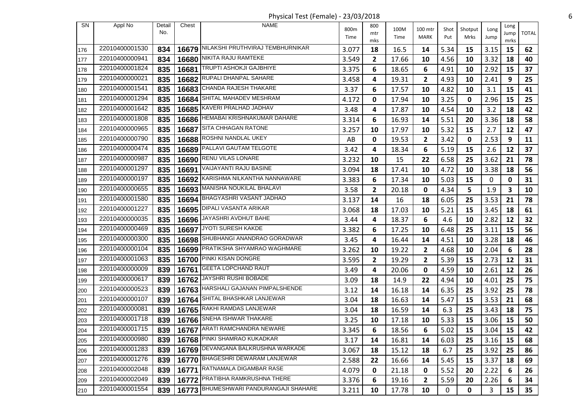Physical Test (Female) - 23/03/2018 6

| <b>SN</b> | Appl No        | Detail | Chest | <b>NAME</b>                            | 800m  | 800          | 100M  | 100 mtr        | Shot | Shotput | Long | Long         |              |
|-----------|----------------|--------|-------|----------------------------------------|-------|--------------|-------|----------------|------|---------|------|--------------|--------------|
|           |                | No.    |       |                                        | Time  | mtr<br>mks   | Time  | MARK           | Put  | Mrks    | Jump | Jump<br>mrks | <b>TOTAL</b> |
| 176       | 22010400001530 | 834    |       | 16679 NILAKSHI PRUTHVIRAJ TEMBHURNIKAR | 3.077 | 18           | 16.5  | 14             | 5.34 | 15      | 3.15 | 15           | 62           |
| 177       | 22010400000941 | 834    | 16680 | NIKITA RAJU RAMTEKE                    | 3.549 | $\mathbf{2}$ | 17.66 | 10             | 4.56 | 10      | 3.32 | 18           | 40           |
| 178       | 22010400001824 | 835    | 16681 | TRUPTI ASHOKJI GAJBHIYE                | 3.375 | 6            | 18.65 | 6              | 4.91 | 10      | 2.92 | 15           | 37           |
| 179       | 22010400000021 | 835    |       | 16682 RUPALI DHANPAL SAHARE            | 3.458 | 4            | 19.31 | 2              | 4.93 | 10      | 2.41 | 9            | 25           |
| 180       | 22010400001541 | 835    | 16683 | <b>CHANDA RAJESH THAKARE</b>           | 3.37  | 6            | 17.57 | 10             | 4.82 | 10      | 3.1  | 15           | 41           |
| 181       | 22010400001294 | 835    | 16684 | SHITAL MAHADEV MESHRAM                 | 4.172 | 0            | 17.94 | 10             | 3.25 | 0       | 2.96 | 15           | 25           |
| 182       | 22010400001642 | 835    | 16685 | KAVERI PRALHAD JADHAV                  | 3.48  | 4            | 17.87 | 10             | 4.54 | 10      | 3.2  | 18           | 42           |
| 183       | 22010400001808 | 835    |       | 16686   HEMABAI KRISHNAKUMAR DAHARE    | 3.314 | 6            | 16.93 | 14             | 5.51 | 20      | 3.36 | 18           | 58           |
| 184       | 22010400000965 | 835    | 16687 | <b>SITA CHHAGAN RATONE</b>             | 3.257 | 10           | 17.97 | 10             | 5.32 | 15      | 2.7  | 12           | 47           |
| 185       | 22010400000790 | 835    | 16688 | ROSHNI NANDLAL UKEY                    | AB    | 0            | 19.53 | $\overline{2}$ | 3.42 | 0       | 2.53 | 9            | 11           |
| 186       | 22010400000474 | 835    | 16689 | PALLAVI GAUTAM TELGOTE                 | 3.42  | 4            | 18.34 | 6              | 5.19 | 15      | 2.6  | 12           | 37           |
| 187       | 22010400000987 | 835    | 16690 | RENU VILAS LONARE                      | 3.232 | 10           | 15    | 22             | 6.58 | 25      | 3.62 | 21           | 78           |
| 188       | 22010400001297 | 835    |       | 16691   VAIJAYANTI RAJU BASINE         | 3.094 | 18           | 17.41 | 10             | 4.72 | 10      | 3.38 | 18           | 56           |
| 189       | 22010400000197 | 835    | 16692 | KARISHMA NILKANTHA NANNAWARE           | 3.383 | 6            | 17.34 | 10             | 5.03 | 15      | 0    | 0            | 31           |
| 190       | 22010400000655 | 835    |       | 16693 MANISHA NOUKILAL BHALAVI         | 3.58  | $\mathbf{2}$ | 20.18 | 0              | 4.34 | 5       | 1.9  | 3            | 10           |
| 191       | 22010400001580 | 835    |       | 16694 BHAGYASHRI VASANT JADHAO         | 3.137 | 14           | 16    | 18             | 6.05 | 25      | 3.53 | 21           | 78           |
| 192       | 22010400001227 | 835    |       | 16695 DIPALI VASANTA ARIKAR            | 3.068 | 18           | 17.03 | 10             | 5.21 | 15      | 3.45 | 18           | 61           |
| 193       | 22010400000035 | 835    |       | 16696 JAYASHRI AVDHUT BAHE             | 3.44  | 4            | 18.37 | 6              | 4.6  | 10      | 2.82 | 12           | 32           |
| 194       | 22010400000469 | 835    | 16697 | JYOTI SURESH KAKDE                     | 3.382 | 6            | 17.25 | 10             | 6.48 | 25      | 3.11 | 15           | 56           |
| 195       | 22010400000300 | 835    |       | 16698 SHUBHANGI ANANDRAO GORADWAR      | 3.45  | 4            | 16.44 | 14             | 4.51 | 10      | 3.28 | 18           | 46           |
| 196       | 22010400000104 | 835    | 16699 | PRATIKSHA SHYAMRAO WAGHMARE            | 3.262 | 10           | 19.22 | $\mathbf{2}$   | 4.68 | 10      | 2.04 | 6            | 28           |
| 197       | 22010400001063 | 835    |       | 16700 PINKI KISAN DONGRE               | 3.595 | $\mathbf{2}$ | 19.29 | 2              | 5.39 | 15      | 2.73 | 12           | 31           |
| 198       | 22010400000009 | 839    | 16761 | <b>GEETA LOPCHAND RAUT</b>             | 3.49  | 4            | 20.06 | 0              | 4.59 | 10      | 2.61 | 12           | 26           |
| 199       | 22010400000617 | 839    | 16762 | JAYSHRI RUSHI BOBADE                   | 3.09  | 18           | 14.9  | 22             | 4.94 | 10      | 4.01 | 25           | 75           |
| 200       | 22010400000523 | 839    |       | 16763 HARSHALI GAJANAN PIMPALSHENDE    | 3.12  | 14           | 16.18 | 14             | 6.35 | 25      | 3.92 | 25           | 78           |
| 201       | 22010400000107 | 839    | 16764 | SHITAL BHASHKAR LANJEWAR               | 3.04  | 18           | 16.63 | 14             | 5.47 | 15      | 3.53 | 21           | 68           |
| 202       | 22010400000081 | 839    |       | 16765 RAKHI RAMDAS LANJEWAR            | 3.04  | 18           | 16.59 | 14             | 6.3  | 25      | 3.43 | 18           | 75           |
| 203       | 22010400001718 | 839    |       | 16766 SNEHA ISHWAR THAKARE             | 3.25  | 10           | 17.18 | 10             | 5.33 | 15      | 3.06 | 15           | 50           |
| 204       | 22010400001715 | 839    |       | 16767 ARATI RAMCHANDRA NEWARE          | 3.345 | 6            | 18.56 | 6              | 5.02 | 15      | 3.04 | 15           | 42           |
| 205       | 22010400000980 | 839    |       | 16768 PINKI SHAMRAO KUKADKAR           | 3.17  | 14           | 16.81 | 14             | 6.03 | 25      | 3.16 | 15           | 68           |
| 206       | 22010400001283 | 839    |       | 16769 DEVANGANA BALKRUSHNA WARKADE     | 3.067 | 18           | 15.12 | 18             | 6.7  | 25      | 3.92 | 25           | 86           |
| 207       | 22010400001276 | 839    |       | 16770 BHAGESHRI DEWARAM LANJEWAR       | 2.588 | 22           | 16.66 | 14             | 5.45 | 15      | 3.37 | 18           | 69           |
| 208       | 22010400002048 | 839    |       | 16771 RATNAMALA DIGAMBAR RASE          | 4.079 | 0            | 21.18 | 0              | 5.52 | 20      | 2.22 | 6            | 26           |
| 209       | 22010400002049 | 839    |       | 16772 PRATIBHA RAMKRUSHNA THERE        | 3.376 | 6            | 19.16 | 2              | 5.59 | 20      | 2.26 | 6            | 34           |
| 210       | 22010400001554 | 839    |       | 16773 BHUMESHWARI PANDURANGAJI SHAHARE | 3.211 | 10           | 17.78 | 10             | 0    | 0       | 3    | 15           | 35           |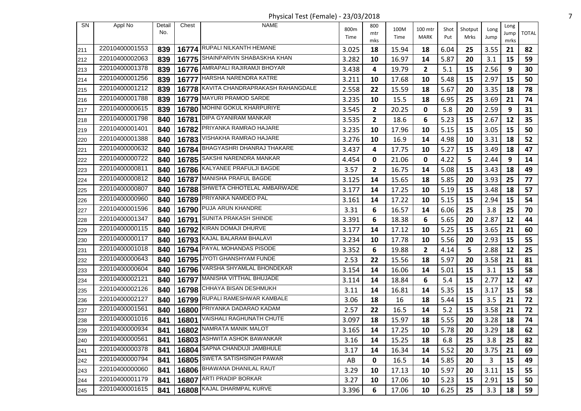Physical Test (Female) - 23/03/2018 7

| <b>SN</b> | Appl No        | Detail<br>No. | Chest | <b>NAME</b>                            | 800m  | 800<br>mtr   | 100M  | 100 mtr      | Shot | Shotput | Long | Long<br>Jump | <b>TOTAL</b> |
|-----------|----------------|---------------|-------|----------------------------------------|-------|--------------|-------|--------------|------|---------|------|--------------|--------------|
|           |                |               |       |                                        | Time  | mks          | Time  | <b>MARK</b>  | Put  | Mrks    | Jump | mrks         |              |
| 211       | 22010400001553 | 839           |       | 16774 RUPALI NILKANTH HEMANE           | 3.025 | 18           | 15.94 | 18           | 6.04 | 25      | 3.55 | 21           | 82           |
| 212       | 22010400002063 | 839           |       | 16775 SHAINPARVIN SHABASKHA KHAN       | 3.282 | 10           | 16.97 | 14           | 5.87 | 20      | 3.1  | 15           | 59           |
| 213       | 22010400001378 | 839           |       | 16776 AMRAPALI RAJIRAMJI BHOYAR        | 3.438 | 4            | 19.79 | $\mathbf{2}$ | 5.1  | 15      | 2.56 | 9            | 30           |
| 214       | 22010400001256 | 839           |       | 16777 HARSHA NARENDRA KATRE            | 3.211 | 10           | 17.68 | 10           | 5.48 | 15      | 2.97 | 15           | 50           |
| 215       | 22010400001212 | 839           |       | 16778 KAVITA CHANDRAPRAKASH RAHANGDALE | 2.558 | 22           | 15.59 | 18           | 5.67 | 20      | 3.35 | 18           | 78           |
| 216       | 22010400001788 | 839           |       | 16779 MAYURI PRAMOD SARDE              | 3.235 | 10           | 15.5  | 18           | 6.95 | 25      | 3.69 | 21           | 74           |
| 217       | 22010400000615 | 839           | 16780 | MOHINI GOKUL KHARPURIYE                | 3.545 | $\mathbf{2}$ | 20.25 | 0            | 5.8  | 20      | 2.59 | 9            | 31           |
| 218       | 22010400001798 | 840           |       | 16781   DIPA GYANIRAM MANKAR           | 3.535 | $\mathbf{2}$ | 18.6  | 6            | 5.23 | 15      | 2.67 | 12           | 35           |
| 219       | 22010400001401 | 840           |       | 16782 PRIYANKA RAMRAO HAJARE           | 3.235 | 10           | 17.96 | 10           | 5.15 | 15      | 3.05 | 15           | 50           |
| 220       | 22010400001388 | 840           | 16783 | VISHAKHA RAMRAO HAJARE                 | 3.276 | 10           | 16.9  | 14           | 4.98 | 10      | 3.31 | 18           | 52           |
| 221       | 22010400000632 | 840           |       | 16784 BHAGYASHRI DHANRAJ THAKARE       | 3.437 | 4            | 17.75 | 10           | 5.27 | 15      | 3.49 | 18           | 47           |
| 222       | 22010400000722 | 840           | 16785 | SAKSHI NARENDRA MANKAR                 | 4.454 | 0            | 21.06 | 0            | 4.22 | 5       | 2.44 | 9            | 14           |
| 223       | 22010400000811 | 840           |       | 16786 KALYANEE PRAFULJI BAGDE          | 3.57  | $\mathbf{2}$ | 16.75 | 14           | 5.08 | 15      | 3.43 | 18           | 49           |
| 224       | 22010400000812 | 840           |       | 16787 MANISHA PRAFUL BAGDE             | 3.125 | 14           | 15.65 | 18           | 5.85 | 20      | 3.93 | 25           | 77           |
| 225       | 22010400000807 | 840           |       | 16788 SHWETA CHHOTELAL AMBARWADE       | 3.177 | 14           | 17.25 | 10           | 5.19 | 15      | 3.48 | 18           | 57           |
| 226       | 22010400000960 | 840           |       | 16789 PRIYANKA NAMDEO PAL              | 3.161 | 14           | 17.22 | 10           | 5.15 | 15      | 2.94 | 15           | 54           |
| 227       | 22010400001596 | 840           | 16790 | PUJA ARUN KHANDRE                      | 3.31  | 6            | 16.57 | 14           | 6.06 | 25      | 3.8  | 25           | 70           |
| 228       | 22010400001347 | 840           |       | 16791 SUNITA PRAKASH SHINDE            | 3.391 | 6            | 18.38 | 6            | 5.65 | 20      | 2.87 | 12           | 44           |
| 229       | 22010400000115 | 840           | 16792 | KIRAN DOMAJI DHURVE                    | 3.177 | 14           | 17.12 | 10           | 5.25 | 15      | 3.65 | 21           | 60           |
| 230       | 22010400000117 | 840           |       | 16793 KAJAL BALARAM BHALAVI            | 3.234 | 10           | 17.78 | 10           | 5.56 | 20      | 2.93 | 15           | 55           |
| 231       | 22010400001018 | 840           |       | 16794   PAYAL MOHANDAS PISODE          | 3.352 | 6            | 19.88 | $\mathbf{2}$ | 4.14 | 5       | 2.88 | 12           | 25           |
| 232       | 22010400000643 | 840           |       | 16795 JYOTI GHANSHYAM FUNDE            | 2.53  | 22           | 15.56 | 18           | 5.97 | 20      | 3.58 | 21           | 81           |
| 233       | 22010400000604 | 840           |       | 16796 VARSHA SHYAMLAL BHONDEKAR        | 3.154 | 14           | 16.06 | 14           | 5.01 | 15      | 3.1  | 15           | 58           |
| 234       | 22010400002121 | 840           | 16797 | MANISHA VITTHAL BHUJADE                | 3.114 | 14           | 18.84 | 6            | 5.4  | 15      | 2.77 | 12           | 47           |
| 235       | 22010400002126 | 840           |       | 16798 CHHAYA BISAN DESHMUKH            | 3.11  | 14           | 16.81 | 14           | 5.35 | 15      | 3.17 | 15           | 58           |
| 236       | 22010400002127 | 840           | 16799 | RUPALI RAMESHWAR KAMBALE               | 3.06  | 18           | 16    | 18           | 5.44 | 15      | 3.5  | 21           | 72           |
| 237       | 22010400001561 | 840           |       | 16800 PRIYANKA DADARAO KADAM           | 2.57  | 22           | 16.5  | 14           | 5.2  | 15      | 3.58 | 21           | 72           |
| 238       | 22010400001016 | 841           | 16801 | <b>VAISHALI RAGHUNATH CHUTE</b>        | 3.097 | 18           | 15.97 | 18           | 5.55 | 20      | 3.28 | 18           | 74           |
| 239       | 22010400000934 | 841           |       | 16802 NAMRATA MANIK MALOT              | 3.165 | 14           | 17.25 | 10           | 5.78 | 20      | 3.29 | 18           | 62           |
| 240       | 22010400000561 | 841           |       | 16803 ASHWITA ASHOK BAWANKAR           | 3.16  | 14           | 15.25 | 18           | 6.8  | 25      | 3.8  | 25           | 82           |
| 241       | 22010400000378 | 841           |       | 16804 SAPNA CHANDUJI JAMBHULE          | 3.17  | 14           | 16.34 | 14           | 5.52 | 20      | 3.75 | 21           | 69           |
| 242       | 22010400000794 | 841           |       | 16805 SWETA SATISHSINGH PAWAR          | AB    | 0            | 16.5  | 14           | 5.85 | 20      | 3    | 15           | 49           |
| 243       | 22010400000060 | 841           |       | 16806 BHAWANA DHANILAL RAUT            | 3.29  | 10           | 17.13 | 10           | 5.97 | 20      | 3.11 | 15           | 55           |
| 244       | 22010400001179 | 841           |       | 16807 ARTI PRADIP BORKAR               | 3.27  | 10           | 17.06 | 10           | 5.23 | 15      | 2.91 | 15           | 50           |
| 245       | 22010400001615 | 841           |       | 16808 KAJAL DHARMPAL KURVE             | 3.396 | 6            | 17.06 | 10           | 6.25 | 25      | 3.3  | 18           | 59           |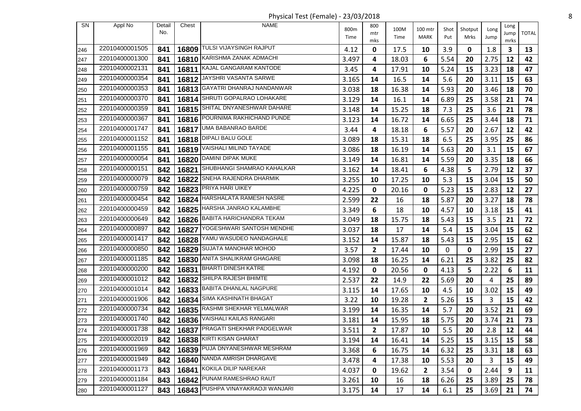Physical Test (Female) - 23/03/2018 8

| <b>SN</b> | Appl No        | Detail | Chest | <b>NAME</b>                       | 800m          | 800          | 100M          | 100 mtr      | Shot  | Shotput | Long    | Long    |              |
|-----------|----------------|--------|-------|-----------------------------------|---------------|--------------|---------------|--------------|-------|---------|---------|---------|--------------|
|           |                | No.    |       |                                   | Time          | mtr          | Time          | MARK         | Put   | Mrks    | Jump    | Jump    | <b>TOTAL</b> |
|           | 22010400001505 | 841    | 16809 | TULSI VIJAYSINGH RAJPUT           |               | mks<br>0     |               |              | 3.9   | 0       | 1.8     | mrks    | 13           |
| 246       | 22010400001300 | 841    | 16810 | KARISHMA ZANAK ADMACHI            | 4.12<br>3.497 | 4            | 17.5<br>18.03 | 10<br>6      | 5.54  | 20      | 2.75    | 3<br>12 | 42           |
| 247       | 22010400002131 | 841    |       | 16811 KAJAL GANGARAM KANTODE      |               |              |               |              |       |         |         |         |              |
| 248       | 22010400000354 |        |       | JAYSHRI VASANTA SARWE             | 3.45          | 4            | 17.91         | 10           | 5.24  | 15      | 3.23    | 18      | 47           |
| 249       | 22010400000353 | 841    | 16812 | GAYATRI DHANRAJ NANDANWAR         | 3.165         | 14           | 16.5          | 14           | 5.6   | 20      | 3.11    | 15      | 63           |
| 250       |                | 841    | 16813 | 16814 SHRUTI GOPALRAO LOHAKARE    | 3.038         | 18           | 16.38         | 14           | 5.93  | 20      | 3.46    | 18      | 70           |
| 251       | 22010400000370 | 841    |       |                                   | 3.129         | 14           | 16.1          | 14           | 6.89  | 25      | 3.58    | 21      | 74           |
| 252       | 22010400000359 | 841    | 16815 | SHITAL DNYANESHWAR DAHARE         | 3.148         | 14           | 15.25         | 18           | 7.3   | 25      | 3.6     | 21      | 78           |
| 253       | 22010400000367 | 841    |       | 16816 POURNIMA RAKHICHAND PUNDE   | 3.123         | 14           | 16.72         | 14           | 6.65  | 25      | 3.44    | 18      | 71           |
| 254       | 22010400001747 | 841    | 16817 | UMA BABANRAO BARDE                | 3.44          | 4            | 18.18         | 6            | 5.57  | 20      | 2.67    | 12      | 42           |
| 255       | 22010400001152 | 841    |       | 16818 <b>DIPALI BALU GOLE</b>     | 3.089         | 18           | 15.31         | 18           | 6.5   | 25      | 3.95    | 25      | 86           |
| 256       | 22010400001155 | 841    | 16819 | VAISHALI MILIND TAYADE            | 3.086         | 18           | 16.19         | 14           | 5.63  | 20      | 3.1     | 15      | 67           |
| 257       | 22010400000054 | 841    | 16820 | DAMINI DIPAK MUKE                 | 3.149         | 14           | 16.81         | 14           | 5.59  | 20      | 3.35    | 18      | 66           |
| 258       | 22010400000151 | 842    |       | 16821 SHUBHANGI SHAMRAO KAHALKAR  | 3.162         | 14           | 18.41         | 6            | 4.38  | 5       | 2.79    | 12      | 37           |
| 259       | 22010400000079 | 842    | 16822 | SNEHA RAJENDRA DHARMIK            | 3.255         | 10           | 17.25         | 10           | 5.3   | 15      | 3.04    | 15      | 50           |
| 260       | 22010400000759 | 842    |       | 16823 PRIYA HARI UIKEY            | 4.225         | 0            | 20.16         | 0            | 5.23  | 15      | 2.83    | 12      | 27           |
| 261       | 22010400000454 | 842    |       | 16824 HARSHALATA RAMESH NASRE     | 2.599         | 22           | 16            | 18           | 5.87  | 20      | 3.27    | 18      | 78           |
| 262       | 22010400000459 | 842    |       | 16825 HARSHA JANRAO KALAMBHE      | 3.349         | 6            | 18            | 10           | 4.57  | 10      | 3.18    | 15      | 41           |
| 263       | 22010400000649 | 842    |       | 16826 BABITA HARICHANDRA TEKAM    | 3.049         | 18           | 15.75         | 18           | 5.43  | 15      | 3.5     | 21      | 72           |
| 264       | 22010400000897 | 842    | 16827 | YOGESHWARI SANTOSH MENDHE         | 3.037         | 18           | 17            | 14           | 5.4   | 15      | 3.04    | 15      | 62           |
| 265       | 22010400001417 | 842    |       | 16828 YAMU WASUDEO NANDAGHALE     | 3.152         | 14           | 15.87         | 18           | 5.43  | 15      | 2.95    | 15      | 62           |
| 266       | 22010400000850 | 842    | 16829 | SUJATA MANOHAR MOHOD              | 3.57          | $\mathbf{2}$ | 17.44         | 10           | 0     | 0       | 2.99    | 15      | 27           |
| 267       | 22010400001185 | 842    | 16830 | ANITA SHALIKRAM GHAGARE           | 3.098         | 18           | 16.25         | 14           | 6.21  | 25      | 3.82    | 25      | 82           |
| 268       | 22010400000200 | 842    | 16831 | <b>BHARTI DINESH KATRE</b>        | 4.192         | 0            | 20.56         | 0            | 4.13  | 5       | 2.22    | 6       | 11           |
| 269       | 22010400001012 | 842    |       | 16832 SHILPA RAJESH BHIMTE        | 2.537         | 22           | 14.9          | 22           | 5.69  | 20      | 4       | 25      | 89           |
| 270       | 22010400001014 | 842    |       | 16833 BABITA DHANLAL NAGPURE      | 3.115         | 14           | 17.65         | 10           | 4.5   | 10      | 3.02    | 15      | 49           |
| 271       | 22010400001906 | 842    | 16834 | SIMA KASHINATH BHAGAT             | 3.22          | 10           | 19.28         | $\mathbf{2}$ | 5.26  | 15      | 3       | 15      | 42           |
| 272       | 22010400000734 | 842    |       | 16835 RASHMI SHEKHAR YELMALWAR    | 3.199         | 14           | 16.35         | 14           | 5.7   | 20      | 3.52    | 21      | 69           |
| 273       | 22010400001740 | 842    | 16836 | VAISHALI KAILAS RANGARI           | 3.181         | 14           | 15.95         | 18           | 5.75  | 20      | 3.74    | 21      | 73           |
| 274       | 22010400001738 | 842    |       | 16837 PRAGATI SHEKHAR PADGELWAR   | 3.511         | $\mathbf{2}$ | 17.87         | 10           | $5.5$ | 20      | $2.8\,$ | 12      | 44           |
| 275       | 22010400002019 | 842    |       | 16838 KIRTI KISAN GHARAT          | 3.194         | 14           | 16.41         | 14           | 5.25  | 15      | 3.15    | 15      | 58           |
| 276       | 22010400001969 | 842    |       | 16839 PUJA DNYANESHWAR MESHRAM    | 3.368         | 6            | 16.75         | 14           | 6.32  | 25      | 3.31    | 18      | 63           |
| 277       | 22010400001949 | 842    |       | 16840 NANDA AMRISH DHARGAVE       | 3.478         | 4            | 17.38         | 10           | 5.53  | 20      | 3       | 15      | 49           |
| 278       | 22010400001173 | 843    |       | 16841 KOKILA DILIP NAREKAR        | 4.037         | 0            | 19.62         | $\mathbf{2}$ | 3.54  | 0       | 2.44    | 9       | 11           |
| 279       | 22010400001184 | 843    |       | 16842 PUNAM RAMESHRAO RAUT        | 3.261         | 10           | 16            | 18           | 6.26  | 25      | 3.89    | 25      | 78           |
| 280       | 22010400001127 | 843    |       | 16843 PUSHPA VINAYAKRAOJI WANJARI | 3.175         | 14           | 17            | 14           | 6.1   | 25      | 3.69    | 21      | 74           |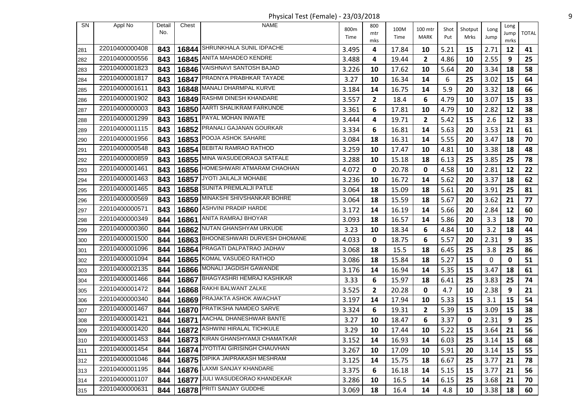Physical Test (Female) - 23/03/2018 9

| SN  | Appl No        | Detail | Chest | <b>NAME</b>                           | 800m  | 800          | 100M  | 100 mtr      | Shot | Shotput | Long | Long       |              |
|-----|----------------|--------|-------|---------------------------------------|-------|--------------|-------|--------------|------|---------|------|------------|--------------|
|     |                | No.    |       |                                       | Time  | mtr          | Time  | MARK         | Put  | Mrks    | Jump | Jump       | <b>TOTAL</b> |
| 281 | 22010400000408 | 843    | 16844 | SHRUNKHALA SUNIL IDPACHE              | 3.495 | mks<br>4     | 17.84 | 10           | 5.21 | 15      | 2.71 | mrks<br>12 | 41           |
| 282 | 22010400000556 | 843    | 16845 | <b>ANITA MAHADEO KENDRE</b>           | 3.488 | 4            | 19.44 | $\mathbf{2}$ | 4.86 | 10      | 2.55 | 9          | 25           |
| 283 | 22010400001823 | 843    |       | 16846   VAISHNAVI SANTOSH BAJAD       | 3.226 | 10           | 17.62 | 10           | 5.64 | 20      | 3.34 | 18         | 58           |
| 284 | 22010400001817 | 843    |       | 16847 PRADNYA PRABHKAR TAYADE         | 3.27  | 10           | 16.34 | 14           | 6    | 25      | 3.02 | 15         | 64           |
| 285 | 22010400001611 | 843    |       | 16848 MANALI DHARMPAL KURVE           | 3.184 | 14           | 16.75 | 14           | 5.9  | 20      | 3.32 | 18         | 66           |
| 286 | 22010400001902 | 843    |       | 16849 RASHMI DINESH KHANDARE          | 3.557 | $\mathbf{2}$ | 18.4  | 6            | 4.79 | 10      | 3.07 | 15         | 33           |
| 287 | 22010400000003 | 843    | 16850 | AARTI SHALIKRAM FARKUNDE              | 3.361 | 6            | 17.81 | 10           | 4.79 | 10      | 2.82 | 12         | 38           |
| 288 | 22010400001299 | 843    |       | 16851 PAYAL MOHAN INWATE              | 3.444 | 4            | 19.71 | $\mathbf{2}$ | 5.42 | 15      | 2.6  | 12         | 33           |
| 289 | 22010400001115 | 843    |       | 16852 PRANALI GAJANAN GOURKAR         | 3.334 | 6            | 16.81 | 14           | 5.63 | 20      | 3.53 | 21         | 61           |
| 290 | 22010400001956 | 843    |       | 16853 POOJA ASHOK SAHARE              | 3.084 | 18           | 16.31 | 14           | 5.55 | 20      | 3.47 | 18         | 70           |
| 291 | 22010400000548 | 843    |       | 16854 BEBITAI RAMRAO RATHOD           | 3.259 | 10           | 17.47 | 10           | 4.81 | 10      | 3.38 | 18         | 48           |
| 292 | 22010400000859 | 843    | 16855 | MINA WASUDEORAOJI SATFALE             | 3.288 | 10           | 15.18 | 18           | 6.13 | 25      | 3.85 | 25         | 78           |
| 293 | 22010400001461 | 843    |       | 16856 HOMESHWARI ATMARAM CHAOHAN      | 4.072 | 0            | 20.78 | 0            | 4.58 | 10      | 2.81 | 12         | 22           |
| 294 | 22010400001463 | 843    | 16857 | JYOTI JAILALJI MOHABE                 | 3.236 | 10           | 16.72 | 14           | 5.62 | 20      | 3.37 | 18         | 62           |
| 295 | 22010400001465 | 843    |       | 16858 SUNITA PREMLALJI PATLE          | 3.064 | 18           | 15.09 | 18           | 5.61 | 20      | 3.91 | 25         | 81           |
| 296 | 22010400000569 | 843    |       | 16859 MINAKSHI SHIVSHANKAR BOHRE      | 3.064 | 18           | 15.59 | 18           | 5.67 | 20      | 3.62 | 21         | 77           |
| 297 | 22010400000571 | 843    | 16860 | ASHVINI PRADIP HARDE                  | 3.172 | 14           | 16.19 | 14           | 5.66 | 20      | 2.84 | 12         | 60           |
| 298 | 22010400000349 | 844    |       | 16861 ANITA RAMRAJ BHOYAR             | 3.093 | 18           | 16.57 | 14           | 5.86 | 20      | 3.3  | 18         | 70           |
| 299 | 22010400000360 | 844    | 16862 | NUTAN GHANSHYAM URKUDE                | 3.23  | 10           | 18.34 | 6            | 4.84 | 10      | 3.2  | 18         | 44           |
| 300 | 22010400001500 | 844    |       | 16863 BHOONESHWARI DURVESH DHOMANE    | 4.033 | 0            | 18.75 | 6            | 5.57 | 20      | 2.31 | 9          | 35           |
| 301 | 22010400001096 | 844    | 16864 | PRAGATI DALPATRAO JADHAV              | 3.068 | 18           | 15.5  | 18           | 6.45 | 25      | 3.8  | 25         | 86           |
| 302 | 22010400001094 | 844    |       | 16865 KOMAL VASUDEO RATHOD            | 3.086 | 18           | 15.84 | 18           | 5.27 | 15      | 0    | 0          | 51           |
| 303 | 22010400002135 | 844    |       | 16866 MONALI JAGDISH GAWANDE          | 3.176 | 14           | 16.94 | 14           | 5.35 | 15      | 3.47 | 18         | 61           |
| 304 | 22010400001466 | 844    | 16867 | BHAGYASHRI HEMRAJ KASHIKAR            | 3.33  | 6            | 15.97 | 18           | 6.41 | 25      | 3.83 | 25         | 74           |
| 305 | 22010400001472 | 844    |       | 16868 RAKHI BALWANT ZALKE             | 3.525 | $\mathbf{2}$ | 20.28 | 0            | 4.7  | 10      | 2.38 | 9          | 21           |
| 306 | 22010400000340 | 844    | 16869 | PRAJAKTA ASHOK AWACHAT                | 3.197 | 14           | 17.94 | 10           | 5.33 | 15      | 3.1  | 15         | 54           |
| 307 | 22010400001467 | 844    |       | 16870 PRATIKSHA NAMDEO SARVE          | 3.324 | 6            | 19.31 | $\mathbf{2}$ | 5.39 | 15      | 3.09 | 15         | 38           |
| 308 | 22010400001421 | 844    | 16871 | AACHAL DHANESHWAR BANTE               | 3.27  | 10           | 18.47 | 6            | 3.37 | 0       | 2.31 | 9          | 25           |
| 309 | 22010400001420 | 844    |       | 16872 <b>ASHWINI HIRALAL TICHKULE</b> | 3.29  | 10           | 17.44 | 10           | 5.22 | 15      | 3.64 | 21         | 56           |
| 310 | 22010400001453 | 844    |       | 16873 KIRAN GHANSHYAMJI CHAMATKAR     | 3.152 | 14           | 16.93 | 14           | 6.03 | 25      | 3.14 | 15         | 68           |
| 311 | 22010400001454 | 844    |       | 16874 JYOTITAI GIRISINGH CHAUVHAN     | 3.267 | 10           | 17.09 | 10           | 5.91 | 20      | 3.14 | 15         | 55           |
| 312 | 22010400001046 | 844    |       | 16875 DIPIKA JAIPRAKASH MESHRAM       | 3.125 | 14           | 15.75 | 18           | 6.67 | 25      | 3.77 | 21         | 78           |
| 313 | 22010400001195 | 844    |       | 16876 LAXMI SANJAY KHANDARE           | 3.375 | 6            | 16.18 | 14           | 5.15 | 15      | 3.77 | 21         | 56           |
| 314 | 22010400001107 | 844    |       | 16877 JULI WASUDEORAO KHANDEKAR       | 3.286 | 10           | 16.5  | 14           | 6.15 | 25      | 3.68 | 21         | 70           |
| 315 | 22010400000631 | 844    |       | 16878 PRITI SANJAY GUDDHE             | 3.069 | 18           | 16.4  | 14           | 4.8  | 10      | 3.38 | 18         | 60           |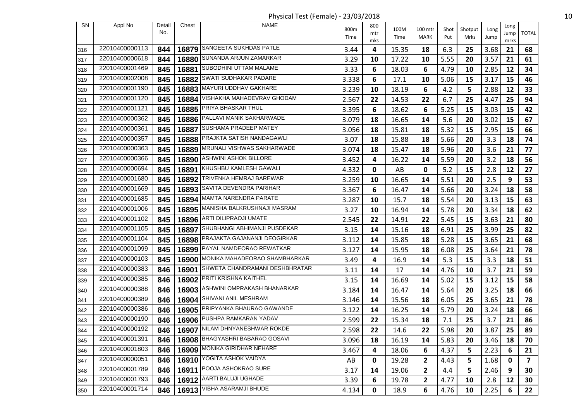Physical Test (Female) - 23/03/2018 10

| SN  | Appl No        | Detail | Chest | NAME                                | 800m  | 800         | 100M  | 100 mtr      |             |                 |              | Long       |                         |
|-----|----------------|--------|-------|-------------------------------------|-------|-------------|-------|--------------|-------------|-----------------|--------------|------------|-------------------------|
|     |                | No.    |       |                                     | Time  | mtr         | Time  | <b>MARK</b>  | Shot<br>Put | Shotput<br>Mrks | Long<br>Jump | Jump       | <b>TOTAL</b>            |
| 316 | 22010400000113 | 844    | 16879 | SANGEETA SUKHDAS PATLE              | 3.44  | mks<br>4    | 15.35 | 18           | 6.3         | 25              | 3.68         | mrks<br>21 | 68                      |
| 317 | 22010400000618 | 844    | 16880 | SUNANDA ARJUN ZAMARKAR              | 3.29  | 10          | 17.22 | 10           | 5.55        | 20              | 3.57         | 21         | 61                      |
| 318 | 22010400001469 | 845    |       | 16881 SUBODHINI UTTAM MALAME        | 3.33  | 6           | 18.03 | 6            | 4.79        | 10              | 2.85         | 12         | 34                      |
| 319 | 22010400002008 | 845    | 16882 | <b>SWATI SUDHAKAR PADARE</b>        | 3.338 | 6           | 17.1  | 10           | 5.06        | 15              | 3.17         | 15         | 46                      |
| 320 | 22010400001190 | 845    |       | 16883 MAYURI UDDHAV GAKHARE         | 3.239 | 10          | 18.19 | 6            | 4.2         | 5               | 2.88         | 12         | 33                      |
| 321 | 22010400001120 | 845    | 16884 | VISHAKHA MAHADEVRAV GHODAM          | 2.567 | 22          | 14.53 | 22           | 6.7         | 25              | 4.47         | 25         | 94                      |
| 322 | 22010400001121 | 845    | 16885 | PRIYA BHASKAR THUL                  | 3.395 | 6           | 18.62 | 6            | 5.25        | 15              | 3.03         | 15         | 42                      |
| 323 | 22010400000362 | 845    |       | 16886 PALLAVI MANIK SAKHARWADE      | 3.079 | 18          | 16.65 | 14           | 5.6         | 20              | 3.02         | 15         | 67                      |
| 324 | 22010400000361 | 845    | 16887 | <b>SUSHAMA PRADEEP MATEY</b>        | 3.056 | 18          | 15.81 | 18           | 5.32        | 15              | 2.95         | 15         | 66                      |
| 325 | 22010400000357 | 845    |       | 16888 PRAJKTA SATISH NANDAGAWLI     | 3.07  | 18          | 15.88 | 18           | 5.66        | 20              | 3.3          | 18         | 74                      |
| 326 | 22010400000363 | 845    |       | 16889 MRUNALI VISHWAS SAKHARWADE    | 3.074 | 18          | 15.47 | 18           | 5.96        | 20              | 3.6          | 21         | 77                      |
| 327 | 22010400000366 | 845    | 16890 | ASHWINI ASHOK BILLORE               | 3.452 | 4           | 16.22 | 14           | 5.59        | 20              | 3.2          | 18         | 56                      |
| 328 | 22010400000694 | 845    |       | 16891 KHUSHBU KAMLESH GAWALI        | 4.332 | 0           | AB    | 0            | 5.2         | 15              | 2.8          | 12         | 27                      |
| 329 | 22010400001680 | 845    | 16892 | TRIVENKA HEMRAJ BAREWAR             | 3.259 | 10          | 16.65 | 14           | 5.51        | 20              | 2.5          | 9          | 53                      |
| 330 | 22010400001669 | 845    |       | 16893 SAVITA DEVENDRA PARIHAR       | 3.367 | 6           | 16.47 | 14           | 5.66        | 20              | 3.24         | 18         | 58                      |
| 331 | 22010400001685 | 845    |       | 16894 MAMTA NARENDRA PARATE         | 3.287 | 10          | 15.7  | 18           | 5.54        | 20              | 3.13         | 15         | 63                      |
| 332 | 22010400001006 | 845    |       | 16895 MANISHA BALKRUSHNAJI MASRAM   | 3.27  | 10          | 16.94 | 14           | 5.78        | 20              | 3.34         | 18         | 62                      |
| 333 | 22010400001102 | 845    |       | 16896 ARTI DILIPRAOJI UMATE         | 2.545 | 22          | 14.91 | 22           | 5.45        | 15              | 3.63         | 21         | 80                      |
| 334 | 22010400001105 | 845    | 16897 | SHUBHANGI ABHIMANJI PUSDEKAR        | 3.15  | 14          | 15.16 | 18           | 6.91        | 25              | 3.99         | 25         | 82                      |
| 335 | 22010400001104 | 845    |       | 16898 PRAJAKTA GAJANANJI DEOGIRKAR  | 3.112 | 14          | 15.85 | 18           | 5.28        | 15              | 3.65         | 21         | 68                      |
| 336 | 22010400001099 | 845    | 16899 | PAYAL NAMDEORAO REWATKAR            | 3.127 | 14          | 15.95 | 18           | 6.08        | 25              | 3.64         | 21         | 78                      |
| 337 | 22010400000103 | 845    |       | 16900 MONIKA MAHADEORAO SHAMBHARKAR | 3.49  | 4           | 16.9  | 14           | 5.3         | 15              | 3.3          | 18         | 51                      |
| 338 | 22010400000383 | 846    | 16901 | SHWETA CHANDRAMANI DESHBHRATAR      | 3.11  | 14          | 17    | 14           | 4.76        | 10              | 3.7          | 21         | 59                      |
| 339 | 22010400000385 | 846    |       | 16902 PRITI KRISHNA KAITHEL         | 3.15  | 14          | 16.69 | 14           | 5.02        | 15              | 3.12         | 15         | 58                      |
| 340 | 22010400000388 | 846    |       | 16903 ASHWINI OMPRAKASH BHANARKAR   | 3.184 | 14          | 16.47 | 14           | 5.64        | 20              | 3.25         | 18         | 66                      |
| 341 | 22010400000389 | 846    | 16904 | SHIVANI ANIL MESHRAM                | 3.146 | 14          | 15.56 | 18           | 6.05        | 25              | 3.65         | 21         | 78                      |
| 342 | 22010400000386 | 846    |       | 16905 PRIPYANKA BHAURAO GAWANDE     | 3.122 | 14          | 16.25 | 14           | 5.79        | 20              | 3.24         | 18         | 66                      |
| 343 | 22010400000190 | 846    |       | 16906 PUSHPA RAMKARAN YADAV         | 2.599 | 22          | 15.34 | 18           | 7.1         | 25              | 3.7          | 21         | 86                      |
| 344 | 22010400000192 | 846    |       | 16907 NILAM DHNYANESHWAR ROKDE      | 2.598 | 22          | 14.6  | 22           | 5.98        | 20              | 3.87         | 25         | 89                      |
| 345 | 22010400001391 | 846    |       | 16908 BHAGYASHRI BABARAO GOSAVI     | 3.096 | 18          | 16.19 | 14           | 5.83        | 20              | 3.46         | 18         | 70                      |
| 346 | 22010400001803 | 846    |       | 16909 MONIKA GIRIDHAR NEHARE        | 3.467 | 4           | 18.06 | 6            | 4.37        | 5               | 2.23         | 6          | 21                      |
| 347 | 22010400000051 | 846    |       | 16910 YOGITA ASHOK VAIDYA           | AB    | 0           | 19.28 | 2            | 4.43        | 5               | 1.68         | 0          | $\overline{\mathbf{z}}$ |
| 348 | 22010400001789 | 846    |       | 16911  POOJA ASHOKRAO SURE          | 3.17  | 14          | 19.06 | $\mathbf{2}$ | 4.4         | 5               | 2.46         | 9          | 30                      |
| 349 | 22010400001793 | 846    |       | 16912 AARTI BALUJI UGHADE           | 3.39  | 6           | 19.78 | $\mathbf{2}$ | 4.77        | 10              | 2.8          | 12         | 30                      |
| 350 | 22010400001714 | 846    |       | 16913 VIBHA ASARAMJI BHUDE          | 4.134 | $\mathbf 0$ | 18.9  | 6            | 4.76        | 10              | 2.25         | 6          | 22                      |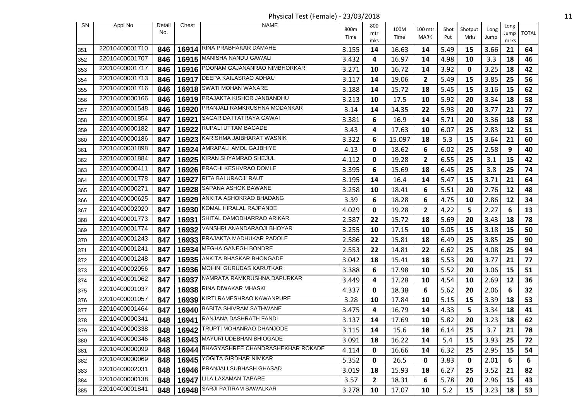Physical Test (Female) - 23/03/2018 11

| SN  | Appl No        | Detail<br>No. | Chest | <b>NAME</b>                             | 800m<br>Time | 800<br>mtr   | 100M<br>Time | 100 mtr<br>MARK | Shot<br>Put | Shotput<br>Mrks | Long<br>Jump | Long<br>Jump | <b>TOTAL</b> |
|-----|----------------|---------------|-------|-----------------------------------------|--------------|--------------|--------------|-----------------|-------------|-----------------|--------------|--------------|--------------|
| 351 | 22010400001710 | 846           |       | 16914 RINA PRABHAKAR DAMAHE             | 3.155        | mks<br>14    | 16.63        | 14              | 5.49        | 15              | 3.66         | mrks<br>21   | 64           |
| 352 | 22010400001707 | 846           |       | 16915 MANISHA NANDU GAWALI              | 3.432        | 4            | 16.97        | 14              | 4.98        | 10              | 3.3          | 18           | 46           |
| 353 | 22010400001717 | 846           |       | 16916 POONAM GAJANANRAO NIMBHORKAR      | 3.271        | 10           | 16.72        | 14              | 3.92        | 0               | 3.25         | 18           | 42           |
| 354 | 22010400001713 | 846           |       | 16917   DEEPA KAILASRAO ADHAU           | 3.117        | 14           | 19.06        | 2               | 5.49        | 15              | 3.85         | 25           | 56           |
| 355 | 22010400001716 | 846           |       | 16918 SWATI MOHAN WANARE                | 3.188        | 14           | 15.72        | 18              | 5.45        | 15              | 3.16         | 15           | 62           |
| 356 | 22010400000166 | 846           |       | 16919 PRAJAKTA KISHOR JANBANDHU         | 3.213        | 10           | 17.5         | 10              | 5.92        | 20              | 3.34         | 18           | 58           |
| 357 | 22010400001548 | 846           | 16920 | PRANJALI RAMKRUSHNA MODANKAR            | 3.14         | 14           | 14.35        | 22              | 5.93        | 20              | 3.77         | 21           | 77           |
| 358 | 22010400001854 | 847           | 16921 | SAGAR DATTATRAYA GAWAI                  | 3.381        | 6            | 16.9         | 14              | 5.71        | 20              | 3.36         | 18           | 58           |
| 359 | 22010400000182 | 847           | 16922 | RUPALI UTTAM BAGADE                     | 3.43         | 4            | 17.63        | 10              | 6.07        | 25              | 2.83         | 12           | 51           |
| 360 | 22010400000186 | 847           |       | 16923 KARISHMA JAIBHARAT WASNIK         | 3.322        | 6            | 15.097       | 18              | 5.3         | 15              | 3.64         | 21           | 60           |
| 361 | 22010400001898 | 847           |       | 16924   AMRAPALI AMOL GAJBHIYE          | 4.13         | 0            | 18.62        | 6               | 6.02        | 25              | 2.58         | 9            | 40           |
| 362 | 22010400001884 | 847           |       | 16925 KIRAN SHYAMRAO SHEJUL             | 4.112        | 0            | 19.28        | 2               | 6.55        | 25              | 3.1          | 15           | 42           |
| 363 | 22010400000411 | 847           |       | 16926 PRACHI KESHVRAO DOMLE             | 3.395        | 6            | 15.69        | 18              | 6.45        | 25              | 3.8          | 25           | 74           |
| 364 | 22010400001778 | 847           | 16927 | RITA BALURAOJI RAUT                     | 3.195        | 14           | 16.4         | 14              | 5.47        | 15              | 3.71         | 21           | 64           |
| 365 | 22010400000271 | 847           |       | 16928 SAPANA ASHOK BAWANE               | 3.258        | 10           | 18.41        | 6               | 5.51        | 20              | 2.76         | 12           | 48           |
| 366 | 22010400000625 | 847           | 16929 | ANKITA ASHOKRAO BHADANG                 | 3.39         | 6            | 18.28        | 6               | 4.75        | 10              | 2.86         | 12           | 34           |
| 367 | 22010400002020 | 847           |       | 16930 KOMAL HIRALAL RAJPANDE            | 4.029        | 0            | 19.28        | 2               | 4.22        | 5               | 2.27         | 6            | 13           |
| 368 | 22010400001773 | 847           |       | 16931 SHITAL DAMODHARRAO ARIKAR         | 2.587        | 22           | 15.72        | 18              | 5.69        | 20              | 3.43         | 18           | 78           |
| 369 | 22010400001774 | 847           | 16932 | VANSHRI ANANDARAOJI BHOYAR              | 3.255        | 10           | 17.15        | 10              | 5.05        | 15              | 3.18         | 15           | 50           |
| 370 | 22010400001243 | 847           |       | 16933 PRAJAKTA MADHUKAR PADOLE          | 2.586        | 22           | 15.81        | 18              | 6.49        | 25              | 3.85         | 25           | 90           |
| 371 | 22010400001241 | 847           | 16934 | <b>MEGHA GANEGH BONDRE</b>              | 2.553        | 22           | 14.81        | 22              | 6.62        | 25              | 4.08         | 25           | 94           |
| 372 | 22010400001248 | 847           |       | 16935 ANKITA BHASKAR BHONGADE           | 3.042        | 18           | 15.41        | 18              | 5.53        | 20              | 3.77         | 21           | 77           |
| 373 | 22010400002056 | 847           |       | 16936 MOHINI GURUDAS KARUTKAR           | 3.388        | 6            | 17.98        | 10              | 5.52        | 20              | 3.06         | 15           | 51           |
| 374 | 22010400001062 | 847           |       | 16937 NAMRATA RAMKRUSHNA DAPURKAR       | 3.449        | 4            | 17.28        | 10              | 4.54        | 10              | 2.69         | 12           | 36           |
| 375 | 22010400001037 | 847           | 16938 | RINA DIWAKAR MHASKI                     | 4.337        | 0            | 18.38        | 6               | 5.62        | 20              | 2.06         | 6            | 32           |
| 376 | 22010400001057 | 847           | 16939 | KIRTI RAMESHRAO KAWANPURE               | 3.28         | 10           | 17.84        | 10              | 5.15        | 15              | 3.39         | 18           | 53           |
| 377 | 22010400001464 | 847           | 16940 | <b>BABITA SHIVRAM SATHWANE</b>          | 3.475        | 4            | 16.79        | 14              | 4.33        | 5               | 3.34         | 18           | 41           |
| 378 | 22010400000341 | 848           | 16941 | RANJANA DASHRATH FANDI                  | 3.137        | 14           | 17.69        | 10              | 5.82        | 20              | 3.23         | 18           | 62           |
| 379 | 22010400000338 | 848           |       | 16942 TRUPTI MOHANRAO DHANJODE          | 3.115        | 14           | 15.6         | 18              | 6.14        | 25              | 3.7          | 21           | 78           |
| 380 | 22010400000346 | 848           |       | 16943 MAYURI UDEBHAN BHIOGADE           | 3.091        | 18           | 16.22        | 14              | 5.4         | 15              | 3.93         | 25           | 72           |
| 381 | 22010400000099 | 848           |       | 16944 BHAGYASHREE CHANDRASHEKHAR ROKADE | 4.114        | 0            | 16.66        | 14              | 6.32        | 25              | 2.95         | 15           | 54           |
| 382 | 22010400000069 | 848           |       | 16945 YOGITA GIRDHAR NIMKAR             | 5.352        | 0            | 26.5         | 0               | 3.83        | 0               | 2.01         | 6            | 6            |
| 383 | 22010400002031 | 848           |       | 16946   PRANJALI SUBHASH GHASAD         | 3.019        | 18           | 15.93        | 18              | 6.27        | 25              | 3.52         | 21           | 82           |
| 384 | 22010400000138 | 848           |       | 16947 LILA LAXAMAN TAPARE               | 3.57         | $\mathbf{2}$ | 18.31        | 6               | 5.78        | 20              | 2.96         | 15           | 43           |
| 385 | 22010400001841 | 848           |       | 16948 SARJI PATIRAM SAWALKAR            | 3.278        | 10           | 17.07        | 10              | 5.2         | 15              | 3.23         | 18           | 53           |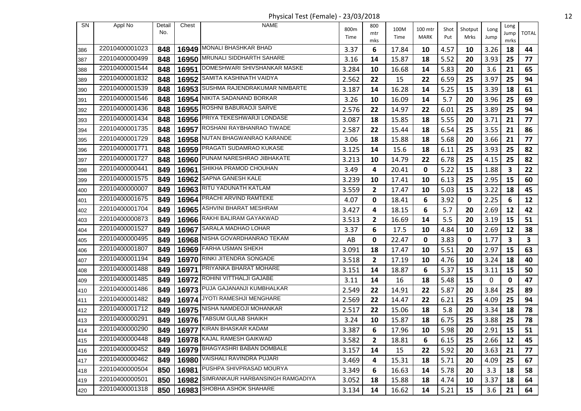Physical Test (Female) - 23/03/2018 12

| <b>SN</b> | Appl No        | Detail | Chest | <b>NAME</b>                            |       | 800          |       |         |      |         |          | Long |              |
|-----------|----------------|--------|-------|----------------------------------------|-------|--------------|-------|---------|------|---------|----------|------|--------------|
|           |                | No.    |       |                                        | 800m  | mtr          | 100M  | 100 mtr | Shot | Shotput | Long     | Jump | <b>TOTAL</b> |
|           |                |        |       |                                        | Time  | mks          | Time  | MARK    | Put  | Mrks    | Jump     | mrks |              |
| 386       | 22010400001023 | 848    |       | 16949 MONALI BHASHKAR BHAD             | 3.37  | 6            | 17.84 | 10      | 4.57 | 10      | 3.26     | 18   | 44           |
| 387       | 22010400000499 | 848    | 16950 | MRUNALI SIDDHARTH SAHARE               | 3.16  | 14           | 15.87 | 18      | 5.52 | 20      | 3.93     | 25   | 77           |
| 388       | 22010400001544 | 848    |       | 16951 DOMESHWARI SHIVSHANKAR MASKE     | 3.284 | 10           | 16.68 | 14      | 5.83 | 20      | 3.6      | 21   | 65           |
| 389       | 22010400001832 | 848    | 16952 | SAMITA KASHINATH VAIDYA                | 2.562 | 22           | 15    | 22      | 6.59 | 25      | 3.97     | 25   | 94           |
| 390       | 22010400001539 | 848    |       | 16953 SUSHMA RAJENDRAKUMAR NIMBARTE    | 3.187 | 14           | 16.28 | 14      | 5.25 | 15      | 3.39     | 18   | 61           |
| 391       | 22010400001546 | 848    |       | 16954 NIKITA SADANAND BORKAR           | 3.26  | 10           | 16.09 | 14      | 5.7  | 20      | 3.96     | 25   | 69           |
| 392       | 22010400001436 | 848    |       | 16955 ROSHNI BABURAOJI SARVE           | 2.576 | 22           | 14.97 | 22      | 6.01 | 25      | 3.89     | 25   | 94           |
| 393       | 22010400001434 | 848    |       | 16956 PRIYA TEKESHWARJI LONDASE        | 3.087 | 18           | 15.85 | 18      | 5.55 | 20      | 3.71     | 21   | 77           |
| 394       | 22010400001735 | 848    |       | 16957 ROSHANI RAYBHANRAO TIWADE        | 2.587 | 22           | 15.44 | 18      | 6.54 | 25      | 3.55     | 21   | 86           |
| 395       | 22010400001729 | 848    |       | 16958 NUTAN BHAGWANRAO KARANDE         | 3.06  | 18           | 15.88 | 18      | 5.68 | 20      | 3.66     | 21   | 77           |
| 396       | 22010400001771 | 848    |       | 16959 PRAGATI SUDAMRAO KUKASE          | 3.125 | 14           | 15.6  | 18      | 6.11 | 25      | 3.93     | 25   | 82           |
| 397       | 22010400001727 | 848    |       | 16960 PUNAM NARESHRAO JIBHAKATE        | 3.213 | 10           | 14.79 | 22      | 6.78 | 25      | 4.15     | 25   | 82           |
| 398       | 22010400000441 | 849    |       | 16961 SHIKHA PRAMOD CHOUHAN            | 3.49  | 4            | 20.41 | 0       | 5.22 | 15      | 1.88     | 3    | 22           |
| 399       | 22010400001575 | 849    | 16962 | <b>SAPNA GANESH KALE</b>               | 3.239 | 10           | 17.41 | 10      | 6.13 | 25      | 2.95     | 15   | 60           |
| 400       | 22010400000007 | 849    |       | 16963 RITU YADUNATH KATLAM             | 3.559 | $\mathbf{2}$ | 17.47 | 10      | 5.03 | 15      | 3.22     | 18   | 45           |
| 401       | 22010400001675 | 849    |       | 16964 PRACHI ARVIND RAMTEKE            | 4.07  | 0            | 18.41 | 6       | 3.92 | 0       | 2.25     | 6    | 12           |
| 402       | 22010400001704 | 849    |       | 16965 ASHVINI BHARAT MESHRAM           | 3.427 | 4            | 18.15 | 6       | 5.7  | 20      | 2.69     | 12   | 42           |
| 403       | 22010400000873 | 849    |       | 16966 RAKHI BALIRAM GAYAKWAD           | 3.513 | 2            | 16.69 | 14      | 5.5  | 20      | 3.19     | 15   | 51           |
| 404       | 22010400001527 | 849    | 16967 | SARALA MADHAO LOHAR                    | 3.37  | 6            | 17.5  | 10      | 4.84 | 10      | 2.69     | 12   | 38           |
| 405       | 22010400000495 | 849    |       | 16968 NISHA GOVARDHANRAO TEKAM         | AB    | 0            | 22.47 | 0       | 3.83 | 0       | 1.77     | 3    | 3            |
| 406       | 22010400001807 | 849    |       | 16969 FARHA USMAN SHEKH                | 3.091 | 18           | 17.47 | 10      | 5.51 | 20      | 2.97     | 15   | 63           |
| 407       | 22010400001194 | 849    |       | 16970 RINKI JITENDRA SONGADE           | 3.518 | 2            | 17.19 | 10      | 4.76 | 10      | 3.24     | 18   | 40           |
| 408       | 22010400001488 | 849    | 16971 | <b>PRIYANKA BHARAT MOHARE</b>          | 3.151 | 14           | 18.87 | 6       | 5.37 | 15      | 3.11     | 15   | 50           |
| 409       | 22010400001485 | 849    |       | 16972 ROHINI VITTHALJI GAJABE          | 3.11  | 14           | 16    | 18      | 5.48 | 15      | $\Omega$ | 0    | 47           |
| 410       | 22010400001486 | 849    |       | 16973 PUJA GAJANANJI KUMBHALKAR        | 2.549 | 22           | 14.91 | 22      | 5.87 | 20      | 3.84     | 25   | 89           |
| 411       | 22010400001482 | 849    | 16974 | JYOTI RAMESHJI MENGHARE                | 2.569 | 22           | 14.47 | 22      | 6.21 | 25      | 4.09     | 25   | 94           |
| 412       | 22010400001712 | 849    |       | 16975 NISHA NAMDEOJI MOHANKAR          | 2.517 | 22           | 15.06 | 18      | 5.8  | 20      | 3.34     | 18   | 78           |
| 413       | 22010400000291 | 849    |       | 16976 TABSUM GULAB SHAIKH              | 3.24  | 10           | 15.87 | 18      | 6.75 | 25      | 3.88     | 25   | 78           |
| 414       | 22010400000290 | 849    |       | 16977 KIRAN BHASKAR KADAM              | 3.387 | 6            | 17.96 | 10      | 5.98 | 20      | 2.91     | 15   | 51           |
| 415       | 22010400000448 | 849    |       | 16978 KAJAL RAMESH GAIKWAD             | 3.582 | $\mathbf{2}$ | 18.81 | 6       | 6.15 | 25      | 2.66     | 12   | 45           |
| 416       | 22010400000452 | 849    |       | 16979 BHAGYASHRI BABAN DOMBALE         | 3.157 | 14           | 15    | 22      | 5.92 | 20      | 3.63     | 21   | 77           |
| 417       | 22010400000462 | 849    |       | 16980 VAISHALI RAVINDRA PUJARI         | 3.469 | 4            | 15.31 | 18      | 5.71 | 20      | 4.09     | 25   | 67           |
| 418       | 22010400000504 | 850    |       | 16981 PUSHPA SHIVPRASAD MOURYA         | 3.349 | 6            | 16.63 | 14      | 5.78 | 20      | 3.3      | 18   | 58           |
| 419       | 22010400000501 | 850    |       | 16982 SIMRANKAUR HARBANSINGH RAMGADIYA | 3.052 | 18           | 15.88 | 18      | 4.74 | 10      | 3.37     | 18   | 64           |
| 420       | 22010400001318 | 850    |       | 16983 SHOBHA ASHOK SHAHARE             | 3.134 | 14           | 16.62 | 14      | 5.21 | 15      | 3.6      | 21   | 64           |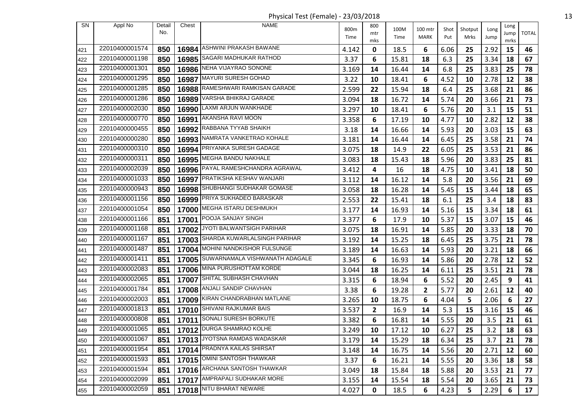Physical Test (Female) - 23/03/2018 13

| SN  | Appl No        | Detail | Chest | <b>NAME</b>                          |              | 800          |              |                         |             |                 |              | Long |              |
|-----|----------------|--------|-------|--------------------------------------|--------------|--------------|--------------|-------------------------|-------------|-----------------|--------------|------|--------------|
|     |                | No.    |       |                                      | 800m<br>Time | mtr          | 100M<br>Time | 100 mtr<br><b>MARK</b>  | Shot<br>Put | Shotput<br>Mrks | Long<br>Jump | Jump | <b>TOTAL</b> |
|     |                |        |       | ASHWINI PRAKASH BAWANE               |              | mks          |              |                         |             |                 |              | mrks |              |
| 421 | 22010400001574 | 850    | 16984 | <b>SAGARI MADHUKAR RATHOD</b>        | 4.142        | 0            | 18.5         | 6                       | 6.06        | 25              | 2.92         | 15   | 46           |
| 422 | 22010400001198 | 850    | 16985 |                                      | 3.37         | 6            | 15.81        | 18                      | 6.3         | 25              | 3.34         | 18   | 67           |
| 423 | 22010400001301 | 850    |       | 16986 NEHA VIJAYRAO SONONE           | 3.169        | 14           | 16.44        | 14                      | 6.8         | 25              | 3.83         | 25   | 78           |
| 424 | 22010400001295 | 850    | 16987 | <b>MAYURI SURESH GOHAD</b>           | 3.22         | 10           | 18.41        | 6                       | 4.52        | 10              | 2.78         | 12   | 38           |
| 425 | 22010400001285 | 850    |       | 16988 RAMESHWARI RAMKISAN GARADE     | 2.599        | 22           | 15.94        | 18                      | 6.4         | 25              | 3.68         | 21   | 86           |
| 426 | 22010400001286 | 850    | 16989 | <b>VARSHA BHIKRAJ GARADE</b>         | 3.094        | 18           | 16.72        | 14                      | 5.74        | 20              | 3.66         | 21   | 73           |
| 427 | 22010400002030 | 850    | 16990 | LAXMI ARJUN WANKHADE                 | 3.297        | 10           | 18.41        | 6                       | 5.76        | 20              | 3.1          | 15   | 51           |
| 428 | 22010400000770 | 850    |       | 16991 AKANSHA RAVI MOON              | 3.358        | 6            | 17.19        | 10                      | 4.77        | 10              | 2.82         | 12   | 38           |
| 429 | 22010400000455 | 850    |       | 16992 RABBANA TYYAB SHAIKH           | 3.18         | 14           | 16.66        | 14                      | 5.93        | 20              | 3.03         | 15   | 63           |
| 430 | 22010400000280 | 850    |       | 16993 NAMRATA VANKETRAO KOHALE       | 3.181        | 14           | 16.44        | 14                      | 6.45        | 25              | 3.58         | 21   | 74           |
| 431 | 22010400000310 | 850    |       | 16994 PRIYANKA SURESH GADAGE         | 3.075        | 18           | 14.9         | 22                      | 6.05        | 25              | 3.53         | 21   | 86           |
| 432 | 22010400000311 | 850    |       | 16995 MEGHA BANDU NAKHALE            | 3.083        | 18           | 15.43        | 18                      | 5.96        | 20              | 3.83         | 25   | 81           |
| 433 | 22010400002039 | 850    |       | 16996 PAYAL RAMESHCHANDRA AGRAWAL    | 3.412        | 4            | 16           | 18                      | 4.75        | 10              | 3.41         | 18   | 50           |
| 434 | 22010400001033 | 850    | 16997 | PRATIKSHA KESHAV WANJARI             | 3.112        | 14           | 16.12        | 14                      | 5.8         | 20              | 3.56         | 21   | 69           |
| 435 | 22010400000943 | 850    |       | 16998 SHUBHANGI SUDHAKAR GOMASE      | 3.058        | 18           | 16.28        | 14                      | 5.45        | 15              | 3.44         | 18   | 65           |
| 436 | 22010400001156 | 850    |       | 16999 PRIYA SUKHADEO BARASKAR        | 2.553        | 22           | 15.41        | 18                      | 6.1         | 25              | 3.4          | 18   | 83           |
| 437 | 22010400001054 | 850    |       | 17000 MEGHA ISTARU DESHMUKH          | 3.177        | 14           | 16.93        | 14                      | 5.16        | 15              | 3.34         | 18   | 61           |
| 438 | 22010400001166 | 851    |       | 17001 POOJA SANJAY SINGH             | 3.377        | 6            | 17.9         | 10                      | 5.37        | 15              | 3.07         | 15   | 46           |
| 439 | 22010400001168 | 851    | 17002 | JYOTI BALWANTSIGH PARIHAR            | 3.075        | 18           | 16.91        | 14                      | 5.85        | 20              | 3.33         | 18   | 70           |
| 440 | 22010400001167 | 851    |       | 17003 SHARDA KUWARLALSINGH PARIHAR   | 3.192        | 14           | 15.25        | 18                      | 6.45        | 25              | 3.75         | 21   | 78           |
| 441 | 22010400001487 | 851    | 17004 | MOHINI NANDKISHOR FULSUNGE           | 3.189        | 14           | 16.63        | 14                      | 5.93        | 20              | 3.21         | 18   | 66           |
| 442 | 22010400001411 | 851    |       | 17005 SUWARNAMALA VISHWANATH ADAGALE | 3.345        | 6            | 16.93        | 14                      | 5.86        | 20              | 2.78         | 12   | 52           |
| 443 | 22010400002083 | 851    |       | 17006 MINA PURUSHOTTAM KORDE         | 3.044        | 18           | 16.25        | 14                      | 6.11        | 25              | 3.51         | 21   | 78           |
| 444 | 22010400002065 | 851    | 17007 | <b>SHITAL SUBHASH CHAVHAN</b>        | 3.315        | 6            | 18.94        | 6                       | 5.52        | 20              | 2.45         | 9    | 41           |
| 445 | 22010400001784 | 851    |       | 17008 ANJALI SANDIP CHAVHAN          | 3.38         | 6            | 19.28        | $\overline{\mathbf{c}}$ | 5.77        | 20              | 2.61         | 12   | 40           |
| 446 | 22010400002003 | 851    | 17009 | KIRAN CHANDRABHAN MATLANE            | 3.265        | 10           | 18.75        | 6                       | 4.04        | 5               | 2.06         | 6    | 27           |
| 447 | 22010400001813 | 851    |       | 17010 SHIVANI RAJKUMAR BAIS          | 3.537        | $\mathbf{2}$ | 16.9         | 14                      | 5.3         | 15              | 3.16         | 15   | 46           |
| 448 | 22010400000808 | 851    | 17011 | SONALI SURESH BORKUTE                | 3.382        | 6            | 16.81        | 14                      | 5.55        | 20              | 3.5          | 21   | 61           |
| 449 | 22010400001065 | 851    |       | 17012 DURGA SHAMRAO KOLHE            | 3.249        | 10           | 17.12        | 10                      | 6.27        | 25              | $3.2$        | 18   | 63           |
| 450 | 22010400001067 | 851    |       | 17013 JYOTSNA RAMDAS WADASKAR        | 3.179        | 14           | 15.29        | 18                      | 6.34        | 25              | 3.7          | 21   | 78           |
| 451 | 22010400001954 | 851    |       | 17014 PRADNYA KAILAS SHIRSAT         | 3.148        | 14           | 16.75        | 14                      | 5.56        | 20              | 2.71         | 12   | 60           |
| 452 | 22010400001593 | 851    |       | 17015 OMINI SANTOSH THAWKAR          | 3.37         | 6            | 16.21        | 14                      | 5.55        | 20              | 3.36         | 18   | 58           |
| 453 | 22010400001594 | 851    |       | 17016 ARCHANA SANTOSH THAWKAR        | 3.049        | 18           | 15.84        | 18                      | 5.88        | 20              | 3.53         | 21   | 77           |
| 454 | 22010400002099 | 851    |       | 17017 AMPRAPALI SUDHAKAR MORE        | 3.155        | 14           | 15.54        | 18                      | 5.54        | 20              | 3.65         | 21   | 73           |
|     | 22010400002059 | 851    |       | 17018 NITU BHARAT NEWARE             |              |              |              |                         |             |                 |              |      |              |
| 455 |                |        |       |                                      | 4.027        | 0            | 18.5         | 6                       | 4.23        | 5               | 2.29         | 6    | 17           |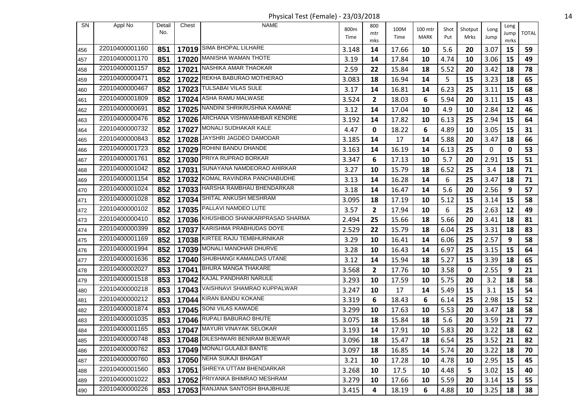Physical Test (Female) - 23/03/2018 14

| <b>SN</b> | Appl No        | Detail | Chest | <b>NAME</b>                         | 800m  | 800          | 100M  | 100 mtr | Shot | Shotput | Long         | Long       |              |
|-----------|----------------|--------|-------|-------------------------------------|-------|--------------|-------|---------|------|---------|--------------|------------|--------------|
|           |                | No.    |       |                                     | Time  | mtr          | Time  | MARK    | Put  | Mrks    | Jump         | Jump       | <b>TOTAL</b> |
| 456       | 22010400001160 | 851    | 17019 | <b>SIMA BHOPAL LILHARE</b>          | 3.148 | mks<br>14    | 17.66 | 10      | 5.6  | 20      | 3.07         | mrks<br>15 | 59           |
| 457       | 22010400001170 | 851    | 17020 | MANISHA WAMAN THOTE                 | 3.19  | 14           | 17.84 | 10      | 4.74 | 10      | 3.06         | 15         | 49           |
| 458       | 22010400001157 | 852    |       | 17021 NASHIKA AMAR THAOKAR          | 2.59  | 22           | 15.84 | 18      | 5.52 | 20      | 3.42         | 18         | 78           |
| 459       | 22010400000471 | 852    |       | 17022 REKHA BABURAO MOTHERAO        | 3.083 | 18           | 16.94 | 14      | 5    | 15      | 3.23         | 18         | 65           |
| 460       | 22010400000467 | 852    | 17023 | TULSABAI VILAS SULE                 | 3.17  | 14           | 16.81 | 14      | 6.23 | 25      | 3.11         | 15         | 68           |
| 461       | 22010400001809 | 852    |       | 17024 ASHA RAMU MALWASE             | 3.524 | $\mathbf{2}$ | 18.03 | 6       | 5.94 | 20      | 3.11         | 15         | 43           |
| 462       | 22010400000691 | 852    | 17025 | NANDINI SHRIKRUSHNA KAMANE          | 3.12  | 14           | 17.04 | 10      | 4.9  | 10      | 2.84         | 12         | 46           |
| 463       | 22010400000476 | 852    |       | 17026 ARCHANA VISHWAMHBAR KENDRE    | 3.192 | 14           | 17.82 | 10      | 6.13 | 25      | 2.94         | 15         | 64           |
| 464       | 22010400000732 | 852    |       | 17027 MONALI SUDHAKAR KALE          | 4.47  | 0            | 18.22 | 6       | 4.89 | 10      | 3.05         | 15         | 31           |
| 465       | 22010400000843 | 852    |       | 17028 JAYSHRI JAGDEO DAMODAR        | 3.185 | 14           | 17    | 14      | 5.88 | 20      | 3.47         | 18         | 66           |
| 466       | 22010400001723 | 852    |       | 17029 ROHINI BANDU DHANDE           | 3.163 | 14           | 16.19 | 14      | 6.13 | 25      | $\mathbf{0}$ | 0          | 53           |
| 467       | 22010400001761 | 852    | 17030 | PRIYA RUPRAO BORKAR                 | 3.347 | 6            | 17.13 | 10      | 5.7  | 20      | 2.91         | 15         | 51           |
| 468       | 22010400001042 | 852    |       | 17031 SUNAYANA NAMDEORAO AHIRKAR    | 3.27  | 10           | 15.79 | 18      | 6.52 | 25      | 3.4          | 18         | 71           |
| 469       | 22010400001154 | 852    | 17032 | KOMAL RAVINDRA PANCHABUDHE          | 3.13  | 14           | 16.28 | 14      | 6    | 25      | 3.47         | 18         | 71           |
| 470       | 22010400001024 | 852    |       | 17033   HARSHA RAMBHAU BHENDARKAR   | 3.18  | 14           | 16.47 | 14      | 5.6  | 20      | 2.56         | 9          | 57           |
| 471       | 22010400001028 | 852    |       | 17034 SHITAL ANKUSH MESHRAM         | 3.095 | 18           | 17.19 | 10      | 5.12 | 15      | 3.14         | 15         | 58           |
| 472       | 22010400000102 | 852    |       | 17035 PALLAVI NAMDEO LUTE           | 3.57  | $\mathbf{2}$ | 17.94 | 10      | 6    | 25      | 2.63         | 12         | 49           |
| 473       | 22010400000410 | 852    |       | 17036 KHUSHBOO SHANKARPRASAD SHARMA | 2.494 | 25           | 15.66 | 18      | 5.66 | 20      | 3.41         | 18         | 81           |
| 474       | 22010400000399 | 852    | 17037 | KARISHMA PRABHUDAS DOYE             | 2.529 | 22           | 15.79 | 18      | 6.04 | 25      | 3.31         | 18         | 83           |
| 475       | 22010400001169 | 852    |       | 17038 KIRTEE RAJU TEMBHURNIKAR      | 3.29  | 10           | 16.41 | 14      | 6.06 | 25      | 2.57         | 9          | 58           |
| 476       | 22010400001994 | 852    | 17039 | MONALI MANOHAR DHURVE               | 3.28  | 10           | 16.43 | 14      | 6.97 | 25      | 3.15         | 15         | 64           |
| 477       | 22010400001636 | 852    |       | 17040 SHUBHANGI KAMALDAS UTANE      | 3.12  | 14           | 15.94 | 18      | 5.27 | 15      | 3.39         | 18         | 65           |
| 478       | 22010400002027 | 853    |       | 17041 BHURA MANGA THAKARE           | 3.568 | $\mathbf{2}$ | 17.76 | 10      | 3.58 | 0       | 2.55         | 9          | 21           |
| 479       | 22010400001518 | 853    |       | 17042 KAJAL PANDHARI NARULE         | 3.293 | 10           | 17.59 | 10      | 5.75 | 20      | 3.2          | 18         | 58           |
| 480       | 22010400000218 | 853    |       | 17043   VAISHNAVI SHAMRAO KUPPALWAR | 3.247 | 10           | 17    | 14      | 5.49 | 15      | 3.1          | 15         | 54           |
| 481       | 22010400000212 | 853    | 17044 | KIRAN BANDU KOKANE                  | 3.319 | 6            | 18.43 | 6       | 6.14 | 25      | 2.98         | 15         | 52           |
| 482       | 22010400001874 | 853    |       | 17045 SONI VILAS KAWADE             | 3.299 | 10           | 17.63 | 10      | 5.53 | 20      | 3.47         | 18         | 58           |
| 483       | 22010400001035 | 853    |       | 17046 RUPALI BABURAO BHUTE          | 3.075 | 18           | 15.84 | 18      | 5.6  | 20      | 3.59         | 21         | 77           |
| 484       | 22010400001165 | 853    |       | 17047 MAYURI VINAYAK SELOKAR        | 3.193 | 14           | 17.91 | 10      | 5.83 | 20      | 3.22         | 18         | 62           |
| 485       | 22010400000748 | 853    |       | 17048 DILESHWARI BENIRAM BIJEWAR    | 3.096 | 18           | 15.47 | 18      | 6.54 | 25      | 3.52         | 21         | 82           |
| 486       | 22010400000762 | 853    |       | 17049 MONALI GULABJI BANTE          | 3.097 | 18           | 16.85 | 14      | 5.74 | 20      | 3.22         | 18         | 70           |
| 487       | 22010400000760 | 853    |       | 17050 NEHA SUKAJI BHAGAT            | 3.21  | 10           | 17.28 | 10      | 4.78 | 10      | 2.95         | 15         | 45           |
| 488       | 22010400001560 | 853    |       | 17051 SHREYA UTTAM BHENDARKAR       | 3.268 | 10           | 17.5  | 10      | 4.48 | 5       | 3.02         | 15         | 40           |
| 489       | 22010400001022 | 853    |       | 17052 PRIYANKA BHIMRAO MESHRAM      | 3.279 | 10           | 17.66 | 10      | 5.59 | 20      | 3.14         | 15         | 55           |
| 490       | 22010400000226 | 853    |       | 17053 RANJANA SANTOSH BHAJBHUJE     | 3.415 | 4            | 18.19 | 6       | 4.88 | 10      | 3.25         | 18         | 38           |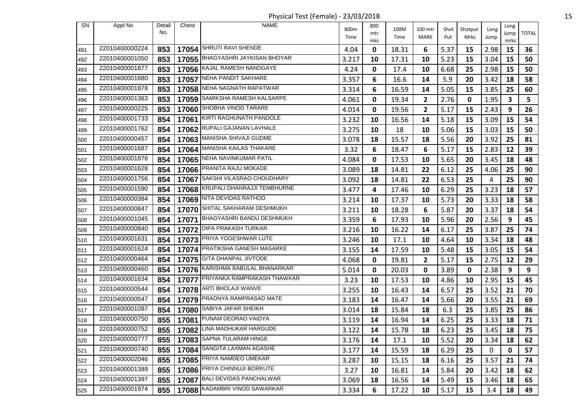Physical Test (Female) - 23/03/2018 15

| SN  | Appl No        | Detail | Chest | <b>NAME</b>                       |              | 800 |              |                 |             |                 |              | Long |              |
|-----|----------------|--------|-------|-----------------------------------|--------------|-----|--------------|-----------------|-------------|-----------------|--------------|------|--------------|
|     |                | No.    |       |                                   | 800m<br>Time | mtr | 100M<br>Time | 100 mtr<br>MARK | Shot<br>Put | Shotput<br>Mrks | Long<br>Jump | Jump | <b>TOTAL</b> |
|     |                |        |       | 17054 SHRUTI RAVI SHENDE          |              | mks |              |                 |             |                 |              | mrks |              |
| 491 | 22010400000224 | 853    |       | 17055 BHAGYASHRI JAYKISAN BHOYAR  | 4.04         | 0   | 18.31        | 6               | 5.37        | 15              | 2.98         | 15   | 36           |
| 492 | 22010400001050 | 853    |       |                                   | 3.217        | 10  | 17.31        | 10              | 5.23        | 15              | 3.04         | 15   | 50           |
| 493 | 22010400001877 | 853    |       | 17056 KAJAL RAMESH NANDGAYE       | 4.24         | 0   | 17.4         | 10              | 6.68        | 25              | 2.98         | 15   | 50           |
| 494 | 22010400001880 | 853    |       | 17057 NEHA PANDIT SAKHARE         | 3.357        | 6   | 16.6         | 14              | 5.9         | 20              | 3.42         | 18   | 58           |
| 495 | 22010400001878 | 853    |       | 17058 NEHA NAGNATH RAPATWAR       | 3.314        | 6   | 16.59        | 14              | 5.05        | 15              | 3.85         | 25   | 60           |
| 496 | 22010400001363 | 853    |       | 17059 SAMIKSHA RAMESH KALSARPE    | 4.061        | 0   | 19.34        | 2               | 2.76        | 0               | 1.95         | 3    | 5            |
| 497 | 22010400000225 | 853    | 17060 | SHOBHA VINOD TARARE               | 4.014        | 0   | 19.56        | $\mathbf{2}$    | 5.17        | 15              | 2.43         | 9    | 26           |
| 498 | 22010400001733 | 854    |       | 17061 KIRTI RAGHUNATH PANDOLE     | 3.232        | 10  | 16.56        | 14              | 5.18        | 15              | 3.09         | 15   | 54           |
| 499 | 22010400001762 | 854    |       | 17062 RUPALI GAJANAN LAVHALE      | 3.275        | 10  | 18           | 10              | 5.06        | 15              | 3.03         | 15   | 50           |
| 500 | 22010400000457 | 854    |       | 17063 MANISHA SHIVAJI GUDME       | 3.078        | 18  | 15.57        | 18              | 5.56        | 20              | 3.92         | 25   | 81           |
| 501 | 22010400001687 | 854    |       | 17064 MANISHA KAILAS THAKARE      | 3.32         | 6   | 18.47        | 6               | 5.17        | 15              | 2.83         | 12   | 39           |
| 502 | 22010400001876 | 854    |       | 17065 NEHA NAVINKUMAR PATIL       | 4.084        | 0   | 17.53        | 10              | 5.65        | 20              | 3.45         | 18   | 48           |
| 503 | 22010400001628 | 854    |       | 17066 PRANITA RAJU MOKADE         | 3.089        | 18  | 14.81        | 22              | 6.12        | 25              | 4.06         | 25   | 90           |
| 504 | 22010400001756 | 854    | 17067 | SAKSHI VILASRAO CHOUDHARY         | 3.092        | 18  | 14.81        | 22              | 6.53        | 25              | 4            | 25   | 90           |
| 505 | 22010400001590 | 854    |       | 17068 KRUPALI DHANRAJJI TEMBHURNE | 3.477        | 4   | 17.46        | 10              | 6.29        | 25              | 3.23         | 18   | 57           |
| 506 | 22010400000384 | 854    |       | 17069 NITA DEVIDAS RATHOD         | 3.214        | 10  | 17.37        | 10              | 5.73        | 20              | 3.33         | 18   | 58           |
| 507 | 22010400000847 | 854    |       | 17070 SHITAL SAKHARAM DESHMUKH    | 3.211        | 10  | 18.28        | 6               | 5.87        | 20              | 3.37         | 18   | 54           |
| 508 | 22010400001045 | 854    |       | 17071 BHAGYASHRI BANDU DESHMUKH   | 3.359        | 6   | 17.93        | 10              | 5.96        | 20              | 2.56         | 9    | 45           |
| 509 | 22010400000840 | 854    |       | 17072 DIPA PRAKASH TURKAR         | 3.216        | 10  | 16.22        | 14              | 6.17        | 25              | 3.87         | 25   | 74           |
| 510 | 22010400001631 | 854    |       | 17073 PRIYA YOGESHWAR LUTE        | 3.246        | 10  | 17.1         | 10              | 4.64        | 10              | 3.34         | 18   | 48           |
| 511 | 22010400001624 | 854    |       | 17074 PRATIKSHA GANESH MASARKE    | 3.155        | 14  | 17.59        | 10              | 5.48        | 15              | 3.05         | 15   | 54           |
| 512 | 22010400000464 | 854    |       | 17075 GITA DHANPAL JIVTODE        | 4.068        | 0   | 19.81        | $\mathbf{2}$    | 5.17        | 15              | 2.75         | 12   | 29           |
| 513 | 22010400000460 | 854    |       | 17076 KARISHMA BABULAL BHANARKAR  | 5.014        | 0   | 20.03        | 0               | 3.89        | 0               | 2.38         | 9    | 9            |
| 514 | 22010400001634 | 854    |       | 17077 PRIYANKA RAMPRAKASH THAWKAR | 3.23         | 10  | 17.53        | 10              | 4.86        | 10              | 2.95         | 15   | 45           |
| 515 | 22010400000544 | 854    |       | 17078 ARTI BHOLAJI WANVE          | 3.255        | 10  | 16.43        | 14              | 6.57        | 25              | 3.52         | 21   | 70           |
| 516 | 22010400000547 | 854    | 17079 | PRADNYA RAMPRASAD MATE            | 3.183        | 14  | 16.47        | 14              | 5.66        | 20              | 3.55         | 21   | 69           |
| 517 | 22010400001097 | 854    |       | 17080 SABIYA JAFAR SHEIKH         | 3.014        | 18  | 15.84        | 18              | 6.3         | 25              | 3.85         | 25   | 86           |
| 518 | 22010400000750 | 855    | 17081 | PUNAM DEORAO VAIDYA               | 3.119        | 14  | 16.94        | 14              | 6.25        | 25              | 3.33         | 18   | 71           |
| 519 | 22010400000752 |        |       | 855   17082 LINA MADHUKAR HARGUDE | 3.122        | 14  | 15.78        | 18              | 6.23        | 25              | 3.45         | 18   | 75           |
| 520 | 22010400000777 | 855    |       | 17083 SAPNA TULARAM HINGE         | 3.176        | 14  | 17.1         | 10              | 5.52        | 20              | 3.34         | 18   | 62           |
| 521 | 22010400000740 | 855    |       | 17084 SANGITA LAXMAN AGASHE       | 3.177        | 14  | 15.59        | 18              | 6.29        | 25              | $\mathbf{0}$ | 0    | 57           |
| 522 | 22010400002046 | 855    |       | 17085 PRIYA NAMDEO UMEKAR         | 3.287        | 10  | 15.15        | 18              | 6.16        | 25              | 3.57         | 21   | 74           |
| 523 | 22010400001389 | 855    |       | 17086 PRIYA CHINNUJI BORKUTE      | 3.27         | 10  | 16.81        | 14              | 5.84        | 20              | 3.42         | 18   | 62           |
| 524 | 22010400001397 | 855    |       | 17087 BALI DEVIDAS PANCHALWAR     | 3.069        | 18  | 16.56        | 14              | 5.49        | 15              | 3.46         | 18   | 65           |
|     | 22010400001974 |        |       | 17088 KADAMBRI VINOD SAWARKAR     |              |     |              |                 |             |                 |              |      |              |
| 525 |                | 855    |       |                                   | 3.334        | 6   | 17.22        | 10              | 5.17        | 15              | 3.4          | 18   | 49           |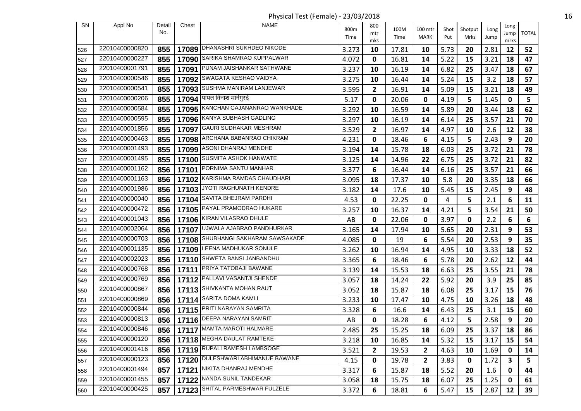Physical Test (Female) - 23/03/2018 16

| SN  | Appl No        | Detail | Chest | <b>NAME</b>                        |              | 800          |              |                        |             |                 |              | Long |              |
|-----|----------------|--------|-------|------------------------------------|--------------|--------------|--------------|------------------------|-------------|-----------------|--------------|------|--------------|
|     |                | No.    |       |                                    | 800m<br>Time | mtr          | 100M<br>Time | 100 mtr<br><b>MARK</b> | Shot<br>Put | Shotput<br>Mrks | Long<br>Jump | Jump | <b>TOTAL</b> |
|     |                |        |       |                                    |              | mks          |              |                        |             |                 |              | mrks |              |
| 526 | 22010400000820 | 855    | 17089 | DHANASHRI SUKHDEO NIKODE           | 3.273        | 10           | 17.81        | 10                     | 5.73        | 20              | 2.81         | 12   | 52           |
| 527 | 22010400000227 | 855    | 17090 | SARIKA SHAMRAO KUPPALWAR           | 4.072        | 0            | 16.81        | 14                     | 5.22        | 15              | 3.21         | 18   | 47           |
| 528 | 22010400001791 | 855    |       | 17091 PUNAM JAISHANKAR SATHWANE    | 3.237        | 10           | 16.19        | 14                     | 6.82        | 25              | 3.47         | 18   | 67           |
| 529 | 22010400000546 | 855    |       | 17092 SWAGATA KESHAO VAIDYA        | 3.275        | 10           | 16.44        | 14                     | 5.24        | 15              | 3.2          | 18   | 57           |
| 530 | 22010400000541 | 855    |       | 17093 SUSHMA MANIRAM LANJEWAR      | 3.595        | $\mathbf{2}$ | 16.91        | 14                     | 5.09        | 15              | 3.21         | 18   | 49           |
| 531 | 22010400000206 | 855    |       | 17094  पायल विनाश मानेगुरदे        | 5.17         | 0            | 20.06        | 0                      | 4.19        | 5               | 1.45         | 0    | 5            |
| 532 | 22010400000584 | 855    | 17095 | KANCHAN GAJANANRAO WANKHADE        | 3.292        | 10           | 16.59        | 14                     | 5.89        | 20              | 3.44         | 18   | 62           |
| 533 | 22010400000595 | 855    |       | 17096 KANYA SUBHASH GADLING        | 3.297        | 10           | 16.19        | 14                     | 6.14        | 25              | 3.57         | 21   | 70           |
| 534 | 22010400001856 | 855    | 17097 | <b>GAURI SUDHAKAR MESHRAM</b>      | 3.529        | $\mathbf{2}$ | 16.97        | 14                     | 4.97        | 10              | 2.6          | 12   | 38           |
| 535 | 22010400000463 | 855    |       | 17098 ARCHANA BABANRAO CHIKRAM     | 4.231        | 0            | 18.46        | 6                      | 4.15        | 5               | 2.43         | 9    | 20           |
| 536 | 22010400001493 | 855    |       | 17099 ASONI DHANRAJ MENDHE         | 3.194        | 14           | 15.78        | 18                     | 6.03        | 25              | 3.72         | 21   | 78           |
| 537 | 22010400001495 | 855    | 17100 | <b>SUSMITA ASHOK HANWATE</b>       | 3.125        | 14           | 14.96        | 22                     | 6.75        | 25              | 3.72         | 21   | 82           |
| 538 | 22010400001162 | 856    |       | 17101 PORNIMA SANTU MANHAR         | 3.377        | 6            | 16.44        | 14                     | 6.16        | 25              | 3.57         | 21   | 66           |
| 539 | 22010400001163 | 856    | 17102 | KARISHMA RAMDAS CHAUDHARI          | 3.095        | 18           | 17.37        | 10                     | 5.8         | 20              | 3.35         | 18   | 66           |
| 540 | 22010400001986 | 856    |       | 17103 JYOTI RAGHUNATH KENDRE       | 3.182        | 14           | 17.6         | 10                     | 5.45        | 15              | 2.45         | 9    | 48           |
| 541 | 22010400000040 | 856    |       | 17104 SAVITA BHEJRAM PARDHI        | 4.53         | 0            | 22.25        | 0                      | 4           | 5               | 2.1          | 6    | 11           |
| 542 | 22010400000472 | 856    |       | 17105 PAYAL PRAMODRAO HUKARE       | 3.257        | 10           | 16.37        | 14                     | 4.21        | 5               | 3.54         | 21   | 50           |
| 543 | 22010400001043 | 856    |       | 17106 KIRAN VILASRAO DHULE         | AB           | 0            | 22.06        | 0                      | 3.97        | 0               | 2.2          | 6    | 6            |
| 544 | 22010400002064 | 856    | 17107 | UJWALA AJABRAO PANDHURKAR          | 3.165        | 14           | 17.94        | 10                     | 5.65        | 20              | 2.31         | 9    | 53           |
| 545 | 22010400000703 | 856    |       | 17108 SHUBHANGI SAKHARAM SAWSAKADE | 4.085        | 0            | 19           | 6                      | 5.54        | 20              | 2.53         | 9    | 35           |
| 546 | 22010400001135 | 856    | 17109 | LEENA MADHUKAR SONULE              | 3.262        | 10           | 16.94        | 14                     | 4.95        | 10              | 3.33         | 18   | 52           |
| 547 | 22010400002023 | 856    |       | 17110 SHWETA BANSI JANBANDHU       | 3.365        | 6            | 18.46        | 6                      | 5.78        | 20              | 2.62         | 12   | 44           |
| 548 | 22010400000768 | 856    |       | 17111 PRIYA TATOBAJI BAWANE        | 3.139        | 14           | 15.53        | 18                     | 6.63        | 25              | 3.55         | 21   | 78           |
| 549 | 22010400000769 | 856    |       | 17112 PALLAVI VASANTJI SHENDE      | 3.057        | 18           | 14.24        | 22                     | 5.92        | 20              | 3.9          | 25   | 85           |
| 550 | 22010400000867 | 856    |       | 17113 SHIVKANTA MOHAN RAUT         | 3.052        | 18           | 15.87        | 18                     | 6.08        | 25              | 3.17         | 15   | 76           |
| 551 | 22010400000869 | 856    | 17114 | SARITA DOMA KAMLI                  | 3.233        | 10           | 17.47        | 10                     | 4.75        | 10              | 3.26         | 18   | 48           |
| 552 | 22010400000844 | 856    |       | 17115 PRITI NARAYAN SAMRITA        | 3.328        | 6            | 16.6         | 14                     | 6.43        | 25              | 3.1          | 15   | 60           |
| 553 | 22010400000813 | 856    |       | 17116 DEEPA NARAYAN SAMRIT         | AB           | 0            | 18.28        | 6                      | 4.12        | 5               | 2.58         | 9    | 20           |
| 554 | 22010400000846 | 856    |       | 17117 MANTA MAROTI HALMARE         | 2.485        | 25           | 15.25        | 18                     | 6.09        | 25              | 3.37         | 18   | 86           |
| 555 | 22010400000120 | 856    |       | 17118 MEGHA DAULAT RAMTEKE         | 3.218        | 10           | 16.85        | 14                     | 5.32        | 15              | 3.17         | 15   | 54           |
| 556 | 22010400001416 | 856    |       | 17119 RUPALI RAMESH LAMBSOGE       | 3.521        | $\mathbf{2}$ | 19.53        | $\mathbf{2}$           | 4.63        | 10              | 1.69         | 0    | 14           |
| 557 | 22010400000123 | 856    |       | 17120 DULESHWARI ABHIMANUE BAWANE  | 4.15         | 0            | 19.78        | 2                      | 3.83        | 0               | 1.72         | 3    | 5            |
| 558 | 22010400001494 | 857    |       | 17121 NIKITA DHANRAJ MENDHE        | 3.317        | 6            | 15.87        | 18                     | 5.52        | 20              | 1.6          | 0    | 44           |
| 559 | 22010400001455 | 857    |       | 17122 NANDA SUNIL TANDEKAR         | 3.058        | 18           | 15.75        | 18                     | 6.07        | 25              | 1.25         | 0    | 61           |
| 560 | 22010400000425 | 857    |       | 17123 SHITAL PARMESHWAR FULZELE    | 3.372        | 6            | 18.81        | 6                      | 5.47        | 15              | 2.87         | 12   | 39           |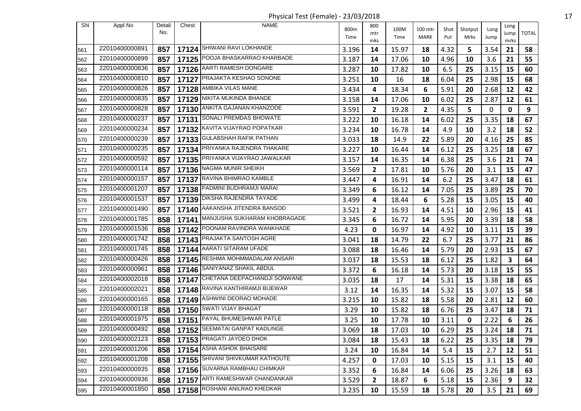Physical Test (Female) - 23/03/2018 17

| SN  | Appl No        | Detail<br>No. | Chest | <b>NAME</b>                        | 800m<br>Time | 800<br>mtr<br>mks | 100M<br>Time | 100 mtr<br>MARK | Shot<br>Put | Shotput<br>Mrks | Long<br>Jump | Long<br>Jump<br>mrks | <b>TOTAL</b> |
|-----|----------------|---------------|-------|------------------------------------|--------------|-------------------|--------------|-----------------|-------------|-----------------|--------------|----------------------|--------------|
| 561 | 22010400000891 | 857           |       | 17124 SHIWANI RAVI LOKHANDE        | 3.196        | 14                | 15.97        | 18              | 4.32        | 5               | 3.54         | 21                   | 58           |
| 562 | 22010400000899 | 857           |       | 17125 POOJA BHASKARRAO KHARBADE    | 3.187        | 14                | 17.06        | 10              | 4.96        | 10              | 3.6          | 21                   | 55           |
| 563 | 22010400000836 | 857           |       | 17126 AARTI RAMESH DONGARE         | 3.287        | 10                | 17.82        | 10              | 6.5         | 25              | 3.15         | 15                   | 60           |
| 564 | 22010400000810 | 857           |       | 17127 PRAJAKTA KESHAO SONONE       | 3.251        | 10                | 16           | 18              | 6.04        | 25              | 2.98         | 15                   | 68           |
| 565 | 22010400000826 | 857           |       | 17128 AMBIKA VILAS MANE            | 3.434        | 4                 | 18.34        | 6               | 5.91        | 20              | 2.68         | 12                   | 42           |
| 566 | 22010400000835 | 857           |       | 17129 NIKITA MUKINDA BHANDE        | 3.158        | 14                | 17.06        | 10              | 6.02        | 25              | 2.87         | 12                   | 61           |
| 567 | 22010400000828 | 857           | 17130 | ANKITA GAJANAN KHANZODE            | 3.591        | $\mathbf{2}$      | 19.28        | 2               | 4.35        | 5               | 0            | $\mathbf 0$          | 9            |
| 568 | 22010400000237 | 857           |       | 17131 SONALI PREMDAS BHOWATE       | 3.222        | 10                | 16.18        | 14              | 6.02        | 25              | 3.35         | 18                   | 67           |
| 569 | 22010400000234 | 857           |       | 17132 KAVITA VIJAYRAO POPATKAR     | 3.234        | 10                | 16.78        | 14              | 4.9         | 10              | 3.2          | 18                   | 52           |
| 570 | 22010400000239 | 857           |       | 17133   GULABSHAH RAFIK PATHAN     | 3.033        | 18                | 14.9         | 22              | 5.89        | 20              | 4.16         | 25                   | 85           |
| 571 | 22010400000235 | 857           |       | 17134 PRIYANKA RAJENDRA THAKARE    | 3.227        | 10                | 16.44        | 14              | 6.12        | 25              | 3.25         | 18                   | 67           |
| 572 | 22010400000592 | 857           |       | 17135 PRIYANKA VIJAYRAO JAWALKAR   | 3.157        | 14                | 16.35        | 14              | 6.38        | 25              | 3.6          | 21                   | 74           |
| 573 | 22010400000114 | 857           |       | 17136 NAGMA MUNIR SHEIKH           | 3.569        | 2                 | 17.81        | 10              | 5.76        | 20              | 3.1          | 15                   | 47           |
| 574 | 22010400000157 | 857           | 17137 | RAVINA BHIMRAO KAMBLE              | 3.447        | 4                 | 16.91        | 14              | 6.2         | 25              | 3.47         | 18                   | 61           |
| 575 | 22010400001207 | 857           |       | 17138 PADMINI BUDHRAMJI MARAI      | 3.349        | 6                 | 16.12        | 14              | 7.05        | 25              | 3.89         | 25                   | 70           |
| 576 | 22010400001537 | 857           |       | 17139 DIKSHA RAJENDRA TAYADE       | 3.499        | 4                 | 18.44        | 6               | 5.28        | 15              | 3.05         | 15                   | 40           |
| 577 | 22010400001490 | 857           |       | 17140 AAKANSHA JITENDRA BANSOD     | 3.521        | $\mathbf{2}$      | 16.93        | 14              | 4.51        | 10              | 2.96         | 15                   | 41           |
| 578 | 22010400001785 | 858           |       | 17141 MANJUSHA SUKHARAM KHOBRAGADE | 3.345        | 6                 | 16.72        | 14              | 5.95        | 20              | 3.39         | 18                   | 58           |
| 579 | 22010400001536 | 858           | 17142 | POONAM RAVINDRA WANKHADE           | 4.23         | 0                 | 16.97        | 14              | 4.92        | 10              | 3.11         | 15                   | 39           |
| 580 | 22010400001742 | 858           |       | 17143 PRAJAKTA SANTOSH AGRE        | 3.041        | 18                | 14.79        | 22              | 6.7         | 25              | 3.77         | 21                   | 86           |
| 581 | 22010400001745 | 858           | 17144 | AARATI SITARAM UFADE               | 3.088        | 18                | 16.46        | 14              | 5.79        | 20              | 2.93         | 15                   | 67           |
| 582 | 22010400000426 | 858           |       | 17145 RESHMA MOHMMADALAM ANSARI    | 3.037        | 18                | 15.53        | 18              | 6.12        | 25              | 1.82         | 3                    | 64           |
| 583 | 22010400000961 | 858           | 17146 | SANIYANAZ SHAKIL ABDUL             | 3.372        | 6                 | 16.18        | 14              | 5.73        | 20              | 3.18         | 15                   | 55           |
| 584 | 22010400002018 | 858           |       | 17147 CHETANA DEEPACHANDJI SONWANE | 3.035        | 18                | 17           | 14              | 5.31        | 15              | 3.38         | 18                   | 65           |
| 585 | 22010400002021 | 858           |       | 17148 RAVINA KANTHIRAMJI BIJEWAR   | 3.12         | 14                | 16.35        | 14              | 5.32        | 15              | 3.07         | 15                   | 58           |
| 586 | 22010400000165 | 858           |       | 17149 ASHWINI DEORAO MOHADE        | 3.215        | 10                | 15.82        | 18              | 5.58        | 20              | 2.81         | 12                   | 60           |
| 587 | 22010400000118 | 858           |       | 17150 SWATI VIJAY BHAGAT           | 3.29         | 10                | 15.82        | 18              | 6.76        | 25              | 3.47         | 18                   | 71           |
| 588 | 22010400001975 | 858           | 17151 | PAYAL BHUMESHWAR PATLE             | 3.25         | 10                | 17.78        | 10              | 3.11        | 0               | 2.22         | 6                    | 26           |
| 589 | 22010400000492 | 858           |       | 17152 SEEMATAI GANPAT KADLINGE     | 3.069        | 18                | 17.03        | 10              | 6.29        | 25              | 3.24         | 18                   | ${\bf 71}$   |
| 590 | 22010400002123 | 858           |       | 17153 PRAGATI JAYDEO DHOK          | 3.084        | 18                | 15.43        | 18              | 6.22        | 25              | 3.35         | 18                   | 79           |
| 591 | 22010400001206 | 858           |       | 17154 ASHA ASHOK BHAISARE          | 3.24         | 10                | 16.84        | 14              | 5.4         | 15              | 2.7          | 12                   | 51           |
| 592 | 22010400001208 | 858           |       | 17155 SHIVANI SHIVKUMAR KATHOUTE   | 4.257        | 0                 | 17.03        | 10              | 5.15        | 15              | 3.1          | 15                   | 40           |
| 593 | 22010400000935 | 858           |       | 17156 SUVARNA RAMBHAU CHIMKAR      | 3.352        | 6                 | 16.84        | 14              | 6.06        | 25              | 3.26         | 18                   | 63           |
| 594 | 22010400000936 | 858           |       | 17157 ARTI RAMESHWAR CHANDANKAR    | 3.529        | $\mathbf{2}$      | 18.87        | 6               | 5.18        | 15              | 2.36         | 9                    | 32           |
| 595 | 22010400001850 | 858           |       | 17158 ROSHANI ANILRAO KHEDKAR      | 3.235        | 10                | 15.59        | 18              | 5.78        | 20              | 3.5          | 21                   | 69           |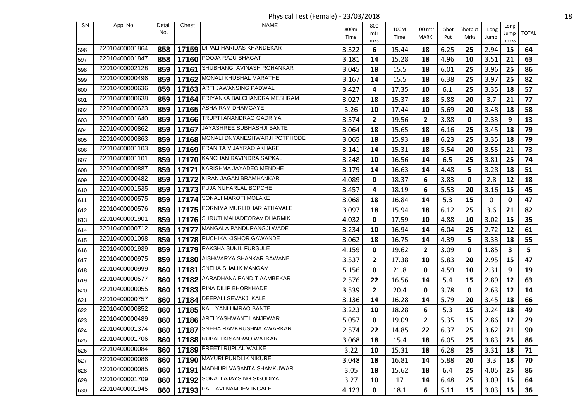Physical Test (Female) - 23/03/2018 18

| SN  | Appl No        | Detail | Chest | <b>NAME</b>                          |       | 800          |       |         |      |         |              |              |              |
|-----|----------------|--------|-------|--------------------------------------|-------|--------------|-------|---------|------|---------|--------------|--------------|--------------|
|     |                | No.    |       |                                      | 800m  | mtr          | 100M  | 100 mtr | Shot | Shotput | Long         | Long<br>Jump | <b>TOTAL</b> |
|     |                |        |       |                                      | Time  | mks          | Time  | MARK    | Put  | Mrks    | Jump         | mrks         |              |
| 596 | 22010400001864 | 858    |       | 17159 DIPALI HARIDAS KHANDEKAR       | 3.322 | 6            | 15.44 | 18      | 6.25 | 25      | 2.94         | 15           | 64           |
| 597 | 22010400001847 | 858    | 17160 | POOJA RAJU BHAGAT                    | 3.181 | 14           | 15.28 | 18      | 4.96 | 10      | 3.51         | 21           | 63           |
| 598 | 22010400002128 | 859    |       | 17161 SHUBHANGI AVINASH ROHANKAR     | 3.045 | 18           | 15.5  | 18      | 6.01 | 25      | 3.96         | 25           | 86           |
| 599 | 22010400000496 | 859    |       | 17162 MONALI KHUSHAL MARATHE         | 3.167 | 14           | 15.5  | 18      | 6.38 | 25      | 3.97         | 25           | 82           |
| 600 | 22010400000636 | 859    |       | 17163 ARTI JAWANSING PADWAL          | 3.427 | 4            | 17.35 | 10      | 6.1  | 25      | 3.35         | 18           | 57           |
| 601 | 22010400000638 | 859    |       | 17164 PRIYANKA BALCHANDRA MESHRAM    | 3.027 | 18           | 15.37 | 18      | 5.88 | 20      | 3.7          | 21           | 77           |
| 602 | 22010400000623 | 859    |       | 17165 ASHA RAM DHAMGAYE              | 3.26  | 10           | 17.44 | 10      | 5.69 | 20      | 3.48         | 18           | 58           |
| 603 | 22010400001640 | 859    |       | 17166 TRUPTI ANANDRAO GADRIYA        | 3.574 | 2            | 19.56 | 2       | 3.88 | 0       | 2.33         | 9            | 13           |
| 604 | 22010400000862 | 859    | 17167 | JAYASHREE SUBHASHJI BANTE            | 3.064 | 18           | 15.65 | 18      | 6.16 | 25      | 3.45         | 18           | 79           |
| 605 | 22010400000863 | 859    |       | 17168 MONALI DNYANESHWARJI POTPHODE  | 3.065 | 18           | 15.93 | 18      | 6.23 | 25      | 3.35         | 18           | 79           |
| 606 | 22010400001103 | 859    |       | 17169 PRANITA VIJAYRAO AKHARE        | 3.141 | 14           | 15.31 | 18      | 5.54 | 20      | 3.55         | 21           | 73           |
| 607 | 22010400001101 | 859    |       | 17170 KANCHAN RAVINDRA SAPKAL        | 3.248 | 10           | 16.56 | 14      | 6.5  | 25      | 3.81         | 25           | 74           |
| 608 | 22010400000887 | 859    |       | 17171 KARISHMA JAYADEO MENDHE        | 3.179 | 14           | 16.63 | 14      | 4.48 | 5       | 3.28         | 18           | 51           |
| 609 | 22010400000482 | 859    |       | 17172 KIRAN JAGAN BRAMHANKAR         | 4.089 | 0            | 18.37 | 6       | 3.83 | 0       | 2.8          | 12           | 18           |
| 610 | 22010400001535 | 859    |       | 17173 PUJA NUHARLAL BOPCHE           | 3.457 | 4            | 18.19 | 6       | 5.53 | 20      | 3.16         | 15           | 45           |
| 611 | 22010400000575 | 859    |       | 17174 SONALI MAROTI MOLAKE           | 3.068 | 18           | 16.84 | 14      | 5.3  | 15      | $\mathbf{0}$ | 0            | 47           |
| 612 | 22010400000576 | 859    |       | 17175 PORNIMA MURLIDHAR ATHAVALE     | 3.097 | 18           | 15.94 | 18      | 6.12 | 25      | 3.6          | 21           | 82           |
| 613 | 22010400001901 | 859    |       | 17176 SHRUTI MAHADEORAV DHARMIK      | 4.032 | 0            | 17.59 | 10      | 4.88 | 10      | 3.02         | 15           | 35           |
| 614 | 22010400000712 | 859    | 17177 | MANGALA PANDURANGJI WADE             | 3.234 | 10           | 16.94 | 14      | 6.04 | 25      | 2.72         | 12           | 61           |
| 615 | 22010400001098 | 859    |       | 17178 RUCHIKA KISHOR GAWANDE         | 3.062 | 18           | 16.75 | 14      | 4.39 | 5       | 3.33         | 18           | 55           |
| 616 | 22010400001939 | 859    |       | 17179 RAKSHA SUNIL FURSULE           | 4.159 | 0            | 19.62 | 2       | 3.09 | 0       | 1.85         | 3            | 5            |
| 617 | 22010400000975 | 859    |       | 17180 AISHWARYA SHANKAR BAWANE       | 3.537 | 2            | 17.38 | 10      | 5.83 | 20      | 2.95         | 15           | 47           |
| 618 | 22010400000999 | 860    | 17181 | <b>SNEHA SHALIK MANGAM</b>           | 5.156 | 0            | 21.8  | 0       | 4.59 | 10      | 2.31         | 9            | 19           |
| 619 | 22010400000577 | 860    |       | 17182 AARADHANA PANDIT AAMBEKAR      | 2.576 | 22           | 16.56 | 14      | 5.4  | 15      | 2.89         | 12           | 63           |
| 620 | 22010400000055 | 860    |       | 17183 RINA DILIP BHORKHADE           | 3.539 | $\mathbf{2}$ | 20.4  | 0       | 3.78 | 0       | 2.63         | 12           | 14           |
| 621 | 22010400000757 | 860    | 17184 | DEEPALI SEVAKJI KALE                 | 3.136 | 14           | 16.28 | 14      | 5.79 | 20      | 3.45         | 18           | 66           |
| 622 | 22010400000852 | 860    |       | 17185 KALLYANI UMRAO BANTE           | 3.223 | 10           | 18.28 | 6       | 5.3  | 15      | 3.24         | 18           | 49           |
| 623 | 22010400000489 | 860    |       | 17186 ARTI YASHWANT LANJEWAR         | 5.057 | 0            | 19.09 | 2       | 5.35 | 15      | 2.86         | 12           | 29           |
| 624 | 22010400001374 |        |       | 860   17187 SNEHA RAMKRUSHNA AWARKAR | 2.574 | 22           | 14.85 | 22      | 6.37 | 25      | 3.62         | 21           | 90           |
| 625 | 22010400001706 | 860    |       | 17188 RUPALI KISANRAO WATKAR         | 3.068 | 18           | 15.4  | 18      | 6.05 | 25      | 3.83         | 25           | 86           |
| 626 | 22010400000084 | 860    |       | 17189 PREETI RUPLAL WALKE            | 3.22  | 10           | 15.31 | 18      | 6.28 | 25      | 3.31         | 18           | 71           |
| 627 | 22010400000086 | 860    |       | 17190 MAYURI PUNDLIK NIKURE          | 3.048 | 18           | 16.81 | 14      | 5.88 | 20      | 3.3          | 18           | 70           |
| 628 | 22010400000085 | 860    |       | 17191 MADHURI VASANTA SHAMKUWAR      | 3.05  | 18           | 15.62 | 18      | 6.4  | 25      | 4.05         | 25           | 86           |
| 629 | 22010400001709 | 860    |       | 17192 SONALI AJAYSING SISODIYA       | 3.27  | 10           | 17    | 14      | 6.48 | 25      | 3.09         | 15           | 64           |
| 630 | 22010400001945 | 860    |       | 17193 PALLAVI NAMDEV INGALE          | 4.123 | $\mathbf 0$  | 18.1  | 6       | 5.11 | 15      | 3.03         | 15           | 36           |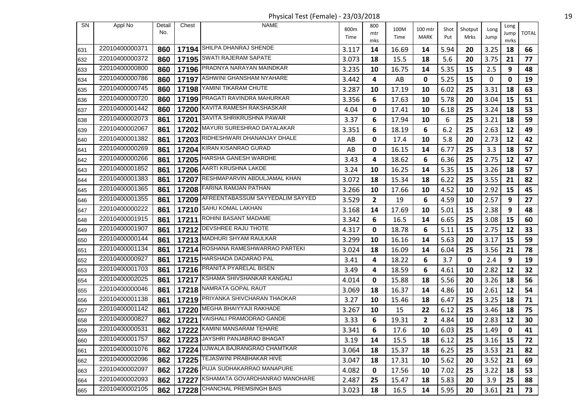Physical Test (Female) - 23/03/2018 19

| SN  | Appl No        | Detail | Chest | <b>NAME</b>                            |       | 800          |       |         |      |         |      | Long      |              |
|-----|----------------|--------|-------|----------------------------------------|-------|--------------|-------|---------|------|---------|------|-----------|--------------|
|     |                | No.    |       |                                        | 800m  | mtr          | 100M  | 100 mtr | Shot | Shotput | Long | Jump      | <b>TOTAL</b> |
|     |                |        |       |                                        | Time  | mks          | Time  | MARK    | Put  | Mrks    | Jump | mrks      |              |
| 631 | 22010400000371 | 860    |       | 17194 SHILPA DHANRAJ SHENDE            | 3.117 | 14           | 16.69 | 14      | 5.94 | 20      | 3.25 | 18        | 66           |
| 632 | 22010400000372 | 860    |       | 17195 SWATI RAJERAM SAPATE             | 3.073 | 18           | 15.5  | 18      | 5.6  | 20      | 3.75 | 21        | 77           |
| 633 | 22010400000800 | 860    |       | 17196 PRADNYA NARAYAN MAINDKAR         | 3.235 | 10           | 16.75 | 14      | 5.35 | 15      | 2.5  | 9         | 48           |
| 634 | 22010400000786 | 860    |       | 17197 ASHWINI GHANSHAM NYAHARE         | 3.442 | 4            | AB    | 0       | 5.25 | 15      | 0    | 0         | 19           |
| 635 | 22010400000745 | 860    |       | 17198 YAMINI TIKARAM CHUTE             | 3.287 | 10           | 17.19 | 10      | 6.02 | 25      | 3.31 | 18        | 63           |
| 636 | 22010400000720 | 860    |       | 17199 PRAGATI RAVINDRA MAHURKAR        | 3.356 | 6            | 17.63 | 10      | 5.78 | 20      | 3.04 | 15        | 51           |
| 637 | 22010400001442 | 860    | 17200 | KAVITA RAMESH RAKSHASKAR               | 4.04  | 0            | 17.41 | 10      | 6.18 | 25      | 3.24 | 18        | 53           |
| 638 | 22010400002073 | 861    |       | 17201 SAVITA SHRIKRUSHNA PAWAR         | 3.37  | 6            | 17.94 | 10      | 6    | 25      | 3.21 | 18        | 59           |
| 639 | 22010400002067 | 861    |       | 17202 MAYURI SURESHRAO DAYALAKAR       | 3.351 | 6            | 18.19 | 6       | 6.2  | 25      | 2.63 | 12        | 49           |
| 640 | 22010400001382 | 861    |       | 17203 RIDHESHWARI DHANANJAY DHALE      | AB    | 0            | 17.4  | 10      | 5.8  | 20      | 2.73 | 12        | 42           |
| 641 | 22010400000269 | 861    |       | 17204 KIRAN KISANRAO GURAD             | AB    | 0            | 16.15 | 14      | 6.77 | 25      | 3.3  | 18        | 57           |
| 642 | 22010400000266 | 861    |       | 17205 HARSHA GANESH WARDHE             | 3.43  | 4            | 18.62 | 6       | 6.36 | 25      | 2.75 | 12        | 47           |
| 643 | 22010400001852 | 861    |       | 17206 AARTI KRUSHNA LAKDE              | 3.24  | 10           | 16.25 | 14      | 5.35 | 15      | 3.26 | 18        | 57           |
| 644 | 22010400001383 | 861    | 17207 | RESHMAPARVIN ABDULJAMAL KHAN           | 3.072 | 18           | 15.34 | 18      | 6.22 | 25      | 3.55 | 21        | 82           |
| 645 | 22010400001365 | 861    |       | 17208 FARINA RAMJAN PATHAN             | 3.266 | 10           | 17.66 | 10      | 4.52 | 10      | 2.92 | 15        | 45           |
| 646 | 22010400001355 | 861    |       | 17209 AFREENTABASSUM SAYYEDALIM SAYYED | 3.529 | $\mathbf{2}$ | 19    | 6       | 4.59 | 10      | 2.57 | 9         | 27           |
| 647 | 22010400000222 | 861    |       | 17210 SAHU KOMAL LAKHAN                | 3.168 | 14           | 17.69 | 10      | 5.01 | 15      | 2.38 | 9         | 48           |
| 648 | 22010400001915 | 861    |       | 17211 ROHINI BASANT MADAME             | 3.342 | 6            | 16.5  | 14      | 6.65 | 25      | 3.08 | 15        | 60           |
| 649 | 22010400001907 | 861    | 17212 | <b>DEVSHREE RAJU THOTE</b>             | 4.317 | 0            | 18.78 | 6       | 5.11 | 15      | 2.75 | 12        | 33           |
| 650 | 22010400000144 | 861    |       | 17213 MADHURI SHYAM RAULKAR            | 3.299 | 10           | 16.16 | 14      | 5.63 | 20      | 3.17 | 15        | 59           |
| 651 | 22010400001134 | 861    | 17214 | ROSHANA RAMESHWARRAO PARTEKI           | 3.024 | 18           | 16.09 | 14      | 6.04 | 25      | 3.56 | 21        | 78           |
| 652 | 22010400000927 | 861    |       | 17215 HARSHADA DADARAO PAL             | 3.41  | 4            | 18.22 | 6       | 3.7  | 0       | 2.4  | 9         | 19           |
| 653 | 22010400001703 | 861    |       | 17216 PRANITA PYARELAL BISEN           | 3.49  | 4            | 18.59 | 6       | 4.61 | 10      | 2.82 | 12        | 32           |
| 654 | 22010400002025 | 861    |       | 17217 KSHAMA SHIVSHANKAR KANGALI       | 4.014 | 0            | 15.88 | 18      | 5.56 | 20      | 3.26 | 18        | 56           |
| 655 | 22010400000046 | 861    |       | 17218 NAMRATA GOPAL RAUT               | 3.069 | 18           | 16.37 | 14      | 4.86 | 10      | 2.61 | 12        | 54           |
| 656 | 22010400001138 | 861    | 17219 | PRIYANKA SHIVCHARAN THAOKAR            | 3.27  | 10           | 15.46 | 18      | 6.47 | 25      | 3.25 | 18        | 71           |
| 657 | 22010400001142 | 861    |       | 17220 MEGHA BHAIYYAJI RAKHADE          | 3.267 | 10           | 15    | 22      | 6.12 | 25      | 3.46 | 18        | 75           |
| 658 | 22010400000827 | 862    | 17221 | VAISHALI PRAMODRAO GANDE               | 3.33  | 6            | 19.31 | 2       | 4.84 | 10      | 2.83 | 12        | 30           |
| 659 | 22010400000531 | 862    |       | 17222 KAMINI MANSARAM TEHARE           | 3.341 | 6            | 17.6  | 10      | 6.03 | 25      | 1.49 | $\pmb{0}$ | 41           |
| 660 | 22010400001757 | 862    |       | 17223 JAYSHRI PANJABRAO BHAGAT         | 3.19  | 14           | 15.5  | 18      | 6.12 | 25      | 3.16 | 15        | 72           |
| 661 | 22010400001076 | 862    |       | 17224 UJWALA BAJRANGRAO CHAMTKAR       | 3.064 | 18           | 15.37 | 18      | 6.25 | 25      | 3.53 | 21        | 82           |
| 662 | 22010400002096 | 862    |       | 17225 TEJASWINI PRABHAKAR HIVE         | 3.047 | 18           | 17.31 | 10      | 5.62 | 20      | 3.52 | 21        | 69           |
| 663 | 22010400002097 | 862    | 17226 | PUJA SUDHAKARRAO MANAPURE              | 4.082 | 0            | 17.56 | 10      | 7.02 | 25      | 3.22 | 18        | 53           |
| 664 | 22010400002093 | 862    |       | 17227 KSHAMATA GOVARDHANRAO MANOHARE   | 2.487 | 25           | 15.47 | 18      | 5.83 | 20      | 3.9  | 25        | 88           |
| 665 | 22010400002105 | 862    |       | 17228 CHANCHAL PREMSINGH BAIS          | 3.023 | 18           | 16.5  | 14      | 5.95 | 20      | 3.61 | 21        | 73           |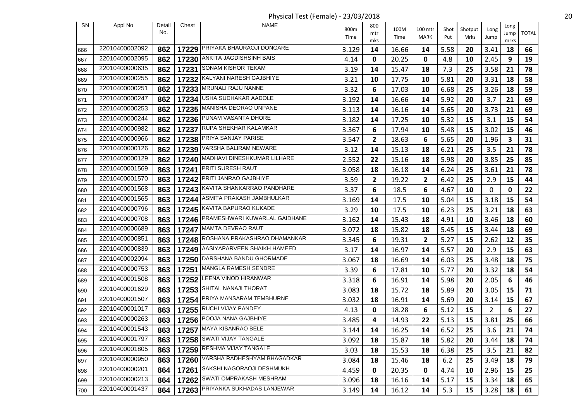Physical Test (Female) - 23/03/2018 20

| <b>SN</b> | Appl No        | Detail | Chest | <b>NAME</b>                         |       | 800          |       |                         |      |         |                | Long        |              |
|-----------|----------------|--------|-------|-------------------------------------|-------|--------------|-------|-------------------------|------|---------|----------------|-------------|--------------|
|           |                | No.    |       |                                     | 800m  | mtr          | 100M  | 100 mtr                 | Shot | Shotput | Long           | Jump        | <b>TOTAL</b> |
|           |                |        |       |                                     | Time  | mks          | Time  | MARK                    | Put  | Mrks    | Jump           | mrks        |              |
| 666       | 22010400002092 | 862    |       | 17229 PRIYAKA BHAURAOJI DONGARE     | 3.129 | 14           | 16.66 | 14                      | 5.58 | 20      | 3.41           | 18          | 66           |
| 667       | 22010400002095 | 862    | 17230 | ANKITA JAGDISHSINH BAIS             | 4.14  | 0            | 20.25 | 0                       | 4.8  | 10      | 2.45           | 9           | 19           |
| 668       | 22010400000635 | 862    |       | 17231 SONAM KISHOR TEKAM            | 3.19  | 14           | 15.47 | 18                      | 7.3  | 25      | 3.58           | 21          | 78           |
| 669       | 22010400000255 | 862    |       | 17232 KALYANI NARESH GAJBHIYE       | 3.21  | 10           | 17.75 | 10                      | 5.81 | 20      | 3.31           | 18          | 58           |
| 670       | 22010400000251 | 862    |       | 17233 MRUNALI RAJU NANNE            | 3.32  | 6            | 17.03 | 10                      | 6.68 | 25      | 3.26           | 18          | 59           |
| 671       | 22010400000247 | 862    |       | 17234 USHA SUDHAKAR AADOLE          | 3.192 | 14           | 16.66 | 14                      | 5.92 | 20      | 3.7            | 21          | 69           |
| 672       | 22010400000253 | 862    |       | 17235 MANISHA DEORAO UNPANE         | 3.113 | 14           | 16.16 | 14                      | 5.65 | 20      | 3.73           | 21          | 69           |
| 673       | 22010400000244 | 862    |       | 17236 PUNAM VASANTA DHORE           | 3.182 | 14           | 17.25 | 10                      | 5.32 | 15      | 3.1            | 15          | 54           |
| 674       | 22010400000982 | 862    | 17237 | RUPA SHEKHAR KALAMKAR               | 3.367 | 6            | 17.94 | 10                      | 5.48 | 15      | 3.02           | 15          | 46           |
| 675       | 22010400000966 | 862    |       | 17238 PRIYA SANJAY PARISE           | 3.547 | $\mathbf{2}$ | 18.63 | 6                       | 5.65 | 20      | 1.96           | 3           | 31           |
| 676       | 22010400000126 | 862    | 17239 | VARSHA BALIRAM NEWARE               | 3.12  | 14           | 15.13 | 18                      | 6.21 | 25      | 3.5            | 21          | 78           |
| 677       | 22010400000129 | 862    |       | 17240 MADHAVI DINESHKUMAR LILHARE   | 2.552 | 22           | 15.16 | 18                      | 5.98 | 20      | 3.85           | 25          | 85           |
| 678       | 22010400001569 | 863    |       | 17241 PRITI SURESH RAUT             | 3.058 | 18           | 16.18 | 14                      | 6.24 | 25      | 3.61           | 21          | 78           |
| 679       | 22010400001570 | 863    | 17242 | PRITI JANRAO GAJBHIYE               | 3.59  | $\mathbf{2}$ | 19.22 | $\overline{\mathbf{2}}$ | 6.42 | 25      | 2.9            | 15          | 44           |
| 680       | 22010400001568 | 863    |       | 17243 KAVITA SHANKARRAO PANDHARE    | 3.37  | 6            | 18.5  | 6                       | 4.67 | 10      | 0              | $\mathbf 0$ | 22           |
| 681       | 22010400001565 | 863    | 17244 | ASMITA PRAKASH JAMBHULKAR           | 3.169 | 14           | 17.5  | 10                      | 5.04 | 15      | 3.18           | 15          | 54           |
| 682       | 22010400000796 | 863    |       | 17245 KAVITA BAPURAO KUKADE         | 3.29  | 10           | 17.5  | 10                      | 6.23 | 25      | 3.21           | 18          | 63           |
| 683       | 22010400000708 | 863    |       | 17246 PRAMESHWARI KUWARLAL GAIDHANE | 3.162 | 14           | 15.43 | 18                      | 4.91 | 10      | 3.46           | 18          | 60           |
| 684       | 22010400000689 | 863    | 17247 | MAMTA DEVRAO RAUT                   | 3.072 | 18           | 15.82 | 18                      | 5.45 | 15      | 3.44           | 18          | 69           |
| 685       | 22010400000851 | 863    |       | 17248 ROSHANA PRAKASHRAO DHAMANKAR  | 3.345 | 6            | 19.31 | 2                       | 5.27 | 15      | 2.62           | 12          | 35           |
| 686       | 22010400000839 | 863    | 17249 | AASIYAPARVEEN SHAIKH HAMEED         | 3.17  | 14           | 16.97 | 14                      | 5.57 | 20      | 2.9            | 15          | 63           |
| 687       | 22010400002094 | 863    |       | 17250 DARSHANA BANDU GHORMADE       | 3.067 | 18           | 16.69 | 14                      | 6.03 | 25      | 3.48           | 18          | 75           |
| 688       | 22010400000753 | 863    | 17251 | <b>MANGLA RAMESH SENDRE</b>         | 3.39  | 6            | 17.81 | 10                      | 5.77 | 20      | 3.32           | 18          | 54           |
| 689       | 22010400001508 | 863    |       | 17252 LEENA VINOD HIRANWAR          | 3.318 | 6            | 16.91 | 14                      | 5.98 | 20      | 2.05           | 6           | 46           |
| 690       | 22010400001629 | 863    |       | 17253 SHITAL NANAJI THORAT          | 3.083 | 18           | 15.72 | 18                      | 5.89 | 20      | 3.05           | 15          | 71           |
| 691       | 22010400001507 | 863    | 17254 | PRIYA MANSARAM TEMBHURNE            | 3.032 | 18           | 16.91 | 14                      | 5.69 | 20      | 3.14           | 15          | 67           |
| 692       | 22010400001017 | 863    |       | 17255 RUCHI VIJAY PANDEY            | 4.13  | 0            | 18.28 | 6                       | 5.12 | 15      | $\overline{2}$ | 6           | 27           |
| 693       | 22010400000263 | 863    |       | 17256 POOJA NANA GAJBHIYE           | 3.485 | 4            | 14.93 | 22                      | 5.13 | 15      | 3.81           | 25          | 66           |
| 694       | 22010400001543 | 863    |       | 17257 MAYA KISANRAO BELE            | 3.144 | 14           | 16.25 | 14                      | 6.52 | 25      | 3.6            | 21          | 74           |
| 695       | 22010400001797 | 863    |       | 17258 SWATI VIJAY TANGALE           | 3.092 | 18           | 15.87 | 18                      | 5.82 | 20      | 3.44           | 18          | 74           |
| 696       | 22010400001805 | 863    |       | 17259 RESHMA VIJAY TANGALE          | 3.03  | 18           | 15.53 | 18                      | 6.38 | 25      | 3.5            | 21          | 82           |
| 697       | 22010400000950 | 863    |       | 17260 VARSHA RADHESHYAM BHAGADKAR   | 3.084 | 18           | 15.46 | 18                      | 6.2  | 25      | 3.49           | 18          | 79           |
| 698       | 22010400000201 | 864    | 17261 | SAKSHI NAGORAOJI DESHMUKH           | 4.459 | 0            | 20.35 | 0                       | 4.74 | 10      | 2.96           | 15          | 25           |
| 699       | 22010400000213 | 864    |       | 17262 SWATI OMPRAKASH MESHRAM       | 3.096 | 18           | 16.16 | 14                      | 5.17 | 15      | 3.34           | 18          | 65           |
| 700       | 22010400001437 | 864    |       | 17263 PRIYANKA SUKHADAS LANJEWAR    | 3.149 | 14           | 16.12 | 14                      | 5.3  | 15      | 3.28           | 18          | 61           |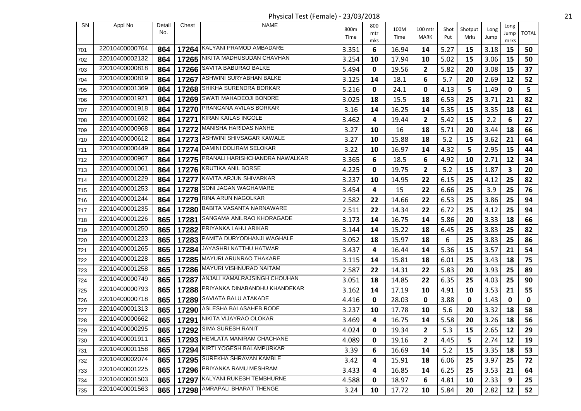Physical Test (Female) - 23/03/2018 21

| <b>SN</b> | Appl No        | Detail<br>No. | Chest | NAME                                 | 800m<br>Time | 800<br>mtr<br>mks | 100M<br>Time | 100 mtr<br>MARK | Shot<br>Put | Shotput<br>Mrks | Long<br>Jump | Long<br>Jump<br>mrks | <b>TOTAL</b> |
|-----------|----------------|---------------|-------|--------------------------------------|--------------|-------------------|--------------|-----------------|-------------|-----------------|--------------|----------------------|--------------|
| 701       | 22010400000764 | 864           |       | 17264 KALYANI PRAMOD AMBADARE        | 3.351        | 6                 | 16.94        | 14              | 5.27        | 15              | 3.18         | 15                   | 50           |
| 702       | 22010400002132 | 864           | 17265 | NIKITA MADHUSUDAN CHAVHAN            | 3.254        | 10                | 17.94        | 10              | 5.02        | 15              | 3.06         | 15                   | 50           |
| 703       | 22010400000818 | 864           |       | 17266 SAVITA BABURAO BALKE           | 5.494        | 0                 | 19.56        | 2               | 5.82        | 20              | 3.08         | 15                   | 37           |
| 704       | 22010400000819 | 864           | 17267 | ASHWINI SURYABHAN BALKE              | 3.125        | 14                | 18.1         | 6               | 5.7         | 20              | 2.69         | 12                   | 52           |
| 705       | 22010400001369 | 864           |       | 17268 SHIKHA SURENDRA BORKAR         | 5.216        | 0                 | 24.1         | 0               | 4.13        | 5               | 1.49         | $\mathbf 0$          | 5            |
| 706       | 22010400001921 | 864           |       | 17269 SWATI MAHADEOJI BONDRE         | 3.025        | 18                | 15.5         | 18              | 6.53        | 25              | 3.71         | 21                   | 82           |
| 707       | 22010400001918 | 864           |       | 17270 PRANGANA AVILAS BORKAR         | 3.16         | 14                | 16.25        | 14              | 5.35        | 15              | 3.35         | 18                   | 61           |
| 708       | 22010400001692 | 864           |       | 17271 KIRAN KAILAS INGOLE            | 3.462        | 4                 | 19.44        | 2               | 5.42        | 15              | 2.2          | 6                    | 27           |
| 709       | 22010400000968 | 864           |       | 17272 MANISHA HARIDAS NANHE          | 3.27         | 10                | 16           | 18              | 5.71        | 20              | 3.44         | 18                   | 66           |
| 710       | 22010400000612 | 864           |       | 17273   ASHWINI SHIVSAGAR KAWALE     | 3.27         | 10                | 15.88        | 18              | 5.2         | 15              | 3.62         | 21                   | 64           |
| 711       | 22010400000449 | 864           |       | 17274   DAMINI DOLIRAM SELOKAR       | 3.22         | 10                | 16.97        | 14              | 4.32        | 5               | 2.95         | 15                   | 44           |
| 712       | 22010400000967 | 864           |       | 17275 PRANALI HARISHCHANDRA NAWALKAR | 3.365        | 6                 | 18.5         | 6               | 4.92        | 10              | 2.71         | 12                   | 34           |
| 713       | 22010400001061 | 864           |       | 17276 KRUTIKA ANIL BORSE             | 4.225        | 0                 | 19.75        | 2               | 5.2         | 15              | 1.87         | 3                    | 20           |
| 714       | 22010400001229 | 864           | 17277 | KAVITA ARJUN SHIVARKAR               | 3.237        | 10                | 14.95        | 22              | 6.15        | 25              | 4.12         | 25                   | 82           |
| 715       | 22010400001253 | 864           |       | 17278 SONI JAGAN WAGHAMARE           | 3.454        | 4                 | 15           | 22              | 6.66        | 25              | 3.9          | 25                   | 76           |
| 716       | 22010400001244 | 864           |       | 17279 RINA ARUN NAGOLKAR             | 2.582        | 22                | 14.66        | 22              | 6.53        | 25              | 3.86         | 25                   | 94           |
| 717       | 22010400001235 | 864           |       | 17280 BABITA VASANTA NARNAWARE       | 2.511        | 22                | 14.34        | 22              | 6.72        | 25              | 4.12         | 25                   | 94           |
| 718       | 22010400001226 | 865           | 17281 | SANGAMA ANILRAO KHORAGADE            | 3.173        | 14                | 16.75        | 14              | 5.86        | 20              | 3.33         | 18                   | 66           |
| 719       | 22010400001250 | 865           | 17282 | PRIYANKA LAHU ARIKAR                 | 3.144        | 14                | 15.22        | 18              | 6.45        | 25              | 3.83         | 25                   | 82           |
| 720       | 22010400001223 | 865           |       | 17283 PAMITA DURYODHANJI WAGHALE     | 3.052        | 18                | 15.97        | 18              | 6           | 25              | 3.83         | 25                   | 86           |
| 721       | 22010400001265 | 865           | 17284 | JAYASHRI NATTHU HATWAR               | 3.437        | 4                 | 16.44        | 14              | 5.36        | 15              | 3.57         | 21                   | 54           |
| 722       | 22010400001228 | 865           |       | 17285 MAYURI ARUNRAO THAKARE         | 3.115        | 14                | 15.81        | 18              | 6.01        | 25              | 3.43         | 18                   | 75           |
| 723       | 22010400001258 | 865           |       | 17286 MAYURI VISHNURAO NAITAM        | 2.587        | 22                | 14.31        | 22              | 5.83        | 20              | 3.93         | 25                   | 89           |
| 724       | 22010400000749 | 865           | 17287 | ANJALI KAMALRAJSINGH CHOUHAN         | 3.051        | 18                | 14.85        | 22              | 6.35        | 25              | 4.03         | 25                   | 90           |
| 725       | 22010400000793 | 865           |       | 17288 PRIYANKA DINABANDHU KHANDEKAR  | 3.162        | 14                | 17.19        | 10              | 4.91        | 10              | 3.53         | 21                   | 55           |
| 726       | 22010400000718 | 865           | 17289 | SAVIATA BALU ATAKADE                 | 4.416        | 0                 | 28.03        | 0               | 3.88        | 0               | 1.43         | 0                    | $\mathbf 0$  |
| 727       | 22010400001313 | 865           |       | 17290 ASLESHA BALASAHEB RODE         | 3.237        | 10                | 17.78        | 10              | 5.6         | 20              | 3.32         | 18                   | 58           |
| 728       | 22010400000662 | 865           | 17291 | NIKITA VIJAYRAO OLOKAR               | 3.469        | 4                 | 16.75        | 14              | 5.58        | 20              | 3.26         | 18                   | 56           |
| 729       | 22010400000295 |               |       | 865   17292 SIMA SURESH RANIT        | 4.024        | $\mathbf 0$       | 19.34        | $\overline{2}$  | 5.3         | 15              | 2.65         | $12\,$               | 29           |
| 730       | 22010400001911 | 865           |       | 17293   HEMLATA MANIRAM CHACHANE     | 4.089        | 0                 | 19.16        | 2               | 4.45        | 5               | 2.74         | 12                   | 19           |
| 731       | 22010400001158 | 865           |       | 17294 KIRTI YOGESH BALAMPURKAR       | 3.39         | 6                 | 16.69        | 14              | 5.2         | 15              | 3.35         | 18                   | 53           |
| 732       | 22010400002074 | 865           |       | 17295 SUREKHA SHRAVAN KAMBLE         | 3.42         | 4                 | 15.91        | 18              | 6.06        | 25              | 3.97         | 25                   | 72           |
| 733       | 22010400001225 | 865           |       | 17296 PRIYANKA RAMU MESHRAM          | 3.433        | 4                 | 16.85        | 14              | 6.25        | 25              | 3.53         | 21                   | 64           |
| 734       | 22010400001503 | 865           |       | 17297 KALYANI RUKESH TEMBHURNE       | 4.588        | 0                 | 18.97        | 6               | 4.81        | 10              | 2.33         | 9                    | 25           |
| 735       | 22010400001563 | 865           |       | 17298 AMRAPALI BHARAT THENGE         | 3.24         | 10                | 17.72        | 10              | 5.84        | 20              | 2.82         | 12                   | 52           |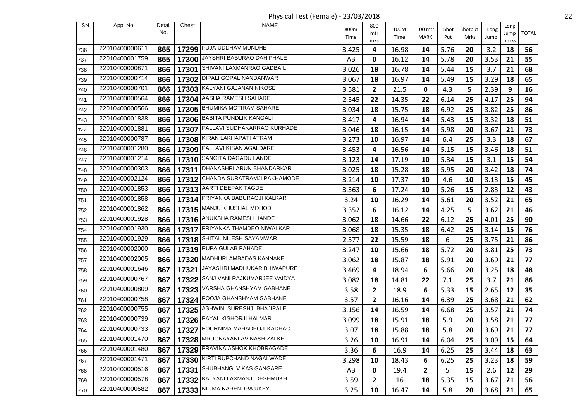Physical Test (Female) - 23/03/2018 22

| SN  | Appl No        | Detail     | Chest | <b>NAME</b>                           |              | 800          |              |                        |             |                 |              | Long |              |
|-----|----------------|------------|-------|---------------------------------------|--------------|--------------|--------------|------------------------|-------------|-----------------|--------------|------|--------------|
|     |                | No.        |       |                                       | 800m<br>Time | mtr          | 100M<br>Time | 100 mtr<br><b>MARK</b> | Shot<br>Put | Shotput<br>Mrks | Long<br>Jump | Jump | <b>TOTAL</b> |
|     |                |            |       | 17299 PUJA UDDHAV MUNDHE              |              | mks          |              |                        |             |                 |              | mrks |              |
| 736 | 22010400000611 | 865        |       | JAYSHRI BABURAO DAHIPHALE             | 3.425        | 4            | 16.98        | 14                     | 5.76        | 20              | 3.2          | 18   | 56           |
| 737 | 22010400001759 | 865        | 17300 |                                       | AB           | 0            | 16.12        | 14                     | 5.78        | 20              | 3.53         | 21   | 55           |
| 738 | 22010400000871 | 866        |       | 17301 SHIVANI LAXMANRAO GADBAIL       | 3.026        | 18           | 16.78        | 14                     | 5.44        | 15              | 3.7          | 21   | 68           |
| 739 | 22010400000714 | 866        |       | 17302 DIPALI GOPAL NANDANWAR          | 3.067        | 18           | 16.97        | 14                     | 5.49        | 15              | 3.29         | 18   | 65           |
| 740 | 22010400000701 | 866        |       | 17303 KALYANI GAJANAN NIKOSE          | 3.581        | $\mathbf{2}$ | 21.5         | 0                      | 4.3         | 5               | 2.39         | 9    | 16           |
| 741 | 22010400000564 | 866        |       | 17304   AASHA RAMESH SAHARE           | 2.545        | 22           | 14.35        | 22                     | 6.14        | 25              | 4.17         | 25   | 94           |
| 742 | 22010400000566 | 866        |       | 17305 BHUMIKA MOTIRAM SAHARE          | 3.034        | 18           | 15.75        | 18                     | 6.92        | 25              | 3.82         | 25   | 86           |
| 743 | 22010400001838 | 866        |       | 17306 BABITA PUNDLIK KANGALI          | 3.417        | 4            | 16.94        | 14                     | 5.43        | 15              | 3.32         | 18   | 51           |
| 744 | 22010400001881 | 866        | 17307 | PALLAVI SUDHAKARRAO KURHADE           | 3.046        | 18           | 16.15        | 14                     | 5.98        | 20              | 3.67         | 21   | 73           |
| 745 | 22010400000787 | 866        |       | 17308 KIRAN LAKHAPATI ATRAM           | 3.273        | 10           | 16.97        | 14                     | 6.4         | 25              | 3.3          | 18   | 67           |
| 746 | 22010400001280 | 866        |       | 17309 PALLAVI KISAN AGALDARE          | 3.453        | 4            | 16.56        | 14                     | 5.15        | 15              | 3.46         | 18   | 51           |
| 747 | 22010400001214 | 866        |       | 17310 SANGITA DAGADU LANDE            | 3.123        | 14           | 17.19        | 10                     | 5.34        | 15              | 3.1          | 15   | 54           |
| 748 | 22010400000303 | 866        |       | 17311 DHANASHRI ARUN BHANDARKAR       | 3.025        | 18           | 15.28        | 18                     | 5.95        | 20              | 3.42         | 18   | 74           |
| 749 | 22010400002124 | 866        | 17312 | CHANDA SURATRAMJI PAKHAMODE           | 3.214        | 10           | 17.37        | 10                     | 4.6         | 10              | 3.13         | 15   | 45           |
| 750 | 22010400001853 | 866        |       | 17313 AARTI DEEPAK TAGDE              | 3.363        | 6            | 17.24        | 10                     | 5.26        | 15              | 2.83         | 12   | 43           |
| 751 | 22010400001858 | 866        |       | 17314 PRIYANKA BABURAOJI KALKAR       | 3.24         | 10           | 16.29        | 14                     | 5.61        | 20              | 3.52         | 21   | 65           |
| 752 | 22010400001862 | 866        |       | 17315 MANJU KHUSHAL MOHOD             | 3.352        | 6            | 16.12        | 14                     | 4.25        | 5               | 3.62         | 21   | 46           |
| 753 | 22010400001928 | 866        |       | 17316   ANUKSHA RAMESH HANDE          | 3.062        | 18           | 14.66        | 22                     | 6.12        | 25              | 4.01         | 25   | 90           |
| 754 | 22010400001930 | 866        |       | 17317 PRIYANKA THAMDEO NIWALKAR       | 3.068        | 18           | 15.35        | 18                     | 6.42        | 25              | 3.14         | 15   | 76           |
| 755 | 22010400001929 | 866        |       | 17318 SHITAL NILESH SAYAMWAR          | 2.577        | 22           | 15.59        | 18                     | 6           | 25              | 3.75         | 21   | 86           |
| 756 | 22010400002000 | 866        |       | 17319 RUPA GULAB PAHADE               | 3.247        | 10           | 15.66        | 18                     | 5.72        | 20              | 3.81         | 25   | 73           |
| 757 | 22010400002005 | 866        |       | 17320 MADHURI AMBADAS KANNAKE         | 3.062        | 18           | 15.87        | 18                     | 5.91        | 20              | 3.69         | 21   | 77           |
| 758 | 22010400001646 | 867        | 17321 | JAYASHRI MADHUKAR BHIWAPURE           | 3.469        | 4            | 18.94        | 6                      | 5.66        | 20              | 3.25         | 18   | 48           |
| 759 | 22010400000767 | 867        |       | 17322 SANJIVANI RAJKUMARJEE VAIDYA    | 3.082        | 18           | 14.81        | 22                     | 7.1         | 25              | 3.7          | 21   | 86           |
| 760 | 22010400000809 | 867        |       | 17323 VARSHA GHANSHYAM GABHANE        | 3.58         | $\mathbf{2}$ | 18.9         | 6                      | 5.33        | 15              | 2.65         | 12   | 35           |
| 761 | 22010400000758 | 867        |       | 17324 POOJA GHANSHYAM GABHANE         | 3.57         | $\mathbf{2}$ | 16.16        | 14                     | 6.39        | 25              | 3.68         | 21   | 62           |
| 762 | 22010400000755 | 867        |       | 17325 ASHWINI SURESHJI BHAJIPALE      | 3.156        | 14           | 16.59        | 14                     | 6.68        | 25              | 3.57         | 21   | 74           |
| 763 | 22010400000739 | 867        |       | 17326 PAYAL KISHORJI HALMAR           | 3.099        | 18           | 15.91        | 18                     | 5.9         | 20              | 3.58         | 21   | 77           |
| 764 | 22010400000733 |            |       | 867   17327 POURNIMA MAHADEOJI KADHAO | 3.07         | 18           | 15.88        | 18                     | 5.8         | 20              | $3.69$ 21    |      | 77           |
| 765 | 22010400001470 | 867        |       | 17328 MRUGNAYANI AVINASH ZALKE        | 3.26         | 10           | 16.91        | 14                     | 6.04        | 25              | 3.09         | 15   | 64           |
| 766 | 22010400001480 | 867        |       | 17329 PRAVINA ASHOK KHOBRAGADE        | 3.36         | 6            | 16.9         | 14                     | 6.25        | 25              | 3.44         | 18   | 63           |
| 767 | 22010400001471 | 867        |       | 17330 KIRTI RUPCHAND NAGALWADE        | 3.298        | 10           | 18.43        | 6                      | 6.25        | 25              | 3.23         | 18   | 59           |
| 768 |                |            |       | 17331 SHUBHANGI VIKAS GANGARE         | AB           | 0            | 19.4         | 2                      | 5           | 15              | 2.6          | 12   | 29           |
|     | 22010400000516 |            |       |                                       |              |              |              |                        |             |                 |              |      |              |
| 769 | 22010400000578 | 867<br>867 |       | 17332 KALYANI LAXMANJI DESHMUKH       | 3.59         | $\mathbf{2}$ | 16           | 18                     | 5.35        | 15              | 3.67         | 21   | 56           |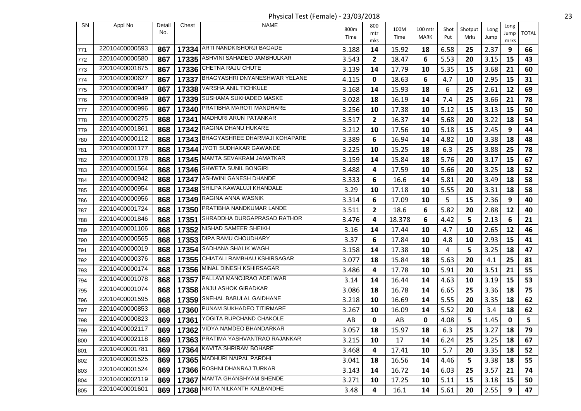Physical Test (Female) - 23/03/2018 23

| <b>SN</b>  | Appl No        | Detail | Chest | NAME                                                | 800m  | 800       |              |                 |             |                 |              | Long        |              |
|------------|----------------|--------|-------|-----------------------------------------------------|-------|-----------|--------------|-----------------|-------------|-----------------|--------------|-------------|--------------|
|            |                | No.    |       |                                                     | Time  | mtr       | 100M<br>Time | 100 mtr<br>MARK | Shot<br>Put | Shotput<br>Mrks | Long<br>Jump | Jump        | <b>TOTAL</b> |
| 771        | 22010400000593 | 867    |       | 17334 ARTI NANDKISHORJI BAGADE                      | 3.188 | mks<br>14 | 15.92        | 18              | 6.58        | 25              | 2.37         | mrks<br>9   | 66           |
| 772        | 22010400000580 | 867    | 17335 | ASHVINI SAHADEO JAMBHULKAR                          | 3.543 | 2         | 18.47        | 6               | 5.53        | 20              | 3.15         | 15          | 43           |
| 773        | 22010400001875 | 867    |       | 17336 CHETNA RAJU CHUTE                             | 3.139 | 14        | 17.79        | 10              | 5.35        | 15              | 3.68         | 21          | 60           |
|            | 22010400000627 | 867    |       | 17337 BHAGYASHRI DNYANESHWAR YELANE                 | 4.115 | 0         | 18.63        | 6               | 4.7         | 10              | 2.95         | 15          | 31           |
| 774        | 22010400000947 | 867    |       | 17338 VARSHA ANIL TICHKULE                          | 3.168 | 14        | 15.93        | 18              | 6           | 25              | 2.61         | 12          | 69           |
| 775<br>776 | 22010400000949 | 867    |       | 17339 SUSHAMA SUKHADEO MASKE                        | 3.028 | 18        | 16.19        | 14              | 7.4         | 25              | 3.66         | 21          | 78           |
| 777        | 22010400000996 | 867    | 17340 | PRATIBHA MAROTI MANDHARE                            | 3.256 | 10        | 17.38        | 10              | 5.12        | 15              | 3.13         | 15          | 50           |
|            | 22010400000275 | 868    |       | 17341 MADHURI ARUN PATANKAR                         | 3.517 | 2         | 16.37        | 14              | 5.68        | 20              | 3.22         | 18          | 54           |
| 778        | 22010400001861 | 868    |       | 17342 RAGINA DHANU HUKARE                           |       |           |              |                 |             |                 | 2.45         |             | 44           |
| 779        | 22010400000112 |        |       | 17343 BHAGYASHREE DHARMAJI KOHAPARE                 | 3.212 | 10        | 17.56        | 10              | 5.18        | 15              |              | 9           |              |
| 780        | 22010400001177 | 868    |       | JYOTI SUDHAKAR GAWANDE                              | 3.389 | 6         | 16.94        | 14              | 4.82        | 10              | 3.38         | 18          | 48           |
| 781        | 22010400001178 | 868    | 17344 | 17345 MAMTA SEVAKRAM JAMATKAR                       | 3.225 | 10        | 15.25        | 18              | 6.3         | 25              | 3.88         | 25          | 78           |
| 782        | 22010400001564 | 868    |       |                                                     | 3.159 | 14        | 15.84        | 18              | 5.76        | 20              | 3.17         | 15          | 67           |
| 783        |                | 868    |       | 17346 SHWETA SUNIL BONGIRI<br>ASHWINI GANESH DHANDE | 3.488 | 4         | 17.59        | 10              | 5.66        | 20              | 3.25         | 18          | 52           |
| 784        | 22010400000942 | 868    | 17347 |                                                     | 3.333 | 6         | 16.6         | 14              | 5.81        | 20              | 3.49         | 18          | 58           |
| 785        | 22010400000954 | 868    |       | 17348 SHILPA KAWALUJI KHANDALE                      | 3.29  | 10        | 17.18        | 10              | 5.55        | 20              | 3.31         | 18          | 58           |
| 786        | 22010400000956 | 868    |       | 17349 RAGINA ANNA WASNIK                            | 3.314 | 6         | 17.09        | 10              | 5           | 15              | 2.36         | 9           | 40           |
| 787        | 22010400001724 | 868    |       | 17350 PRATIBHA NANDKUMAR LANDE                      | 3.511 | 2         | 18.6         | 6               | 5.82        | 20              | 2.88         | 12          | 40           |
| 788        | 22010400001846 | 868    | 17351 | SHRADDHA DURGAPRASAD RATHOR                         | 3.476 | 4         | 18.378       | 6               | 4.42        | 5               | 2.13         | 6           | 21           |
| 789        | 22010400001106 | 868    | 17352 | NISHAD SAMEER SHEIKH                                | 3.16  | 14        | 17.44        | 10              | 4.7         | 10              | 2.65         | 12          | 46           |
| 790        | 22010400000565 | 868    |       | 17353 DIPA RAMU CHOUDHARY                           | 3.37  | 6         | 17.84        | 10              | 4.8         | 10              | 2.93         | 15          | 41           |
| 791        | 22010400000019 | 868    | 17354 | SADHANA SHALIK WAGH                                 | 3.158 | 14        | 17.38        | 10              | 4           | 5               | 3.25         | 18          | 47           |
| 792        | 22010400000376 | 868    |       | 17355 CHIATALI RAMBHAU KSHIRSAGAR                   | 3.077 | 18        | 15.84        | 18              | 5.63        | 20              | 4.1          | 25          | 81           |
| 793        | 22010400000174 | 868    |       | 17356 MINAL DINESH KSHIRSAGAR                       | 3.486 | 4         | 17.78        | 10              | 5.91        | 20              | 3.51         | 21          | 55           |
| 794        | 22010400001078 | 868    | 17357 | <b>PALLAVI MANOJRAO ADELWAR</b>                     | 3.14  | 14        | 16.44        | 14              | 4.63        | 10              | 3.19         | 15          | 53           |
| 795        | 22010400001074 | 868    |       | 17358 ANJU ASHOK GIRADKAR                           | 3.086 | 18        | 16.78        | 14              | 6.65        | 25              | 3.36         | 18          | 75           |
| 796        | 22010400001595 | 868    | 17359 | SNEHAL BABULAL GAIDHANE                             | 3.218 | 10        | 16.69        | 14              | 5.55        | 20              | 3.35         | 18          | 62           |
| 797        | 22010400000853 | 868    |       | 17360 PUNAM SUKHADEO TITIRMARE                      | 3.267 | 10        | 16.09        | 14              | 5.52        | 20              | 3.4          | 18          | 62           |
| 798        | 22010400000823 | 869    | 17361 | YOGITA RUPCHAND CHAKOLE                             | AB    | 0         | AB           | 0               | 4.08        | 5               | 1.45         | $\mathbf 0$ | 5            |
| 799        | 22010400002117 | 869    |       | 17362 VIDYA NAMDEO BHANDARKAR                       | 3.057 | 18        | 15.97        | 18              | 6.3         | 25              | 3.27         | 18          | 79           |
| 800        | 22010400002118 | 869    |       | 17363 PRATIMA YASHVANTRAO RAJANKAR                  | 3.215 | 10        | 17           | 14              | 6.24        | 25              | 3.25         | 18          | 67           |
| 801        | 22010400001781 | 869    |       | 17364 KAVITA SHRIRAM BOHARE                         | 3.468 | 4         | 17.41        | 10              | 5.7         | 20              | 3.35         | 18          | 52           |
| 802        | 22010400001525 | 869    |       | 17365 MADHURI NAIPAL PARDHI                         | 3.041 | 18        | 16.56        | 14              | 4.46        | 5               | 3.38         | 18          | 55           |
| 803        | 22010400001524 | 869    |       | 17366 ROSHNI DHANRAJ TURKAR                         | 3.143 | 14        | 16.72        | 14              | 6.03        | 25              | 3.57         | 21          | 74           |
| 804        | 22010400002119 | 869    |       | 17367 MAMTA GHANSHYAM SHENDE                        | 3.271 | 10        | 17.25        | 10              | 5.11        | 15              | 3.18         | 15          | 50           |
| 805        | 22010400001601 | 869    |       | 17368 NIKITA NILKANTH KALBANDHE                     | 3.48  | 4         | 16.1         | 14              | 5.61        | 20              | 2.55         | 9           | 47           |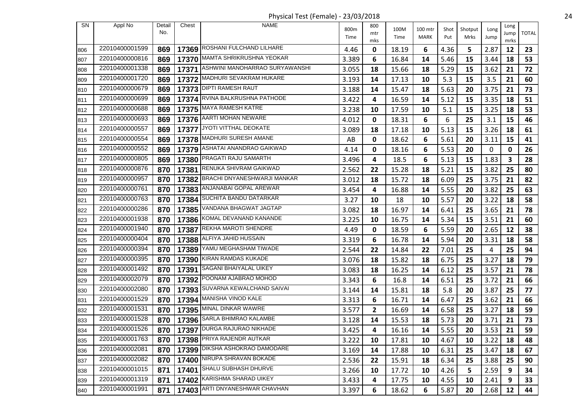Physical Test (Female) - 23/03/2018 24

| <b>SN</b> | Appl No        | Detail | Chest | <b>NAME</b>                          |       | 800          |       |         |      |         |      |              |              |
|-----------|----------------|--------|-------|--------------------------------------|-------|--------------|-------|---------|------|---------|------|--------------|--------------|
|           |                | No.    |       |                                      | 800m  | mtr          | 100M  | 100 mtr | Shot | Shotput | Long | Long<br>Jump | <b>TOTAL</b> |
|           |                |        |       |                                      | Time  | mks          | Time  | MARK    | Put  | Mrks    | Jump | mrks         |              |
| 806       | 22010400001599 | 869    |       | 17369 ROSHANI FULCHAND LILHARE       | 4.46  | 0            | 18.19 | 6       | 4.36 | 5       | 2.87 | 12           | 23           |
| 807       | 22010400000816 | 869    | 17370 | MAMTA SHRIKRUSHNA YEOKAR             | 3.389 | 6            | 16.84 | 14      | 5.46 | 15      | 3.44 | 18           | 53           |
| 808       | 22010400001338 | 869    |       | 17371 ASHWINI MANOHARRAO SURYAWANSHI | 3.055 | 18           | 15.66 | 18      | 5.29 | 15      | 3.62 | 21           | 72           |
| 809       | 22010400001720 | 869    |       | 17372 MADHURI SEVAKRAM HUKARE        | 3.193 | 14           | 17.13 | 10      | 5.3  | 15      | 3.5  | 21           | 60           |
| 810       | 22010400000679 | 869    |       | 17373 DIPTI RAMESH RAUT              | 3.188 | 14           | 15.47 | 18      | 5.63 | 20      | 3.75 | 21           | 73           |
| 811       | 22010400000699 | 869    |       | 17374 RVINA BALKRUSHNA PATHODE       | 3.422 | 4            | 16.59 | 14      | 5.12 | 15      | 3.35 | 18           | 51           |
| 812       | 22010400000688 | 869    | 17375 | <b>MAYA RAMESH KATRE</b>             | 3.238 | 10           | 17.59 | 10      | 5.1  | 15      | 3.25 | 18           | 53           |
| 813       | 22010400000693 | 869    |       | 17376 AARTI MOHAN NEWARE             | 4.012 | 0            | 18.31 | 6       | 6    | 25      | 3.1  | 15           | 46           |
| 814       | 22010400000557 | 869    | 17377 | JYOTI VITTHAL DEOKATE                | 3.089 | 18           | 17.18 | 10      | 5.13 | 15      | 3.26 | 18           | 61           |
| 815       | 22010400000554 | 869    |       | 17378 MADHURI SURESH AMANE           | AB    | 0            | 18.62 | 6       | 5.61 | 20      | 3.11 | 15           | 41           |
| 816       | 22010400000552 | 869    |       | 17379 ASHATAI ANANDRAO GAIKWAD       | 4.14  | 0            | 18.16 | 6       | 5.53 | 20      | 0    | 0            | 26           |
| 817       | 22010400000805 | 869    | 17380 | PRAGATI RAJU SAMARTH                 | 3.496 | 4            | 18.5  | 6       | 5.13 | 15      | 1.83 | 3            | 28           |
| 818       | 22010400000876 | 870    |       | 17381 RENUKA SHIVRAM GAIKWAD         | 2.562 | 22           | 15.28 | 18      | 5.21 | 15      | 3.82 | 25           | 80           |
| 819       | 22010400000957 | 870    | 17382 | BRACHI DNYANESHWARJI MANKAR          | 3.012 | 18           | 15.72 | 18      | 6.09 | 25      | 3.75 | 21           | 82           |
| 820       | 22010400000761 | 870    |       | 17383 ANJANABAI GOPAL AREWAR         | 3.454 | 4            | 16.88 | 14      | 5.55 | 20      | 3.82 | 25           | 63           |
| 821       | 22010400000763 | 870    | 17384 | <b>SUCHITA BANDU DATARKAR</b>        | 3.27  | 10           | 18    | 10      | 5.57 | 20      | 3.22 | 18           | 58           |
| 822       | 22010400000286 | 870    | 17385 | VANDANA BHAGWAT JAGTAP               | 3.082 | 18           | 16.97 | 14      | 6.41 | 25      | 3.65 | 21           | 78           |
| 823       | 22010400001938 | 870    |       | 17386 KOMAL DEVANAND KANANDE         | 3.225 | 10           | 16.75 | 14      | 5.34 | 15      | 3.51 | 21           | 60           |
| 824       | 22010400001940 | 870    | 17387 | REKHA MAROTI SHENDRE                 | 4.49  | 0            | 18.59 | 6       | 5.59 | 20      | 2.65 | 12           | 38           |
| 825       | 22010400000404 | 870    |       | 17388 ALFIYA JAHID HUSSAIN           | 3.319 | 6            | 16.78 | 14      | 5.94 | 20      | 3.31 | 18           | 58           |
| 826       | 22010400000394 | 870    | 17389 | YAMU MEGHASHAM TIWADE                | 2.544 | 22           | 14.84 | 22      | 7.01 | 25      | 4    | 25           | 94           |
| 827       | 22010400000395 | 870    |       | 17390 KIRAN RAMDAS KUKADE            | 3.076 | 18           | 15.82 | 18      | 6.75 | 25      | 3.27 | 18           | 79           |
| 828       | 22010400001492 | 870    | 17391 | SAGANI BHAIYALAL UIKEY               | 3.083 | 18           | 16.25 | 14      | 6.12 | 25      | 3.57 | 21           | 78           |
| 829       | 22010400002079 | 870    |       | 17392 POONAM AJABRAO MOHOD           | 3.343 | 6            | 16.8  | 14      | 6.51 | 25      | 3.72 | 21           | 66           |
| 830       | 22010400002080 | 870    |       | 17393 SUVARNA KEWALCHAND SAIVAI      | 3.144 | 14           | 15.81 | 18      | 5.8  | 20      | 3.87 | 25           | 77           |
| 831       | 22010400001529 | 870    | 17394 | MANISHA VINOD KALE                   | 3.313 | 6            | 16.71 | 14      | 6.47 | 25      | 3.62 | 21           | 66           |
| 832       | 22010400001531 | 870    |       | 17395 MINAL DINKAR WAWRE             | 3.577 | $\mathbf{2}$ | 16.69 | 14      | 6.58 | 25      | 3.27 | 18           | 59           |
| 833       | 22010400001528 | 870    |       | 17396 SARLA BHIMRAO KALAMBE          | 3.128 | 14           | 15.53 | 18      | 5.73 | 20      | 3.71 | 21           | 73           |
| 834       | 22010400001526 |        |       | 870   17397 DURGA RAJURAO NIKHADE    | 3.425 | 4            | 16.16 | 14      | 5.55 | 20      | 3.53 | 21           | 59           |
| 835       | 22010400001763 | 870    |       | 17398 PRIYA RAJENDR AUTKAR           | 3.222 | 10           | 17.81 | 10      | 4.67 | 10      | 3.22 | 18           | 48           |
| 836       | 22010400002081 | 870    |       | 17399 DIKSHA ASHOKRAO DAMODARE       | 3.169 | 14           | 17.88 | 10      | 6.31 | 25      | 3.47 | 18           | 67           |
| 837       | 22010400002082 | 870    |       | 17400 NIRUPA SHRAVAN BOKADE          | 2.536 | 22           | 15.91 | 18      | 6.34 | 25      | 3.88 | 25           | 90           |
| 838       | 22010400001015 | 871    | 17401 | SHALU SUBHASH DHURVE                 | 3.266 | 10           | 17.72 | 10      | 4.26 | 5       | 2.59 | 9            | 34           |
| 839       | 22010400001319 | 871    |       | 17402 KARISHMA SHARAD UIKEY          | 3.433 | 4            | 17.75 | 10      | 4.55 | 10      | 2.41 | 9            | 33           |
| 840       | 22010400001991 | 871    |       | 17403 ARTI DNYANESHWAR CHAVHAN       | 3.397 | 6            | 18.62 | 6       | 5.87 | 20      | 2.68 | 12           | 44           |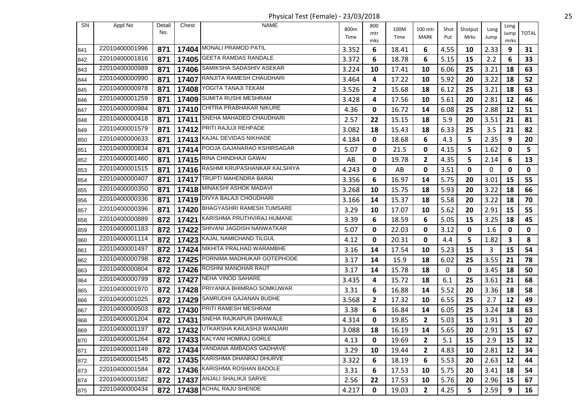Physical Test (Female) - 23/03/2018 25

| <b>SN</b> | Appl No        | Detail | Chest | <b>NAME</b>                            |              | 800         |              |                 |             |                 |              | Long        |              |
|-----------|----------------|--------|-------|----------------------------------------|--------------|-------------|--------------|-----------------|-------------|-----------------|--------------|-------------|--------------|
|           |                | No.    |       |                                        | 800m<br>Time | mtr         | 100M<br>Time | 100 mtr<br>MARK | Shot<br>Put | Shotput<br>Mrks | Long<br>Jump | Jump        | <b>TOTAL</b> |
|           | 22010400001996 |        |       | 17404 MONALI PRAMOD PATIL              |              | mks         |              |                 |             |                 |              | mrks        |              |
| 841       | 22010400001816 | 871    |       | <b>GEETA RAMDAS RANDALE</b>            | 3.352        | 6           | 18.41        | 6               | 4.55        | 10              | 2.33         | 9           | 31           |
| 842       | 22010400000989 | 871    | 17405 |                                        | 3.372        | 6           | 18.78        | 6               | 5.15        | 15              | 2.2          | 6           | 33           |
| 843       |                | 871    |       | 17406 SAMIKSHA SADASHIV ASEKAR         | 3.224        | 10          | 17.41        | 10              | 6.06        | 25              | 3.21         | 18          | 63           |
| 844       | 22010400000990 | 871    |       | 17407 RANJITA RAMESH CHAUDHARI         | 3.464        | 4           | 17.22        | 10              | 5.92        | 20              | 3.22         | 18          | 52           |
| 845       | 22010400000978 | 871    | 17408 | YOGITA TANAJI TEKAM                    | 3.526        | 2           | 15.68        | 18              | 6.12        | 25              | 3.21         | 18          | 63           |
| 846       | 22010400001259 | 871    |       | 17409 SUMITA RUSHI MESHRAM             | 3.428        | 4           | 17.56        | 10              | 5.61        | 20              | 2.81         | 12          | 46           |
| 847       | 22010400000984 | 871    | 17410 | CHITRA PRABHAKAR NIKURE                | 4.36         | 0           | 16.72        | 14              | 6.08        | 25              | 2.88         | 12          | 51           |
| 848       | 22010400000418 | 871    |       | 17411 SNEHA MAHADEO CHAUDHARI          | 2.57         | 22          | 15.15        | 18              | 5.9         | 20              | 3.51         | 21          | 81           |
| 849       | 22010400001579 | 871    |       | 17412 PRITI RAJUJI REHPADE             | 3.082        | 18          | 15.43        | 18              | 6.33        | 25              | 3.5          | 21          | 82           |
| 850       | 22010400000633 | 871    |       | 17413 KAJAL DEVIDAS NIKHADE            | 4.184        | 0           | 18.68        | 6               | 4.3         | 5               | 2.35         | 9           | 20           |
| 851       | 22010400000834 | 871    |       | 17414 POOJA GAJANARAO KSHIRSAGAR       | 5.07         | 0           | 21.5         | 0               | 4.15        | 5               | 1.62         | $\mathbf 0$ | 5            |
| 852       | 22010400001460 | 871    |       | 17415 RINA CHINDHAJI GAWAI             | AB           | 0           | 19.78        | 2               | 4.35        | 5               | 2.14         | 6           | 13           |
| 853       | 22010400001515 | 871    |       | 17416 RASHMI KRUPASHANKAR KALSHIYA     | 4.243        | 0           | AB           | 0               | 3.51        | 0               | 0            | 0           | $\mathbf 0$  |
| 854       | 22010400000407 | 871    | 17417 | <b>TRUPTI MAHENDRA BARAI</b>           | 3.356        | 6           | 16.97        | 14              | 5.75        | 20              | 3.01         | 15          | 55           |
| 855       | 22010400000350 | 871    |       | 17418 MINAKSHI ASHOK MADAVI            | 3.268        | 10          | 15.75        | 18              | 5.93        | 20              | 3.22         | 18          | 66           |
| 856       | 22010400000336 | 871    |       | 17419 DIVYA BALAJI CHOUDHARI           | 3.166        | 14          | 15.37        | 18              | 5.58        | 20              | 3.22         | 18          | 70           |
| 857       | 22010400000396 | 871    |       | 17420 BHAGYASHRI RAMESH TUMSARE        | 3.29         | 10          | 17.07        | 10              | 5.62        | 20              | 2.91         | 15          | 55           |
| 858       | 22010400000889 | 872    |       | 17421 KARISHMA PRUTHVIRAJ HUMANE       | 3.39         | 6           | 18.59        | 6               | 5.05        | 15              | 3.25         | 18          | 45           |
| 859       | 22010400001183 | 872    | 17422 | SHIVANI JAGDISH NANWATKAR              | 5.07         | 0           | 22.03        | 0               | 3.12        | 0               | 1.6          | 0           | $\mathbf 0$  |
| 860       | 22010400001114 | 872    |       | 17423 KAJAL NAMICHAND TILGUL           | 4.12         | 0           | 20.31        | 0               | 4.4         | 5               | 1.82         | 3           | 8            |
| 861       | 22010400001497 | 872    | 17424 | NIKHITA PRALHAD WARAMBHE               | 3.16         | 14          | 17.54        | 10              | 5.23        | 15              | 3            | 15          | 54           |
| 862       | 22010400000798 | 872    |       | 17425 PORNIMA MADHUKAR GOTEPHODE       | 3.17         | 14          | 15.9         | 18              | 6.02        | 25              | 3.55         | 21          | 78           |
| 863       | 22010400000804 | 872    |       | 17426 ROSHNI MANOHAR RAUT              | 3.17         | 14          | 15.78        | 18              | 0           | 0               | 3.45         | 18          | 50           |
| 864       | 22010400000799 | 872    |       | 17427 NEHA VINOD SAHARE                | 3.435        | 4           | 15.72        | 18              | 6.1         | 25              | 3.61         | 21          | 68           |
| 865       | 22010400001970 | 872    |       | 17428 PRIYANKA BHIMRAO SOMKUWAR        | 3.31         | 6           | 16.88        | 14              | 5.52        | 20              | 3.36         | 18          | 58           |
| 866       | 22010400001025 | 872    | 17429 | SAMRUDHI GAJANAN BUDHE                 | 3.568        | 2           | 17.32        | 10              | 6.55        | 25              | 2.7          | 12          | 49           |
| 867       | 22010400000503 | 872    |       | 17430 PRITI RAMESH MESHRAM             | 3.38         | 6           | 16.84        | 14              | 6.05        | 25              | 3.24         | 18          | 63           |
| 868       | 22010400001204 | 872    |       | 17431 SNEHA RAJKAPUR DAHIWALE          | 4.314        | 0           | 19.85        | 2               | 5.03        | 15              | 1.91         | 3           | 20           |
| 869       | 22010400001197 |        |       | 872   17432 UTKARSHA KAILASHJI WANJARI | 3.088        | 18          | 16.19        | 14              | 5.65        | 20              | 2.91         | 15          | 67           |
| 870       | 22010400001264 | 872    |       | 17433 KALYANI HOMRAJ GORLE             | 4.13         | 0           | 19.69        | 2               | 5.1         | 15              | 2.9          | 15          | 32           |
| 871       | 22010400001149 | 872    |       | 17434 VANDANA AMBADAS GADHAVE          | 3.29         | 10          | 19.44        | 2               | 4.83        | 10              | 2.81         | 12          | 34           |
| 872       | 22010400001545 | 872    |       | 17435 KARISHMA DHANRAJ DHURVE          | 3.322        | 6           | 18.19        | 6               | 5.53        | 20              | 2.63         | 12          | 44           |
| 873       | 22010400001584 | 872    |       | 17436 KARISHMA ROSHAN BADOLE           | 3.31         | 6           | 17.53        | 10              | 5.75        | 20              | 3.41         | 18          | 54           |
| 874       | 22010400001582 | 872    |       | 17437 ANJALI SHALIKJI SARVE            | 2.56         | 22          | 17.53        | 10              | 5.76        | 20              | 2.96         | 15          | 67           |
| 875       | 22010400000434 | 872    |       | 17438 ACHAL RAJU SHENDE                | 4.217        | $\mathbf 0$ | 19.03        | $\mathbf{2}$    | 4.25        | 5               | 2.59         | 9           | 16           |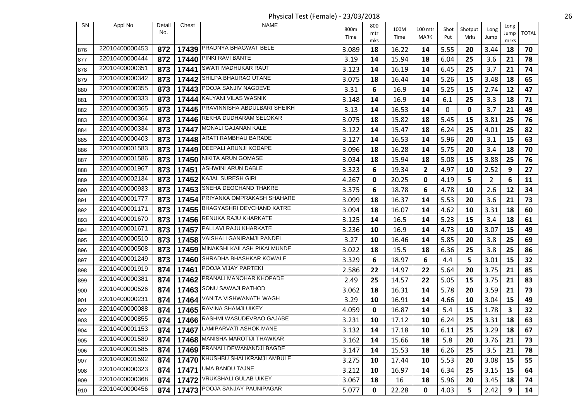Physical Test (Female) - 23/03/2018 26

| <b>SN</b> | Appl No        | Detail | Chest | <b>NAME</b>                        | 800m  | 800       | 100M  | 100 mtr     | Shot | Shotput | Long           | Long       |              |
|-----------|----------------|--------|-------|------------------------------------|-------|-----------|-------|-------------|------|---------|----------------|------------|--------------|
|           |                | No.    |       |                                    | Time  | mtr       | Time  | <b>MARK</b> | Put  | Mrks    | Jump           | Jump       | <b>TOTAL</b> |
| 876       | 22010400000453 | 872    |       | 17439 PRADNYA BHAGWAT BELE         | 3.089 | mks<br>18 | 16.22 | 14          | 5.55 | 20      | 3.44           | mrks<br>18 | 70           |
| 877       | 22010400000444 | 872    | 17440 | PINKI RAVI BANTE                   | 3.19  | 14        | 15.94 | 18          | 6.04 | 25      | 3.6            | 21         | 78           |
| 878       | 22010400000351 | 873    |       | 17441 SWATI MADHUKAR RAUT          | 3.123 | 14        | 16.19 | 14          | 6.45 | 25      | 3.7            | 21         | 74           |
| 879       | 22010400000342 | 873    |       | 17442 SHILPA BHAURAO UTANE         | 3.075 | 18        | 16.44 | 14          | 5.26 | 15      | 3.48           | 18         | 65           |
| 880       | 22010400000355 | 873    |       | 17443 POOJA SANJIV NAGDEVE         | 3.31  | 6         | 16.9  | 14          | 5.25 | 15      | 2.74           | 12         | 47           |
| 881       | 22010400000333 | 873    |       | 17444 KALYANI VILAS WASNIK         | 3.148 | 14        | 16.9  | 14          | 6.1  | 25      | 3.3            | 18         | 71           |
| 882       | 22010400000365 | 873    |       | 17445 PRAVINNISHA ABDULBARI SHEIKH | 3.13  | 14        | 16.53 | 14          | 0    | 0       | 3.7            | 21         | 49           |
| 883       | 22010400000364 | 873    |       | 17446 REKHA DUDHARAM SELOKAR       | 3.075 | 18        | 15.82 | 18          | 5.45 | 15      | 3.81           | 25         | 76           |
| 884       | 22010400000334 | 873    | 17447 | MONALI GAJANAN KALE                | 3.122 | 14        | 15.47 | 18          | 6.24 | 25      | 4.01           | 25         | 82           |
| 885       | 22010400000403 | 873    |       | 17448 ARATI RAMBHAU BARADE         | 3.127 | 14        | 16.53 | 14          | 5.96 | 20      | 3.1            | 15         | 63           |
| 886       | 22010400001583 | 873    |       | 17449   DEEPALI ARUNJI KODAPE      | 3.096 | 18        | 16.28 | 14          | 5.75 | 20      | 3.4            | 18         | 70           |
| 887       | 22010400001586 | 873    | 17450 | NIKITA ARUN GOMASE                 | 3.034 | 18        | 15.94 | 18          | 5.08 | 15      | 3.88           | 25         | 76           |
| 888       | 22010400001967 | 873    |       | 17451 ASHWINI ARUN DABLE           | 3.323 | 6         | 19.34 | 2           | 4.97 | 10      | 2.52           | 9          | 27           |
| 889       | 22010400002134 | 873    |       | 17452 KAJAL SURESH GIRI            | 4.267 | 0         | 20.25 | 0           | 4.19 | 5       | $\overline{2}$ | 6          | 11           |
| 890       | 22010400000933 | 873    |       | 17453 SNEHA DEOCHAND THAKRE        | 3.375 | 6         | 18.78 | 6           | 4.78 | 10      | 2.6            | 12         | 34           |
| 891       | 22010400001777 | 873    |       | 17454 PRIYANKA OMPRAKASH SHAHARE   | 3.099 | 18        | 16.37 | 14          | 5.53 | 20      | 3.6            | 21         | 73           |
| 892       | 22010400001171 | 873    |       | 17455 BHAGYASHRI DEVCHAND KATRE    | 3.094 | 18        | 16.07 | 14          | 4.62 | 10      | 3.31           | 18         | 60           |
| 893       | 22010400001670 | 873    |       | 17456 RENUKA RAJU KHARKATE         | 3.125 | 14        | 16.5  | 14          | 5.23 | 15      | 3.4            | 18         | 61           |
| 894       | 22010400001671 | 873    |       | 17457   PALLAVI RAJU KHARKATE      | 3.236 | 10        | 16.9  | 14          | 4.73 | 10      | 3.07           | 15         | 49           |
| 895       | 22010400000510 | 873    |       | 17458 VAISHALI GANIRAMJI PANDEL    | 3.27  | 10        | 16.46 | 14          | 5.85 | 20      | 3.8            | 25         | 69           |
| 896       | 22010400000508 | 873    | 17459 | MINAKSHI KAILASH PIKALMUNDE        | 3.022 | 18        | 15.5  | 18          | 6.36 | 25      | 3.8            | 25         | 86           |
| 897       | 22010400001249 | 873    |       | 17460 SHRADHA BHASHKAR KOWALE      | 3.329 | 6         | 18.97 | 6           | 4.4  | 5       | 3.01           | 15         | 32           |
| 898       | 22010400001919 | 874    |       | 17461 POOJA VIJAY PARTEKI          | 2.586 | 22        | 14.97 | 22          | 5.64 | 20      | 3.75           | 21         | 85           |
| 899       | 22010400000381 | 874    |       | 17462 PRANALI MANOHAR KHOPADE      | 2.49  | 25        | 14.57 | 22          | 5.05 | 15      | 3.75           | 21         | 83           |
| 900       | 22010400000526 | 874    |       | 17463 SONU SAWAJI RATHOD           | 3.062 | 18        | 16.31 | 14          | 5.78 | 20      | 3.59           | 21         | 73           |
| 901       | 22010400000231 | 874    | 17464 | VANITA VISHWANATH WAGH             | 3.29  | 10        | 16.91 | 14          | 4.66 | 10      | 3.04           | 15         | 49           |
| 902       | 22010400000088 | 874    |       | 17465 RAVINA SHAMJI UIKEY          | 4.059 | 0         | 16.87 | 14          | 5.4  | 15      | 1.78           | 3          | 32           |
| 903       | 22010400000855 | 874    |       | 17466 RASHMI WASUDEVRAO GAJABE     | 3.231 | 10        | 17.12 | 10          | 6.24 | 25      | 3.31           | 18         | 63           |
| 904       | 22010400001153 |        |       | 874   17467 LAMIPARVATI ASHOK MANE | 3.132 | 14        | 17.18 | 10          | 6.11 | 25      | 3.29           | 18         | 67           |
| 905       | 22010400001589 | 874    |       | 17468 MANISHA MAROTIJI THAWKAR     | 3.162 | 14        | 15.66 | 18          | 5.8  | 20      | 3.76           | 21         | 73           |
| 906       | 22010400001585 | 874    |       | 17469 PRANALI DEWANANDJI BAGDE     | 3.147 | 14        | 15.53 | 18          | 6.26 | 25      | 3.5            | 21         | 78           |
| 907       | 22010400001592 | 874    |       | 17470 KHUSHBU SHALIKRAMJI AMBULE   | 3.275 | 10        | 17.44 | 10          | 5.53 | 20      | 3.08           | 15         | 55           |
| 908       | 22010400000323 | 874    |       | 17471 UMA BANDU TAJNE              | 3.212 | 10        | 16.97 | 14          | 6.34 | 25      | 3.15           | 15         | 64           |
| 909       | 22010400000368 | 874    |       | 17472 VRUKSHALI GULAB UIKEY        | 3.067 | 18        | 16    | 18          | 5.96 | 20      | 3.45           | 18         | 74           |
| 910       | 22010400000456 | 874    |       | 17473 POOJA SANJAY PAUNIPAGAR      | 5.077 | 0         | 22.28 | 0           | 4.03 | 5       | 2.42           | 9          | 14           |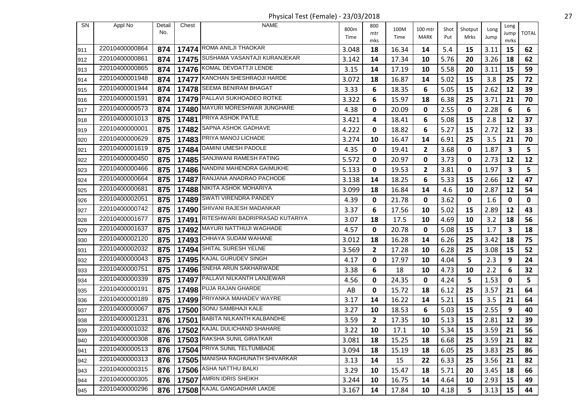Physical Test (Female) - 23/03/2018 27

| <b>SN</b> | Appl No        | Detail | Chest | <b>NAME</b>                           | 800m  | 800          | 100M  | 100 mtr      | Shot | Shotput | Long | Long       |              |
|-----------|----------------|--------|-------|---------------------------------------|-------|--------------|-------|--------------|------|---------|------|------------|--------------|
|           |                | No.    |       |                                       | Time  | mtr          | Time  | MARK         | Put  | Mrks    | Jump | Jump       | <b>TOTAL</b> |
| 1911      | 22010400000864 | 874    |       | 17474 ROMA ANILJI THAOKAR             | 3.048 | mks<br>18    | 16.34 | 14           | 5.4  | 15      | 3.11 | mrks<br>15 | 62           |
| 912       | 22010400000861 | 874    |       | 17475 SUSHAMA VASANTAJI KURANJEKAR    | 3.142 | 14           | 17.34 | 10           | 5.76 | 20      | 3.26 | 18         | 62           |
| 913       | 22010400000865 | 874    |       | 17476 KOMAL DEVDATTJI LENDE           | 3.15  | 14           | 17.19 | 10           | 5.58 | 20      | 3.11 | 15         | 59           |
| 914       | 22010400001948 | 874    |       | 17477 KANCHAN SHESHRAOJI HARDE        | 3.072 | 18           | 16.87 | 14           | 5.02 | 15      | 3.8  | 25         | 72           |
| 915       | 22010400001944 | 874    | 17478 | <b>SEEMA BENIRAM BHAGAT</b>           | 3.33  | 6            | 18.35 | 6            | 5.05 | 15      | 2.62 | 12         | 39           |
| 916       | 22010400001591 | 874    |       | 17479 PALLAVI SUKHOADEO ROTKE         | 3.322 | 6            | 15.97 | 18           | 6.38 | 25      | 3.71 | 21         | 70           |
| 917       | 22010400000573 | 874    | 17480 | MAYURI MORESHWAR JUNGHARE             | 4.38  | 0            | 20.09 | 0            | 2.55 | 0       | 2.28 | 6          | 6            |
| 918       | 22010400001013 | 875    |       | 17481 PRIYA ASHOK PATLE               | 3.421 | 4            | 18.41 | 6            | 5.08 | 15      | 2.8  | 12         | 37           |
| 919       | 22010400000001 | 875    | 17482 | SAPNA ASHOK GADHAVE                   | 4.222 | 0            | 18.82 | 6            | 5.27 | 15      | 2.72 | 12         | 33           |
| 920       | 22010400000629 | 875    |       | 17483 PRIYA MANOJ LICHADE             | 3.274 | 10           | 16.47 | 14           | 6.91 | 25      | 3.5  | 21         | 70           |
| 921       | 22010400001619 | 875    |       | 17484 DAMINI UMESH PADOLE             | 4.35  | 0            | 19.41 | $\mathbf{2}$ | 3.68 | 0       | 1.87 | 3          | 5            |
| 922       | 22010400000450 | 875    | 17485 | SANJIWANI RAMESH FATING               | 5.572 | 0            | 20.97 | 0            | 3.73 | 0       | 2.73 | 12         | 12           |
| 923       | 22010400000466 | 875    |       | 17486 NANDINI MAHENDRA GAIMUKHE       | 5.133 | 0            | 19.53 | $\mathbf{2}$ | 3.81 | 0       | 1.97 | 3          | 5            |
| 924       | 22010400000664 | 875    | 17487 | RANJANA ANADRAO PACHODE               | 3.138 | 14           | 18.25 | 6            | 5.33 | 15      | 2.66 | 12         | 47           |
| 925       | 22010400000681 | 875    |       | 17488 NIKITA ASHOK MOHARIYA           | 3.099 | 18           | 16.84 | 14           | 4.6  | 10      | 2.87 | 12         | 54           |
| 926       | 22010400002051 | 875    | 17489 | SWATI VIRENDRA PANDEY                 | 4.39  | 0            | 21.78 | 0            | 3.62 | 0       | 1.6  | 0          | 0            |
| 927       | 22010400000742 | 875    |       | 17490 SHIVANI RAJESH MADANKAR         | 3.37  | 6            | 17.56 | 10           | 5.02 | 15      | 2.89 | 12         | 43           |
| 928       | 22010400001677 | 875    |       | 17491 RITESHWARI BADRIPRASAD KUTARIYA | 3.07  | 18           | 17.5  | 10           | 4.69 | 10      | 3.2  | 18         | 56           |
| 929       | 22010400001637 | 875    | 17492 | MAYURI NATTHUJI WAGHADE               | 4.57  | 0            | 20.78 | 0            | 5.08 | 15      | 1.7  | 3          | 18           |
| 930       | 22010400002120 | 875    |       | 17493 CHHAYA SUDAM WAHANE             | 3.012 | 18           | 16.28 | 14           | 6.26 | 25      | 3.42 | 18         | 75           |
| 931       | 22010400002032 | 875    | 17494 | SHITAL SURESH YELNE                   | 3.569 | $\mathbf{2}$ | 17.28 | 10           | 6.28 | 25      | 3.08 | 15         | 52           |
| 932       | 22010400000043 | 875    |       | 17495 KAJAL GURUDEV SINGH             | 4.17  | 0            | 17.97 | 10           | 4.04 | 5       | 2.3  | 9          | 24           |
| 933       | 22010400000751 | 875    |       | 17496 SNEHA ARUN SAKHARWADE           | 3.38  | 6            | 18    | 10           | 4.73 | 10      | 2.2  | 6          | 32           |
| 934       | 22010400000339 | 875    |       | 17497 PALLAVI NILKANTH LANJEWAR       | 4.56  | 0            | 24.35 | $\mathbf 0$  | 4.24 | 5       | 1.53 | 0          | 5            |
| 935       | 22010400000191 | 875    |       | 17498 PUJA RAJAN GHARDE               | AB    | 0            | 15.72 | 18           | 6.12 | 25      | 3.57 | 21         | 64           |
| 936       | 22010400000189 | 875    | 17499 | PRIYANKA MAHADEV WAYRE                | 3.17  | 14           | 16.22 | 14           | 5.21 | 15      | 3.5  | 21         | 64           |
| 937       | 22010400000067 | 875    |       | 17500 SONU SAMBHAJI KALE              | 3.27  | 10           | 18.53 | 6            | 5.03 | 15      | 2.55 | 9          | 40           |
| 938       | 22010400001231 | 876    |       | 17501 BABITA NILKANTH KALBANDHE       | 3.59  | 2            | 17.35 | 10           | 5.13 | 15      | 2.81 | 12         | 39           |
| 939       | 22010400001032 | 876    |       | 17502 KAJAL DULICHAND SHAHARE         | 3.22  | 10           | 17.1  | 10           | 5.34 | 15      | 3.59 | 21         | 56           |
| 940       | 22010400000308 | 876    |       | 17503 RAKSHA SUNIL GIRATKAR           | 3.081 | 18           | 15.25 | 18           | 6.68 | 25      | 3.59 | 21         | 82           |
| 941       | 22010400000513 | 876    |       | 17504 PRIYA SUNIL TELTUMBADE          | 3.094 | 18           | 15.19 | 18           | 6.05 | 25      | 3.83 | 25         | 86           |
| 942       | 22010400000313 | 876    |       | 17505 MANISHA RAGHUNATH SHIVARKAR     | 3.13  | 14           | 15    | 22           | 6.33 | 25      | 3.56 | 21         | 82           |
| 943       | 22010400000315 | 876    |       | 17506 ASHA NATTHU BALKI               | 3.29  | 10           | 15.47 | 18           | 5.71 | 20      | 3.45 | 18         | 66           |
| 944       | 22010400000305 | 876    |       | 17507 AMRIN IDRIS SHEIKH              | 3.244 | 10           | 16.75 | 14           | 4.64 | 10      | 2.93 | 15         | 49           |
| 945       | 22010400000296 | 876    |       | 17508 KAJAL GANGADHAR LAKDE           | 3.167 | 14           | 17.84 | 10           | 4.18 | 5       | 3.13 | 15         | 44           |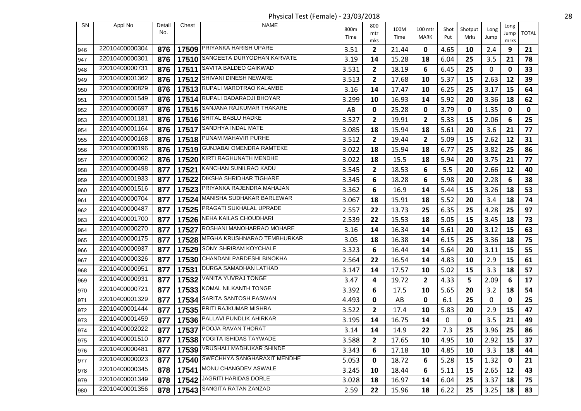Physical Test (Female) - 23/03/2018 28

| <b>SN</b> | Appl No        | Detail | Chest | <b>NAME</b>                       |              | 800          |              |                        |             |                 |              | Long |              |
|-----------|----------------|--------|-------|-----------------------------------|--------------|--------------|--------------|------------------------|-------------|-----------------|--------------|------|--------------|
|           |                | No.    |       |                                   | 800m<br>Time | mtr          | 100M<br>Time | 100 mtr<br><b>MARK</b> | Shot<br>Put | Shotput<br>Mrks | Long<br>Jump | Jump | <b>TOTAL</b> |
|           | 22010400000304 |        |       | 17509 PRIYANKA HARISH UPARE       |              | mks          |              |                        |             |                 |              | mrks |              |
| 946       |                | 876    |       | SANGEETA DURYODHAN KARVATE        | 3.51         | $\mathbf{2}$ | 21.44        | 0                      | 4.65        | 10              | 2.4          | 9    | 21           |
| 947       | 22010400000301 | 876    | 17510 |                                   | 3.19         | 14           | 15.28        | 18                     | 6.04        | 25              | 3.5          | 21   | 78           |
| 948       | 22010400000731 | 876    |       | 17511 SAVITA BALDEO GAIKWAD       | 3.531        | $\mathbf{2}$ | 18.19        | 6                      | 6.45        | 25              | 0            | 0    | 33           |
| 949       | 22010400001362 | 876    |       | 17512 SHIVANI DINESH NEWARE       | 3.513        | 2            | 17.68        | 10                     | 5.37        | 15              | 2.63         | 12   | 39           |
| 950       | 22010400000829 | 876    |       | 17513 RUPALI MAROTRAO KALAMBE     | 3.16         | 14           | 17.47        | 10                     | 6.25        | 25              | 3.17         | 15   | 64           |
| 951       | 22010400001549 | 876    |       | 17514 RUPALI DADARAOJI BHOYAR     | 3.299        | 10           | 16.93        | 14                     | 5.92        | 20              | 3.36         | 18   | 62           |
| 952       | 22010400000697 | 876    | 17515 | SANJANA RAJKUMAR THAKARE          | AB           | 0            | 25.28        | 0                      | 3.79        | 0               | 1.35         | 0    | $\mathbf 0$  |
| 953       | 22010400001181 | 876    |       | 17516 SHITAL BABLU HADKE          | 3.527        | $\mathbf{2}$ | 19.91        | 2                      | 5.33        | 15              | 2.06         | 6    | 25           |
| 954       | 22010400001164 | 876    |       | 17517 SANDHYA INDAL MATE          | 3.085        | 18           | 15.94        | 18                     | 5.61        | 20              | 3.6          | 21   | 77           |
| 955       | 22010400000168 | 876    |       | 17518 PUNAM MAHAVIR PURHE         | 3.512        | 2            | 19.44        | $\mathbf{2}$           | 5.09        | 15              | 2.62         | 12   | 31           |
| 956       | 22010400000196 | 876    |       | 17519 GUNJABAI OMENDRA RAMTEKE    | 3.022        | 18           | 15.94        | 18                     | 6.77        | 25              | 3.82         | 25   | 86           |
| 957       | 22010400000062 | 876    | 17520 | KIRTI RAGHUNATH MENDHE            | 3.022        | 18           | 15.5         | 18                     | 5.94        | 20              | 3.75         | 21   | 77           |
| 958       | 22010400000498 | 877    |       | 17521 KANCHAN SUNILRAO KADU       | 3.545        | 2            | 18.53        | 6                      | 5.5         | 20              | 2.66         | 12   | 40           |
| 959       | 22010400001933 | 877    | 17522 | <b>DIKSHA SHRIDHAR TIGHARE</b>    | 3.345        | 6            | 18.28        | 6                      | 5.98        | 20              | 2.28         | 6    | 38           |
| 960       | 22010400001516 | 877    |       | 17523 PRIYANKA RAJENDRA MAHAJAN   | 3.362        | 6            | 16.9         | 14                     | 5.44        | 15              | 3.26         | 18   | 53           |
| 961       | 22010400000704 | 877    |       | 17524 MANISHA SUDHAKAR BARLEWAR   | 3.067        | 18           | 15.91        | 18                     | 5.52        | 20              | 3.4          | 18   | 74           |
| 962       | 22010400000487 | 877    |       | 17525 PRAGATI SUKHALAL UPRADE     | 2.557        | 22           | 13.73        | 25                     | 6.35        | 25              | 4.28         | 25   | 97           |
| 963       | 22010400001700 | 877    |       | 17526 NEHA KAILAS CHOUDHARI       | 2.539        | 22           | 15.53        | 18                     | 5.05        | 15              | 3.45         | 18   | 73           |
| 964       | 22010400000270 | 877    | 17527 | ROSHANI MANOHARRAO MOHARE         | 3.16         | 14           | 16.34        | 14                     | 5.61        | 20              | 3.12         | 15   | 63           |
| 965       | 22010400000175 | 877    |       | 17528 MEGHA KRUSHNARAO TEMBHURKAR | 3.05         | 18           | 16.38        | 14                     | 6.15        | 25              | 3.36         | 18   | 75           |
| 966       | 22010400000937 | 877    | 17529 | SONY SHRIRAM KOYCHALE             | 3.323        | 6            | 16.44        | 14                     | 5.64        | 20              | 3.11         | 15   | 55           |
| 967       | 22010400000326 | 877    |       | 17530 CHANDANI PARDESHI BINOKHA   | 2.564        | 22           | 16.54        | 14                     | 4.83        | 10              | 2.9          | 15   | 61           |
| 968       | 22010400000951 | 877    | 17531 | <b>DURGA SAMADHAN LATHAD</b>      | 3.147        | 14           | 17.57        | 10                     | 5.02        | 15              | 3.3          | 18   | 57           |
| 969       | 22010400000931 | 877    | 17532 | VANITA YUVRAJ TONGE               | 3.47         | 4            | 19.72        | $\mathbf{2}$           | 4.33        | 5               | 2.09         | 6    | 17           |
| 970       | 22010400000721 | 877    |       | 17533 KOMAL NILKANTH TONGE        | 3.392        | 6            | 17.5         | 10                     | 5.65        | 20              | 3.2          | 18   | 54           |
| 971       | 22010400001329 | 877    | 17534 | SARITA SANTOSH PASWAN             | 4.493        | 0            | AB           | 0                      | 6.1         | 25              | $\mathbf 0$  | 0    | 25           |
| 972       | 22010400001444 | 877    |       | 17535 PRITI RAJKUMAR MISHRA       | 3.522        | $\mathbf{2}$ | 17.4         | 10                     | 5.83        | 20              | 2.9          | 15   | 47           |
| 973       | 22010400001459 | 877    |       | 17536 PALLAVI PUNDLIK AHIRKAR     | 3.195        | 14           | 16.75        | 14                     | 0           | 0               | 3.5          | 21   | 49           |
| 974       | 22010400002022 | 877    |       | 17537 POOJA RAVAN THORAT          | 3.14         | 14           | 14.9         | 22                     | 7.3         | 25              | 3.96         | 25   | 86           |
| 975       | 22010400001510 | 877    |       | 17538 YOGITA ISHIDAS TAYWADE      | 3.588        | 2            | 17.65        | 10                     | 4.95        | 10              | 2.92         | 15   | 37           |
| 976       | 22010400000481 | 877    |       | 17539   VRUSHALI MADHUKAR SHINDE  | 3.343        | 6            | 17.18        | 10                     | 4.85        | 10              | 3.3          | 18   | 44           |
| 977       | 22010400000023 | 877    |       | 17540 SWECHHYA SANGHARAXIT MENDHE | 5.053        | 0            | 18.72        | 6                      | 5.28        | 15              | 1.32         | 0    | 21           |
| 978       | 22010400000345 | 878    | 17541 | MONU CHANGDEV ASWALE              | 3.245        | 10           | 18.44        | 6                      | 5.11        | 15              | 2.65         | 12   | 43           |
| 979       | 22010400001349 | 878    |       | 17542 JAGRITI HARIDAS DORLE       | 3.028        | 18           | 16.97        | 14                     | 6.04        | 25              | 3.37         | 18   | 75           |
| 980       | 22010400001356 | 878    |       | 17543 SANGITA RATAN ZANZAD        | 2.59         | 22           | 15.96        | 18                     | 6.22        | 25              | 3.25         | 18   | 83           |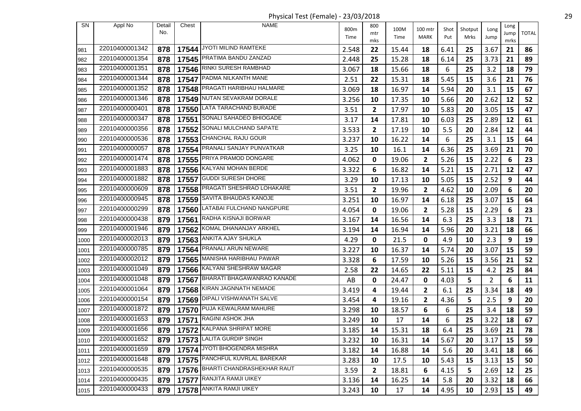Physical Test (Female) - 23/03/2018 29

| SN   | Appl No        | Detail | Chest | <b>NAME</b>                      |       | 800          |       |                |         |         |                | Long |              |
|------|----------------|--------|-------|----------------------------------|-------|--------------|-------|----------------|---------|---------|----------------|------|--------------|
|      |                | No.    |       |                                  | 800m  | mtr          | 100M  | 100 mtr        | Shot    | Shotput | Long           | Jump | <b>TOTAL</b> |
|      |                |        |       |                                  | Time  | mks          | Time  | MARK           | Put     | Mrks    | Jump           | mrks |              |
| 981  | 22010400001342 | 878    |       | 17544 JYOTI MILIND RAMTEKE       | 2.548 | 22           | 15.44 | 18             | 6.41    | 25      | 3.67           | 21   | 86           |
| 982  | 22010400001354 | 878    |       | 17545 PRATIMA BANDU ZANZAD       | 2.448 | 25           | 15.28 | 18             | 6.14    | 25      | 3.73           | 21   | 89           |
| 983  | 22010400001351 | 878    |       | 17546 RINKI SURESH RAMBHAD       | 3.067 | 18           | 15.66 | 18             | 6       | 25      | 3.2            | 18   | 79           |
| 984  | 22010400001344 | 878    | 17547 | PADMA NILKANTH MANE              | 2.51  | 22           | 15.31 | 18             | 5.45    | 15      | 3.6            | 21   | 76           |
| 985  | 22010400001352 | 878    |       | 17548 PRAGATI HARIBHAU HALMARE   | 3.069 | 18           | 16.97 | 14             | 5.94    | 20      | 3.1            | 15   | 67           |
| 986  | 22010400001346 | 878    |       | 17549 NUTAN SEVAKRAM DORALE      | 3.256 | 10           | 17.35 | 10             | 5.66    | 20      | 2.62           | 12   | 52           |
| 987  | 22010400000401 | 878    | 17550 | LATA TARACHAND BURADE            | 3.51  | $\mathbf{2}$ | 17.97 | 10             | 5.83    | 20      | 3.05           | 15   | 47           |
| 988  | 22010400000347 | 878    |       | 17551 SONALI SAHADEO BHIOGADE    | 3.17  | 14           | 17.81 | 10             | 6.03    | 25      | 2.89           | 12   | 61           |
| 989  | 22010400000356 | 878    | 17552 | SONALI MULCHAND SAPATE           | 3.533 | $\mathbf{2}$ | 17.19 | 10             | 5.5     | 20      | 2.84           | 12   | 44           |
| 990  | 22010400000536 | 878    |       | 17553 CHANCHAL RAJU GOUR         | 3.237 | 10           | 16.22 | 14             | 6       | 25      | 3.1            | 15   | 64           |
| 991  | 22010400000057 | 878    | 17554 | PRANALI SANJAY PUNVATKAR         | 3.25  | 10           | 16.1  | 14             | 6.36    | 25      | 3.69           | 21   | 70           |
| 992  | 22010400001474 | 878    |       | 17555 PRIYA PRAMOD DONGARE       | 4.062 | 0            | 19.06 | $\overline{2}$ | 5.26    | 15      | 2.22           | 6    | 23           |
| 993  | 22010400001883 | 878    |       | 17556 KALYANI MOHAN BERDE        | 3.322 | 6            | 16.82 | 14             | 5.21    | 15      | 2.71           | 12   | 47           |
| 994  | 22010400001882 | 878    | 17557 | <b>GUDDI SURESH DHORE</b>        | 3.29  | 10           | 17.13 | 10             | 5.05    | 15      | 2.52           | 9    | 44           |
| 995  | 22010400000609 | 878    |       | 17558 PRAGATI SHESHRAO LOHAKARE  | 3.51  | $\mathbf{2}$ | 19.96 | $\overline{2}$ | 4.62    | 10      | 2.09           | 6    | 20           |
| 996  | 22010400000945 | 878    | 17559 | SAVITA BHAUDAS KANOJE            | 3.251 | 10           | 16.97 | 14             | 6.18    | 25      | 3.07           | 15   | 64           |
| 997  | 22010400000299 | 878    |       | 17560 LATABAI FULCHAND NANGPURE  | 4.054 | 0            | 19.06 | $\mathbf{2}$   | 5.28    | 15      | 2.29           | 6    | 23           |
| 998  | 22010400000438 | 879    |       | 17561 RADHA KISNAJI BORWAR       | 3.167 | 14           | 16.56 | 14             | 6.3     | 25      | 3.3            | 18   | 71           |
| 999  | 22010400001946 | 879    | 17562 | KOMAL DHANANJAY ARKHEL           | 3.194 | 14           | 16.94 | 14             | 5.96    | 20      | 3.21           | 18   | 66           |
| 1000 | 22010400002013 | 879    |       | 17563 ANKITA AJAY SHUKLA         | 4.29  | 0            | 21.5  | 0              | 4.9     | 10      | 2.3            | 9    | 19           |
| 1001 | 22010400000785 | 879    | 17564 | PRANALI ARUN NEWARE              | 3.227 | 10           | 16.37 | 14             | 5.74    | 20      | 3.07           | 15   | 59           |
| 1002 | 22010400002012 | 879    |       | 17565 MANISHA HARIBHAU PAWAR     | 3.328 | 6            | 17.59 | 10             | 5.26    | 15      | 3.56           | 21   | 52           |
| 1003 | 22010400001049 | 879    |       | 17566 KALYANI SHESHRAW MAGAR     | 2.58  | 22           | 14.65 | 22             | 5.11    | 15      | 4.2            | 25   | 84           |
| 1004 | 22010400001048 | 879    |       | 17567 BHARATI BHAGAWANRAO KANADE | AB    | 0            | 24.47 | 0              | 4.03    | 5       | $\overline{2}$ | 6    | 11           |
| 1005 | 22010400001064 | 879    |       | 17568 KIRAN JAGNNATH NEMADE      | 3.419 | 4            | 19.44 | 2              | 6.1     | 25      | 3.34           | 18   | 49           |
| 1006 | 22010400000154 | 879    | 17569 | DIPALI VISHWANATH SALVE          | 3.454 | 4            | 19.16 | $\overline{2}$ | 4.36    | 5       | 2.5            | 9    | 20           |
| 1007 | 22010400001872 | 879    |       | 17570 PUJA KEWALRAM MAHURE       | 3.298 | 10           | 18.57 | 6              | 6       | 25      | 3.4            | 18   | 59           |
| 1008 | 22010400001653 | 879    |       | 17571 RAGINI ASHOK JHA           | 3.249 | 10           | 17    | 14             | 6       | 25      | 3.22           | 18   | 67           |
| 1009 | 22010400001656 |        |       | 879   17572 KALPANA SHRIPAT MORE | 3.185 | 14           | 15.31 | 18             | $6.4\,$ | 25      | $3.69$ 21      |      | 78           |
| 1010 | 22010400001652 | 879    |       | 17573 LALITA GURDIP SINGH        | 3.232 | 10           | 16.31 | 14             | 5.67    | 20      | 3.17           | 15   | 59           |
| 1011 | 22010400001659 | 879    |       | 17574 JYOTI BHOGENDRA MISHRA     | 3.182 | 14           | 16.88 | 14             | 5.6     | 20      | 3.41           | 18   | 66           |
| 1012 | 22010400001648 | 879    |       | 17575 PANCHFUL KUVRLAL BAREKAR   | 3.283 | 10           | 17.5  | 10             | 5.43    | 15      | 3.13           | 15   | 50           |
| 1013 | 22010400000535 | 879    |       | 17576 BHARTI CHANDRASHEKHAR RAUT | 3.59  | $\mathbf{2}$ | 18.81 | 6              | 4.15    | 5       | 2.69           | 12   | 25           |
| 1014 | 22010400000435 | 879    |       | 17577 RANJITA RAMJI UIKEY        | 3.136 | 14           | 16.25 | 14             | 5.8     | 20      | 3.32           | 18   | 66           |
| 1015 | 22010400000433 | 879    |       | 17578 ANKITA RAMJI UIKEY         | 3.243 | 10           | 17    | 14             | 4.95    | 10      | 2.93           | 15   | 49           |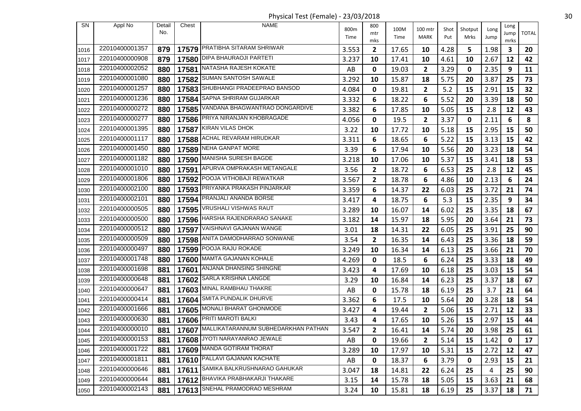Physical Test (Female) - 23/03/2018 30

| SN   | Appl No        | Detail<br>No. | Chest | <b>NAME</b>                                     | 800m<br>Time | 800<br>mtr<br>mks | 100M<br>Time | 100 mtr<br><b>MARK</b> | Shot<br>Put | Shotput<br>Mrks | Long<br>Jump | Long<br>Jump<br>mrks | <b>TOTAL</b> |
|------|----------------|---------------|-------|-------------------------------------------------|--------------|-------------------|--------------|------------------------|-------------|-----------------|--------------|----------------------|--------------|
| 1016 | 22010400001357 | 879           |       | 17579 PRATIBHA SITARAM SHRIWAR                  | 3.553        | 2                 | 17.65        | 10                     | 4.28        | 5               | 1.98         | $\mathbf{3}$         | 20           |
| 1017 | 22010400000908 | 879           | 17580 | DIPA BHAURAOJI PARTETI                          | 3.237        | 10                | 17.41        | 10                     | 4.61        | 10              | 2.67         | 12                   | 42           |
| 1018 | 22010400002052 | 880           |       | 17581 NATASHA RAJESH KOKATE                     | AB           | 0                 | 19.03        | $\mathbf{2}$           | 3.29        | 0               | 2.35         | 9                    | 11           |
| 1019 | 22010400001080 | 880           | 17582 | SUMAN SANTOSH SAWALE                            | 3.292        | 10                | 15.87        | 18                     | 5.75        | 20              | 3.87         | 25                   | 73           |
| 1020 | 22010400001257 | 880           |       | 17583 SHUBHANGI PRADEEPRAO BANSOD               | 4.084        | 0                 | 19.81        | 2                      | 5.2         | 15              | 2.91         | 15                   | 32           |
| 1021 | 22010400001236 | 880           | 17584 | SAPNA SHRIRAM GUJARKAR                          | 3.332        | 6                 | 18.22        | 6                      | 5.52        | 20              | 3.39         | 18                   | 50           |
| 1022 | 22010400000272 | 880           | 17585 | VANDANA BHAGWANTRAO DONGARDIVE                  | 3.382        | 6                 | 17.85        | 10                     | 5.05        | 15              | 2.8          | 12                   | 43           |
| 1023 | 22010400000277 | 880           |       | 17586 PRIYA NIRANJAN KHOBRAGADE                 | 4.056        | 0                 | 19.5         | 2                      | 3.37        | 0               | 2.11         | 6                    | 8            |
| 1024 | 22010400001395 | 880           | 17587 | KIRAN VILAS DHOK                                | 3.22         | 10                | 17.72        | 10                     | 5.18        | 15              | 2.95         | 15                   | 50           |
| 1025 | 22010400001117 | 880           |       | 17588 ACHAL REVARAM HIRUDKAR                    | 3.311        | 6                 | 18.65        | 6                      | 5.22        | 15              | 3.13         | 15                   | 42           |
| 1026 | 22010400001450 | 880           |       | 17589 NEHA GANPAT MORE                          | 3.39         | 6                 | 17.94        | 10                     | 5.56        | 20              | 3.23         | 18                   | 54           |
| 1027 | 22010400001182 | 880           |       | 17590 MANISHA SURESH BAGDE                      | 3.218        | 10                | 17.06        | 10                     | 5.37        | 15              | 3.41         | 18                   | 53           |
| 1028 | 22010400001010 | 880           |       | 17591 APURVA OMPRAKASH METANGALE                | 3.56         | $\mathbf{2}$      | 18.72        | 6                      | 6.53        | 25              | 2.8          | 12                   | 45           |
| 1029 | 22010400001806 | 880           | 17592 | POOJA VITHOBAJI REWATKAR                        | 3.567        | 2                 | 18.78        | 6                      | 4.86        | 10              | 2.13         | 6                    | 24           |
| 1030 | 22010400002100 | 880           |       | 17593 PRIYANKA PRAKASH PINJARKAR                | 3.359        | 6                 | 14.37        | 22                     | 6.03        | 25              | 3.72         | 21                   | 74           |
| 1031 | 22010400002101 | 880           | 17594 | <b>PRANJALI ANANDA BORSE</b>                    | 3.417        | 4                 | 18.75        | 6                      | 5.3         | 15              | 2.35         | 9                    | 34           |
| 1032 | 22010400000505 | 880           |       | 17595   VRUSHALI VISHWAS RAUT                   | 3.289        | 10                | 16.07        | 14                     | 6.02        | 25              | 3.35         | 18                   | 67           |
| 1033 | 22010400000500 | 880           |       | 17596 HARSHA RAJENDRARAO SANAKE                 | 3.182        | 14                | 15.97        | 18                     | 5.95        | 20              | 3.64         | 21                   | 73           |
| 1034 | 22010400000512 | 880           | 17597 | VAISHNAVI GAJANAN WANGE                         | 3.01         | 18                | 14.31        | 22                     | 6.05        | 25              | 3.91         | 25                   | 90           |
| 1035 | 22010400000509 | 880           |       | 17598 ANITA DAMODHARRAO SONWANE                 | 3.54         | 2                 | 16.35        | 14                     | 6.43        | 25              | 3.36         | 18                   | 59           |
| 1036 | 22010400000497 | 880           | 17599 | POOJA RAJU ROKADE                               | 3.249        | 10                | 16.34        | 14                     | 6.13        | 25              | 3.66         | 21                   | 70           |
| 1037 | 22010400001748 | 880           |       | 17600 MAMTA GAJANAN KOHALE                      | 4.269        | 0                 | 18.5         | 6                      | 6.24        | 25              | 3.33         | 18                   | 49           |
| 1038 | 22010400001698 | 881           | 17601 | ANJANA DHANSING SHINGNE                         | 3.423        | 4                 | 17.69        | 10                     | 6.18        | 25              | 3.03         | 15                   | 54           |
| 1039 | 22010400000648 | 881           |       | 17602 SARLA KRISHNA LANGDE                      | 3.29         | 10                | 16.84        | 14                     | 6.23        | 25              | 3.37         | 18                   | 67           |
| 1040 | 22010400000647 | 881           |       | 17603 MINAL RAMBHAU THAKRE                      | AB           | 0                 | 15.78        | 18                     | 6.19        | 25              | 3.7          | 21                   | 64           |
| 1041 | 22010400000414 | 881           | 17604 | SMITA PUNDALIK DHURVE                           | 3.362        | 6                 | 17.5         | 10                     | 5.64        | 20              | 3.28         | 18                   | 54           |
| 1042 | 22010400001666 | 881           |       | 17605 MONALI BHARAT GHONMODE                    | 3.427        | 4                 | 19.44        | 2                      | 5.06        | 15              | 2.71         | 12                   | 33           |
| 1043 | 22010400000630 | 881           |       | 17606 PRITI MAROTI BALKI                        | 3.43         | 4                 | 17.65        | 10                     | 5.26        | 15              | 2.97         | 15                   | 44           |
| 1044 | 22010400000010 |               |       | 881   17607 MALLIKATARANNUM SUBHEDARKHAN PATHAN | 3.547        | $\overline{2}$    | 16.41        | 14                     | 5.74        | 20              | $3.98$ 25    |                      | 61           |
| 1045 | 22010400000153 | 881           |       | 17608 JYOTI NARAYANRAO JEWALE                   | AB           | 0                 | 19.66        | 2                      | 5.14        | 15              | 1.42         | 0                    | 17           |
| 1046 | 22010400001722 | 881           |       | 17609 MANDA GOTIRAM THORAT                      | 3.289        | 10                | 17.97        | 10                     | 5.31        | 15              | 2.72         | 12                   | 47           |
| 1047 | 22010400001811 | 881           |       | 17610 PALLAVI GAJANAN KACHATE                   | AB           | 0                 | 18.37        | 6                      | 3.79        | 0               | 2.93         | 15                   | 21           |
| 1048 | 22010400000646 | 881           | 17611 | SAMIKA BALKRUSHNARAO GAHUKAR                    | 3.047        | 18                | 14.81        | 22                     | 6.24        | 25              | 4            | 25                   | 90           |
| 1049 | 22010400000644 | 881           |       | 17612 BHAVIKA PRABHAKARJI THAKARE               | 3.15         | 14                | 15.78        | 18                     | 5.05        | 15              | 3.63         | 21                   | 68           |
| 1050 | 22010400002143 | 881           |       | 17613 SNEHAL PRAMODRAO MESHRAM                  | 3.24         | 10                | 15.81        | 18                     | 6.19        | 25              | 3.37         | 18                   | 71           |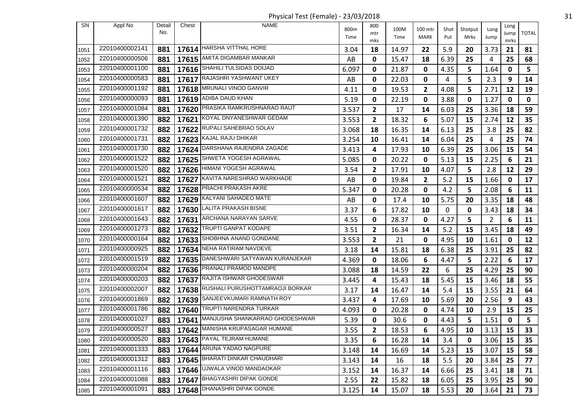Physical Test (Female) - 23/03/2018 31

| SN   | Appl No        | Detail | Chest | <b>NAME</b>                           | 800m  | 800          | 100M  | 100 mtr                 | Shot | Shotput    | Long           | Long        |                |
|------|----------------|--------|-------|---------------------------------------|-------|--------------|-------|-------------------------|------|------------|----------------|-------------|----------------|
|      |                | No.    |       |                                       | Time  | mtr          | Time  | MARK                    | Put  | Mrks       | Jump           | Jump        | <b>TOTAL</b>   |
| 1051 | 22010400002141 | 881    |       | 17614 HARSHA VITTHAL HORE             | 3.04  | mks<br>18    | 14.97 | 22                      | 5.9  | 20         | 3.73           | mrks<br>21  | 81             |
| 1052 | 22010400000506 | 881    |       | 17615   AMITA DIGAMBAR MANKAR         | AB    | 0            | 15.47 | 18                      | 6.39 | 25         | 4              | 25          | 68             |
| 1053 | 22010400001100 | 881    |       | 17616 SHAHILI TULSIDAS DOIJAD         | 6.097 | 0            | 21.87 | 0                       | 4.35 | 5          | 1.64           | 0           | 5 <sup>5</sup> |
| 1054 | 22010400000583 | 881    |       | 17617 RAJASHRI YASHWANT UKEY          | AB    | 0            | 22.03 | 0                       | 4    | 5          | 2.3            | 9           | 14             |
| 1055 | 22010400001192 | 881    |       | 17618 MRUNALI VINOD GANVIR            | 4.11  | 0            | 19.53 | $\overline{\mathbf{c}}$ | 4.08 | 5          | 2.71           | 12          | 19             |
| 1056 | 22010400000093 | 881    |       | 17619 ADIBA DAUD KHAN                 | 5.19  | 0            | 22.19 | 0                       | 3.88 | 0          | 1.27           | 0           | $\mathbf 0$    |
| 1057 | 22010400001084 | 881    |       | 17620 PRASIKA RAMKRUSHNARAO RAUT      | 3.537 | $\mathbf{2}$ | 17    | 14                      | 6.03 | 25         | 3.36           | 18          | 59             |
| 1058 | 22010400001390 | 882    |       | 17621 KOYAL DNYANESHWAR GEDAM         | 3.553 | 2            | 18.32 | 6                       | 5.07 | 15         | 2.74           | 12          | 35             |
| 1059 | 22010400001732 | 882    |       | 17622 RUPALI SAHEBRAO SOLAV           | 3.068 | 18           | 16.35 | 14                      | 6.13 | 25         | 3.8            | 25          | 82             |
| 1060 | 22010400001731 | 882    |       | 17623 KAJAL RAJU DHIKAR               | 3.254 | 10           | 16.41 | 14                      | 6.04 | 25         | 4              | 25          | 74             |
| 1061 | 22010400001730 | 882    |       | 17624 DARSHANA RAJENDRA ZAGADE        | 3.413 | 4            | 17.93 | 10                      | 6.39 | 25         | 3.06           | 15          | 54             |
| 1062 | 22010400001522 | 882    |       | 17625 SHWETA YOGESH AGRAWAL           | 5.085 | 0            | 20.22 | 0                       | 5.13 | 15         | 2.25           | 6           | 21             |
| 1063 | 22010400001520 | 882    |       | 17626 HIMANI YOGESH AGRAWAL           | 3.54  | 2            | 17.91 | 10                      | 4.07 | 5          | 2.8            | 12          | 29             |
| 1064 | 22010400001521 | 882    | 17627 | KAVITA NARESHRAO WARKHADE             | AB    | 0            | 19.84 | $\overline{\mathbf{c}}$ | 5.2  | 15         | 1.66           | $\mathbf 0$ | 17             |
| 1065 | 22010400000534 | 882    |       | 17628 PRACHI PRAKASH AKRE             | 5.347 | 0            | 20.28 | 0                       | 4.2  | 5          | 2.08           | 6           | 11             |
| 1066 | 22010400001607 | 882    |       | 17629 KALYANI SAHADEO MATE            | AB    | 0            | 17.4  | 10                      | 5.75 | 20         | 3.35           | 18          | 48             |
| 1067 | 22010400001617 | 882    |       | 17630 LALITA PRAKASH BISNE            | 3.37  | 6            | 17.82 | 10                      | 0    | 0          | 3.43           | 18          | 34             |
| 1068 | 22010400001643 | 882    |       | 17631 ARCHANA NARAYAN SARVE           | 4.55  | 0            | 28.37 | 0                       | 4.27 | 5          | $\overline{2}$ | 6           | 11             |
| 1069 | 22010400001273 | 882    | 17632 | <b>TRUPTI GANPAT KODAPE</b>           | 3.51  | $\mathbf{2}$ | 16.34 | 14                      | 5.2  | 15         | 3.45           | 18          | 49             |
| 1070 | 22010400000164 | 882    |       | 17633 SHOBHNA ANAND GONDANE           | 3.553 | $\mathbf{2}$ | 21    | 0                       | 4.95 | 10         | 1.61           | 0           | 12             |
| 1071 | 22010400000925 | 882    | 17634 | NEHA RATIRAM NAVDEVE                  | 3.18  | 14           | 15.81 | 18                      | 6.38 | 25         | 3.91           | 25          | 82             |
| 1072 | 22010400001519 | 882    |       | 17635 DANESHWARI SATYAWAN KURANJEKAR  | 4.369 | 0            | 18.06 | 6                       | 4.47 | 5          | 2.22           | 6           | 17             |
| 1073 | 22010400000204 | 882    |       | 17636 PRANALI PRAMOD MANDPE           | 3.088 | 18           | 14.59 | 22                      | 6    | 25         | 4.29           | 25          | 90             |
| 1074 | 22010400000203 | 882    |       | 17637 RAJITA ISHWAR GHODESWAR         | 3.445 | 4            | 15.43 | 18                      | 5.45 | 15         | 3.46           | 18          | 55             |
| 1075 | 22010400002007 | 882    |       | 17638 RUSHALI PURUSHOTTAMRAOJI BORKAR | 3.17  | 14           | 16.47 | 14                      | 5.4  | 15         | 3.55           | 21          | 64             |
| 1076 | 22010400001869 | 882    | 17639 | SANJEEVKUMARI RAMNATH ROY             | 3.437 | 4            | 17.69 | 10                      | 5.69 | 20         | 2.56           | 9           | 43             |
| 1077 | 22010400001786 | 882    | 17640 | TRUPTI NARENDRA TURKAR                | 4.093 | 0            | 20.28 | 0                       | 4.74 | 10         | 2.9            | 15          | 25             |
| 1078 | 22010400001027 | 883    | 17641 | MANJUSHA SHANKARRAO GHODESHWAR        | 5.39  | 0            | 30.6  | 0                       | 4.43 | 5          | 1.51           | $\mathbf 0$ | 5              |
| 1079 | 22010400000527 | 883    |       | 17642 MANISHA KRUPASAGAR HUMANE       | 3.55  | $\mathbf{2}$ | 18.53 | 6                       | 4.95 | ${\bf 10}$ | 3.13           | 15          | 33             |
| 1080 | 22010400000520 | 883    |       | 17643 PAYAL TEJRAM HUMANE             | 3.35  | 6            | 16.28 | 14                      | 3.4  | 0          | 3.06           | 15          | 35             |
| 1081 | 22010400001333 | 883    |       | 17644 ARUNA YADAO NAGPURE             | 3.148 | 14           | 16.69 | 14                      | 5.23 | 15         | 3.07           | 15          | 58             |
| 1082 | 22010400001312 | 883    |       | 17645 BHARATI DINKAR CHAUDHARI        | 3.143 | 14           | 16    | 18                      | 5.5  | 20         | 3.84           | 25          | 77             |
| 1083 | 22010400001116 | 883    |       | 17646 UJWALA VINOD MANDAOKAR          | 3.152 | 14           | 16.37 | 14                      | 6.66 | 25         | 3.41           | 18          | 71             |
| 1084 | 22010400001088 | 883    |       | 17647 BHAGYASHRI DIPAK GONDE          | 2.55  | 22           | 15.82 | 18                      | 6.05 | 25         | 3.95           | 25          | 90             |
| 1085 | 22010400001091 | 883    |       | 17648   DHANASHRI DIPAK GONDE         | 3.125 | 14           | 15.07 | 18                      | 5.53 | 20         | 3.64           | 21          | 73             |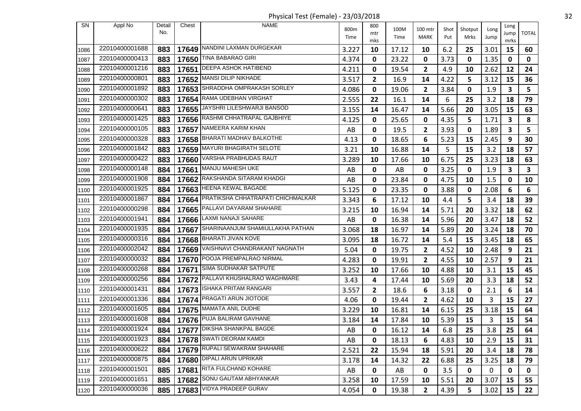Physical Test (Female) - 23/03/2018 32

| SN           | Appl No        | Detail | Chest | <b>NAME</b>                       | 800m  | 800          | 100M  | 100 mtr        | Shot | Shotput | Long         | Long        |              |
|--------------|----------------|--------|-------|-----------------------------------|-------|--------------|-------|----------------|------|---------|--------------|-------------|--------------|
|              |                | No.    |       |                                   | Time  | mtr          | Time  | <b>MARK</b>    | Put  | Mrks    | Jump         | Jump        | <b>TOTAL</b> |
| 1086         | 22010400001688 | 883    |       | 17649 NANDINI LAXMAN DURGEKAR     | 3.227 | mks<br>10    | 17.12 | 10             | 6.2  | 25      | 3.01         | mrks<br>15  | 60           |
| 1087         | 22010400000413 | 883    | 17650 | TINA BABARAO GIRI                 | 4.374 | 0            | 23.22 | 0              | 3.73 | 0       | 1.35         | 0           | $\mathbf 0$  |
| 1088         | 22010400001216 | 883    |       | 17651   DEEPA ASHOK HATIBEND      | 4.211 | 0            | 19.54 | $\overline{2}$ | 4.9  | 10      | 2.62         | 12          | 24           |
| 1089         | 22010400000801 | 883    |       | 17652 MANSI DILIP NIKHADE         | 3.517 | $\mathbf{2}$ | 16.9  | 14             | 4.22 | 5       | 3.12         | 15          | 36           |
|              | 22010400001892 | 883    |       | 17653 SHRADDHA OMPRAKASH SORLEY   | 4.086 | 0            | 19.06 | $\mathbf{2}$   | 3.84 | 0       | 1.9          | 3           | 5            |
| 1090<br>1091 | 22010400000302 | 883    |       | 17654 RAMA UDEBHAN VIRGHAT        | 2.555 | 22           | 16.1  | 14             | 6    | 25      | 3.2          | 18          | 79           |
| 1092         | 22010400000641 | 883    | 17655 | JAYSHRI LILESHWARJI BANSOD        | 3.155 | 14           | 16.47 | 14             | 5.66 | 20      | 3.05         | 15          | 63           |
| 1093         | 22010400001425 | 883    |       | 17656 RASHMI CHHATRAPAL GAJBHIYE  | 4.125 | 0            | 25.65 | 0              | 4.35 | 5       | 1.71         | 3           | 8            |
| 1094         | 22010400000105 | 883    | 17657 | NAMEERA KARIM KHAN                | AB    | 0            | 19.5  | $\mathbf{2}$   | 3.93 | 0       | 1.89         | 3           | 5            |
| 1095         | 22010400000328 | 883    |       | 17658   BHARATI MADHAV BALKOTHE   | 4.13  | 0            | 18.65 | 6              | 5.23 | 15      | 2.45         | 9           | 30           |
| 1096         | 22010400001842 | 883    | 17659 | <b>MAYURI BHAGIRATH SELOTE</b>    | 3.21  | 10           | 16.88 | 14             | 5    | 15      | 3.2          | 18          | 57           |
| 1097         | 22010400000422 | 883    | 17660 | VARSHA PRABHUDAS RAUT             | 3.289 | 10           | 17.66 | 10             | 6.75 | 25      | 3.23         | 18          | 63           |
| 1098         | 22010400000148 | 884    |       | 17661 MANJU MAHESH UKE            | AB    | 0            | AB    | 0              | 3.25 | 0       | 1.9          | 3           | 3            |
| 1099         | 22010400001908 | 884    | 17662 | RAKSHANDA SITARAM KHADGI          | AB    | 0            | 23.84 | 0              | 4.75 | 10      | 1.5          | $\mathbf 0$ | 10           |
| 1100         | 22010400001925 | 884    |       | 17663 HEENA KEWAL BAGADE          | 5.125 | 0            | 23.35 | 0              | 3.88 | 0       | 2.08         | 6           | 6            |
| 1101         | 22010400001867 | 884    | 17664 | PRATIKSHA CHHATRAPATI CHICHMALKAR | 3.343 | 6            | 17.12 | 10             | 4.4  | 5       | 3.4          | 18          | 39           |
| 1102         | 22010400000298 | 884    |       | 17665 PALLAVI DAYARAM SHAHARE     | 3.215 | 10           | 16.94 | 14             | 5.71 | 20      | 3.32         | 18          | 62           |
| 1103         | 22010400001941 | 884    |       | 17666 LAXMI NANAJI SAHARE         | AB    | 0            | 16.38 | 14             | 5.96 | 20      | 3.47         | 18          | 52           |
| 1104         | 22010400001935 | 884    | 17667 | SHARINAANJUM SHAMIULLAKHA PATHAN  | 3.068 | 18           | 16.97 | 14             | 5.89 | 20      | 3.24         | 18          | 70           |
| 1105         | 22010400000316 | 884    |       | 17668 BHARATI JIVAN KOVE          | 3.095 | 18           | 16.72 | 14             | 5.4  | 15      | 3.45         | 18          | 65           |
| 1106         | 22010400002042 | 884    | 17669 | VAISHNAVI CHANDRAKANT NAGNATH     | 5.04  | 0            | 19.75 | $\mathbf{2}$   | 4.52 | 10      | 2.48         | 9           | 21           |
| 1107         | 22010400000032 | 884    |       | 17670 POOJA PREMPALRAO NIRMAL     | 4.283 | 0            | 19.91 | $\overline{2}$ | 4.55 | 10      | 2.57         | 9           | 21           |
| 1108         | 22010400000268 | 884    | 17671 | <b>SIMA SUDHAKAR SATPUTE</b>      | 3.252 | 10           | 17.66 | 10             | 4.88 | 10      | 3.1          | 15          | 45           |
| 1109         | 22010400000256 | 884    |       | 17672 PALLAVI KHUSHALRAO WAGHMARE | 3.43  | 4            | 17.44 | 10             | 5.69 | 20      | 3.3          | 18          | 52           |
| 1110         | 22010400001431 | 884    |       | 17673 ISHAKA PRITAM RANGARI       | 3.557 | $\mathbf{2}$ | 18.6  | 6              | 3.18 | 0       | 2.1          | 6           | 14           |
| 1111         | 22010400001336 | 884    | 17674 | PRAGATI ARUN JIOTODE              | 4.06  | 0            | 19.44 | $\mathbf{2}$   | 4.62 | 10      | 3            | 15          | 27           |
| 1112         | 22010400001605 | 884    |       | 17675 MAMATA ANIL DUDHE           | 3.229 | 10           | 16.81 | 14             | 6.15 | 25      | 3.18         | 15          | 64           |
| 1113         | 22010400001608 | 884    |       | 17676 PUJA BALIRAM GAVHANE        | 3.184 | 14           | 17.84 | 10             | 5.39 | 15      | 3            | 15          | 54           |
| 1114         | 22010400001924 | 884    |       | 17677 DIKSHA SHANKPAL BAGDE       | AB    | 0            | 16.12 | 14             | 6.8  | 25      | 3.8          | 25          | 64           |
| 1115         | 22010400001923 | 884    |       | 17678 SWATI DEORAM KAMDI          | AB    | 0            | 18.13 | 6              | 4.83 | 10      | 2.9          | 15          | 31           |
| 1116         | 22010400000622 | 884    |       | 17679 RUPALI SEWAKRAM SHAHARE     | 2.521 | 22           | 15.94 | 18             | 5.91 | 20      | 3.4          | 18          | 78           |
| 1117         | 22010400000875 | 884    |       | 17680 DIPALI ARUN UPRIKAR         | 3.178 | 14           | 14.32 | 22             | 6.88 | 25      | 3.25         | 18          | 79           |
| 1118         | 22010400001501 | 885    |       | 17681 RITA FULCHAND KOHARE        | AB    | 0            | AB    | 0              | 3.5  | 0       | $\mathbf{0}$ | 0           | $\mathbf 0$  |
| 1119         | 22010400001651 | 885    |       | 17682 SONU GAUTAM ABHYANKAR       | 3.258 | 10           | 17.59 | 10             | 5.51 | 20      | 3.07         | 15          | 55           |
| 1120         | 22010400000036 | 885    |       | 17683 VIDYA PRADEEP GURAV         | 4.054 | 0            | 19.38 | $\mathbf{2}$   | 4.39 | 5       | 3.02         | 15          | 22           |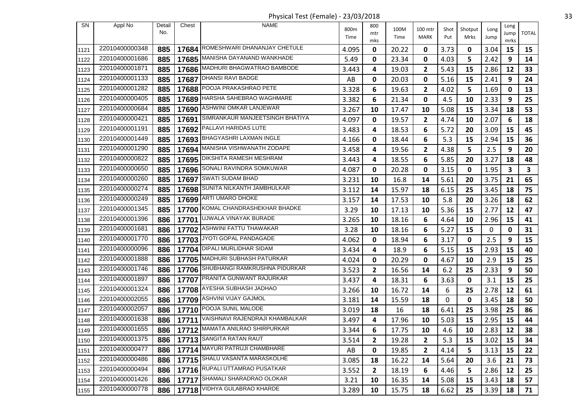Physical Test (Female) - 23/03/2018 33

| SN           | Appl No        | Detail | Chest | <b>NAME</b>                           | 800m  | 800          | 100M  | 100 mtr        | Shot | Shotput | Long | Long       |              |
|--------------|----------------|--------|-------|---------------------------------------|-------|--------------|-------|----------------|------|---------|------|------------|--------------|
|              |                | No.    |       |                                       | Time  | mtr          | Time  | MARK           | Put  | Mrks    | Jump | Jump       | <b>TOTAL</b> |
|              | 22010400000348 | 885    |       | 17684 ROMESHWARI DHANANJAY CHETULE    | 4.095 | mks<br>0     | 20.22 | 0              | 3.73 | 0       | 3.04 | mrks<br>15 | 15           |
| 1121<br>1122 | 22010400001686 | 885    |       | 17685 MANISHA DAYANAND WANKHADE       | 5.49  | 0            | 23.34 | 0              | 4.03 | 5       | 2.42 | 9          | 14           |
| 1123         | 22010400001871 | 885    |       | 17686 MADHURI BHAGWATRAO BAMBODE      | 3.443 | 4            | 19.03 | $\overline{2}$ | 5.43 | 15      | 2.86 | 12         | 33           |
| 1124         | 22010400001133 | 885    | 17687 | DHANSI RAVI BADGE                     | AB    | 0            | 20.03 | 0              | 5.16 | 15      | 2.41 | 9          | 24           |
|              | 22010400001282 | 885    | 17688 | POOJA PRAKASHRAO PETE                 | 3.328 | 6            | 19.63 | $\overline{2}$ | 4.02 | 5       | 1.69 | 0          | 13           |
| 1125<br>1126 | 22010400000405 | 885    |       | 17689 HARSHA SAHEBRAO WAGHMARE        | 3.382 | 6            | 21.34 | 0              | 4.5  | 10      | 2.33 | 9          | 25           |
| 1127         | 22010400000684 | 885    | 17690 | ASHWINI OMKAR LANJEWAR                | 3.267 | 10           | 17.47 | 10             | 5.08 | 15      | 3.34 | 18         | 53           |
| 1128         | 22010400000421 | 885    | 17691 | SIMRANKAUR MANJEETSINGH BHATIYA       | 4.097 | 0            | 19.57 | $\mathbf{2}$   | 4.74 | 10      | 2.07 | 6          | 18           |
| 1129         | 22010400001191 | 885    |       | 17692 PALLAVI HARIDAS LUTE            | 3.483 | 4            | 18.53 | 6              | 5.72 | 20      | 3.09 | 15         | 45           |
| 1130         | 22010400001449 | 885    |       | 17693 BHAGYASHRI LAXMAN INGLE         | 4.166 | 0            | 18.44 | 6              | 5.3  | 15      | 2.94 | 15         | 36           |
| 1131         | 22010400001290 | 885    |       | 17694 MANISHA VISHWANATH ZODAPE       | 3.458 | 4            | 19.56 | 2              | 4.38 | 5       | 2.5  | 9          | 20           |
| 1132         | 22010400000822 | 885    |       | 17695   DIKSHITA RAMESH MESHRAM       | 3.443 | 4            | 18.55 | 6              | 5.85 | 20      | 3.27 | 18         | 48           |
| 1133         | 22010400000650 | 885    |       | 17696 SONALI RAVINDRA SOMKUWAR        | 4.087 | 0            | 20.28 | 0              | 3.15 | 0       | 1.95 | 3          | 3            |
| 1134         | 22010400000260 | 885    | 17697 | <b>SWATI SUDAM BHAD</b>               | 3.231 | 10           | 16.8  | 14             | 5.61 | 20      | 3.75 | 21         | 65           |
| 1135         | 22010400000274 | 885    |       | 17698 SUNITA NILKANTH JAMBHULKAR      | 3.112 | 14           | 15.97 | 18             | 6.15 | 25      | 3.45 | 18         | 75           |
| 1136         | 22010400000249 | 885    |       | 17699 ARTI UMARO DHOKE                | 3.157 | 14           | 17.53 | 10             | 5.8  | 20      | 3.26 | 18         | 62           |
| 1137         | 22010400001345 | 885    |       | 17700 KOMAL CHANDRASHEKHAR BHADKE     | 3.29  | 10           | 17.13 | 10             | 5.36 | 15      | 2.77 | 12         | 47           |
| 1138         | 22010400001396 | 886    |       | 17701 UJWALA VINAYAK BURADE           | 3.265 | 10           | 18.16 | 6              | 4.64 | 10      | 2.96 | 15         | 41           |
| 1139         | 22010400001681 | 886    | 17702 | ASHWINI FATTU THAWAKAR                | 3.28  | 10           | 18.16 | 6              | 5.27 | 15      | 0    | 0          | 31           |
| 1140         | 22010400001770 | 886    |       | 17703 JYOTI GOPAL PANDAGADE           | 4.062 | 0            | 18.94 | 6              | 3.17 | 0       | 2.5  | 9          | 15           |
| 1141         | 22010400000096 | 886    | 17704 | <b>DIPALI MURLIDHAR SIDAM</b>         | 3.434 | 4            | 18.9  | 6              | 5.15 | 15      | 2.93 | 15         | 40           |
| 1142         | 22010400001888 | 886    |       | 17705 MADHURI SUBHASH PATURKAR        | 4.024 | 0            | 20.29 | 0              | 4.67 | 10      | 2.9  | 15         | 25           |
| 1143         | 22010400001746 | 886    |       | 17706 SHUBHANGI RAMKRUSHNA PIDURKAR   | 3.523 | $\mathbf{2}$ | 16.56 | 14             | 6.2  | 25      | 2.33 | 9          | 50           |
| 1144         | 22010400001897 | 886    |       | 17707 PRANITA GUNWANT RAJURKAR        | 3.437 | 4            | 18.31 | 6              | 3.63 | 0       | 3.1  | 15         | 25           |
| 1145         | 22010400001324 | 886    |       | 17708   AYESHA SUBHASH JADHAO         | 3.266 | 10           | 16.72 | 14             | 6    | 25      | 2.78 | 12         | 61           |
| 1146         | 22010400002055 | 886    | 17709 | ASHVINI VIJAY GAJMOL                  | 3.181 | 14           | 15.59 | 18             | 0    | 0       | 3.45 | 18         | 50           |
| 1147         | 22010400002057 | 886    |       | 17710 POOJA SUNIL MALODE              | 3.019 | 18           | 16    | 18             | 6.41 | 25      | 3.98 | 25         | 86           |
| 1148         | 22010400001638 | 886    | 17711 | VAISHNAVI RAJENDRAJI KHAMBALKAR       | 3.497 | 4            | 17.96 | 10             | 5.03 | 15      | 2.95 | 15         | 44           |
| 1149         | 22010400001655 |        |       | 886   17712 MAMATA ANILRAO SHIRPURKAR | 3.344 | 6            | 17.75 | 10             | 4.6  | 10      | 2.83 | ${\bf 12}$ | 38           |
| 1150         | 22010400001375 | 886    |       | 17713 SANGITA RATAN RAUT              | 3.514 | 2            | 19.28 | 2              | 5.3  | 15      | 3.02 | 15         | 34           |
| 1151         | 22010400000477 | 886    |       | 17714 MAYURI PATRUJI CHAMBHARE        | AB    | 0            | 19.85 | $\mathbf{2}$   | 4.14 | 5       | 3.13 | 15         | 22           |
| 1152         | 22010400000486 | 886    |       | 17715 SHALU VASANTA MARASKOLHE        | 3.085 | 18           | 16.22 | 14             | 5.64 | 20      | 3.6  | 21         | 73           |
| 1153         | 22010400000494 | 886    |       | 17716 RUPALI UTTAMRAO PUSATKAR        | 3.552 | $\mathbf{2}$ | 18.19 | 6              | 4.46 | 5       | 2.86 | 12         | 25           |
| 1154         | 22010400001426 | 886    |       | 17717 SHAMALI SHARADRAO OLOKAR        | 3.21  | 10           | 16.35 | 14             | 5.08 | 15      | 3.43 | 18         | 57           |
| 1155         | 22010400000778 | 886    |       | 17718 VIDHYA GULABRAO KHARDE          | 3.289 | 10           | 15.75 | 18             | 6.62 | 25      | 3.39 | 18         | 71           |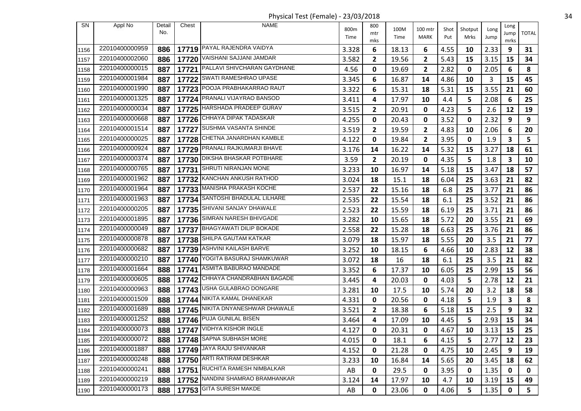Physical Test (Female) - 23/03/2018 34

| SN   | Appl No        | Detail | Chest | <b>NAME</b>                       |              | 800          |              |                        |      |                 |      | Long                    |                |
|------|----------------|--------|-------|-----------------------------------|--------------|--------------|--------------|------------------------|------|-----------------|------|-------------------------|----------------|
|      |                | No.    |       |                                   | 800m<br>Time | mtr          | 100M<br>Time | 100 mtr<br><b>MARK</b> | Shot | Shotput<br>Mrks | Long | Jump                    | <b>TOTAL</b>   |
|      |                |        |       |                                   |              | mks          |              |                        | Put  |                 | Jump | mrks                    |                |
| 1156 | 22010400000959 | 886    |       | 17719 PAYAL RAJENDRA VAIDYA       | 3.328        | 6            | 18.13        | 6                      | 4.55 | 10              | 2.33 | 9                       | 31             |
| 1157 | 22010400002060 | 886    | 17720 | VAISHANI SAJJANI JAMDAR           | 3.582        | $\mathbf{2}$ | 19.56        | $\mathbf{2}$           | 5.43 | 15              | 3.15 | 15                      | 34             |
| 1158 | 22010400000015 | 887    |       | 17721 PALLAVI SHIVCHARAN GAYDHANE | 4.56         | 0            | 19.69        | $\mathbf{2}$           | 2.82 | 0               | 2.05 | 6                       | 8              |
| 1159 | 22010400001984 | 887    | 17722 | SWATI RAMESHRAO UPASE             | 3.345        | 6            | 16.87        | 14                     | 4.86 | 10              | 3    | 15                      | 45             |
| 1160 | 22010400001990 | 887    | 17723 | POOJA PRABHAKARRAO RAUT           | 3.322        | 6            | 15.31        | 18                     | 5.31 | 15              | 3.55 | 21                      | 60             |
| 1161 | 22010400001325 | 887    |       | 17724 PRANALI VIJAYRAO BANSOD     | 3.411        | 4            | 17.97        | 10                     | 4.4  | 5               | 2.08 | 6                       | 25             |
| 1162 | 22010400000034 | 887    | 17725 | HARSHADA PRADEEP GURAV            | 3.515        | $\mathbf{2}$ | 20.91        | 0                      | 4.23 | 5               | 2.6  | 12                      | 19             |
| 1163 | 22010400000668 | 887    |       | 17726 CHHAYA DIPAK TADASKAR       | 4.255        | 0            | 20.43        | 0                      | 3.52 | 0               | 2.32 | 9                       | 9              |
| 1164 | 22010400001514 | 887    | 17727 | SUSHMA VASANTA SHINDE             | 3.519        | $\mathbf{2}$ | 19.59        | $\mathbf{2}$           | 4.83 | 10              | 2.06 | 6                       | 20             |
| 1165 | 22010400000025 | 887    |       | 17728 CHETNA JANARDHAN KAMBLE     | 4.122        | 0            | 19.84        | 2                      | 3.95 | 0               | 1.9  | 3                       | 5              |
| 1166 | 22010400000924 | 887    |       | 17729 PRANALI RAJKUMARJI BHAVE    | 3.176        | 14           | 16.22        | 14                     | 5.32 | 15              | 3.27 | 18                      | 61             |
| 1167 | 22010400000374 | 887    | 17730 | DIKSHA BHASKAR POTBHARE           | 3.59         | $\mathbf{2}$ | 20.19        | 0                      | 4.35 | 5               | 1.8  | $\overline{\mathbf{3}}$ | 10             |
| 1168 | 22010400000765 | 887    |       | 17731 SHRUTI NIRANJAN MONE        | 3.233        | 10           | 16.97        | 14                     | 5.18 | 15              | 3.47 | 18                      | 57             |
| 1169 | 22010400001962 | 887    | 17732 | KANCHAN ANKUSH RATHOD             | 3.024        | 18           | 15.1         | 18                     | 6.04 | 25              | 3.63 | 21                      | 82             |
| 1170 | 22010400001964 | 887    |       | 17733 MANISHA PRAKASH KOCHE       | 2.537        | 22           | 15.16        | 18                     | 6.8  | 25              | 3.77 | 21                      | 86             |
| 1171 | 22010400001963 | 887    | 17734 | SANTOSHI BHADULAL LILHARE         | 2.535        | 22           | 15.54        | 18                     | 6.1  | 25              | 3.52 | 21                      | 86             |
| 1172 | 22010400000205 | 887    |       | 17735 SHIVANI SANJAY DHAWALE      | 2.523        | 22           | 15.59        | 18                     | 6.19 | 25              | 3.71 | 21                      | 86             |
| 1173 | 22010400001895 | 887    |       | 17736 SIMRAN NARESH BHIVGADE      | 3.282        | 10           | 15.65        | 18                     | 5.72 | 20              | 3.55 | 21                      | 69             |
| 1174 | 22010400000049 | 887    | 17737 | BHAGYAWATI DILIP BOKADE           | 2.558        | 22           | 15.28        | 18                     | 6.63 | 25              | 3.76 | 21                      | 86             |
| 1175 | 22010400000878 | 887    |       | 17738 SHILPA GAUTAM KATKAR        | 3.079        | 18           | 15.97        | 18                     | 5.55 | 20              | 3.5  | 21                      | 77             |
| 1176 | 22010400000682 | 887    | 17739 | ASHVINI KAILASH BARVE             | 3.252        | 10           | 18.15        | 6                      | 4.66 | 10              | 2.83 | 12                      | 38             |
| 1177 | 22010400000210 | 887    |       | 17740 YOGITA BASURAJ SHAMKUWAR    | 3.072        | 18           | 16           | 18                     | 6.1  | 25              | 3.5  | 21                      | 82             |
| 1178 | 22010400001664 | 888    | 17741 | ASMITA BABURAO MANDADE            | 3.352        | 6            | 17.37        | 10                     | 6.05 | 25              | 2.99 | 15                      | 56             |
| 1179 | 22010400000605 | 888    |       | 17742 CHHAYA CHANDRABHAN BAGADE   | 3.445        | 4            | 20.03        | 0                      | 4.03 | 5               | 2.78 | 12                      | 21             |
| 1180 | 22010400000963 | 888    |       | 17743 USHA GULABRAO DONGARE       | 3.281        | 10           | 17.5         | 10                     | 5.74 | 20              | 3.2  | 18                      | 58             |
| 1181 | 22010400001509 | 888    | 17744 | NIKITA KAMAL DHANEKAR             | 4.331        | 0            | 20.56        | 0                      | 4.18 | 5               | 1.9  | 3                       | 8              |
| 1182 | 22010400001689 | 888    |       | 17745 NIKITA DNYANESHWAR DHAWALE  | 3.521        | $\mathbf{2}$ | 18.38        | 6                      | 5.18 | 15              | 2.5  | 9                       | 32             |
| 1183 | 22010400001252 | 888    |       | 17746 PUJA GUNILAL BISEN          | 3.464        | 4            | 17.09        | 10                     | 4.45 | 5               | 2.93 | 15                      | 34             |
| 1184 | 22010400000073 |        |       | 888   17747   VIDHYA KISHOR INGLE | 4.127        | 0            | 20.31        | 0                      | 4.67 | 10              | 3.13 | 15                      | 25             |
| 1185 | 22010400000072 | 888    |       | 17748 SAPNA SUBHASH MORE          | 4.015        | 0            | 18.1         | 6                      | 4.15 | 5               | 2.77 | 12                      | 23             |
| 1186 | 22010400001887 | 888    |       | 17749 JAYA RAJU SHIVANKAR         | 4.152        | 0            | 21.28        | 0                      | 4.75 | 10              | 2.45 | 9                       | 19             |
| 1187 | 22010400000248 | 888    |       | 17750 ARTI RATIRAM DESHKAR        | 3.233        | 10           | 16.84        | 14                     | 5.65 | 20              | 3.45 | 18                      | 62             |
| 1188 | 22010400000241 | 888    |       | 17751 RUCHITA RAMESH NIMBALKAR    | AB           | 0            | 29.5         | 0                      | 3.95 | 0               | 1.35 | 0                       | $\mathbf 0$    |
| 1189 | 22010400000219 | 888    |       | 17752 NANDINI SHAMRAO BRAMHANKAR  | 3.124        | 14           | 17.97        | 10                     | 4.7  | 10              | 3.19 | 15                      | 49             |
| 1190 | 22010400000173 | 888    |       | 17753 GITA SURESH MAKDE           | AB           | 0            | 23.06        | 0                      | 4.06 | 5               | 1.35 | $\mathbf 0$             | 5 <sub>1</sub> |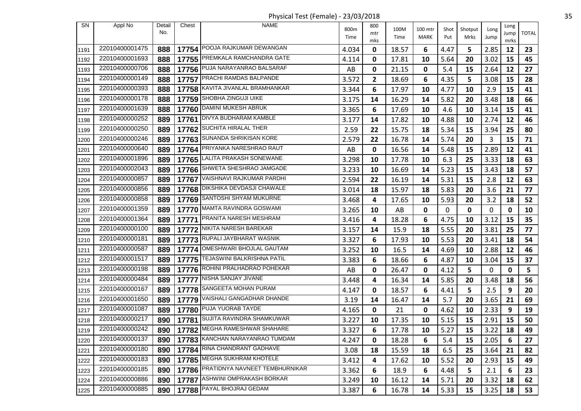Physical Test (Female) - 23/03/2018 35

| SN   | Appl No        | Detail | Chest | <b>NAME</b>                          | . .   |                 |       |             |      |         |             |              |              |
|------|----------------|--------|-------|--------------------------------------|-------|-----------------|-------|-------------|------|---------|-------------|--------------|--------------|
|      |                | No.    |       |                                      | 800m  | 800<br>mtr      | 100M  | 100 mtr     | Shot | Shotput | Long        | Long<br>Jump | <b>TOTAL</b> |
|      |                |        |       |                                      | Time  | mks             | Time  | <b>MARK</b> | Put  | Mrks    | Jump        | mrks         |              |
| 1191 | 22010400001475 | 888    |       | 17754 POOJA RAJKUMAR DEWANGAN        | 4.034 | 0               | 18.57 | 6           | 4.47 | 5       | 2.85        | 12           | 23           |
| 1192 | 22010400001693 | 888    |       | 17755 PREMKALA RAMCHANDRA GATE       | 4.114 | 0               | 17.81 | 10          | 5.64 | 20      | 3.02        | 15           | 45           |
| 1193 | 22010400000706 | 888    |       | 17756 PUJA NARAYANRAO BALSARAF       | AB    | 0               | 21.15 | 0           | 5.4  | 15      | 2.64        | 12           | 27           |
| 1194 | 22010400000149 | 888    |       | 17757 PRACHI RAMDAS BALPANDE         | 3.572 | $\mathbf{2}$    | 18.69 | 6           | 4.35 | 5       | 3.08        | 15           | 28           |
| 1195 | 22010400000393 | 888    |       | 17758 KAVITA JIVANLAL BRAMHANKAR     | 3.344 | 6               | 17.97 | 10          | 4.77 | 10      | 2.9         | 15           | 41           |
| 1196 | 22010400000178 | 888    |       | 17759 SHOBHA ZINGUJI UIKE            | 3.175 | 14              | 16.29 | 14          | 5.82 | 20      | 3.48        | 18           | 66           |
| 1197 | 22010400001639 | 888    |       | 17760 DAMINI MUKESH ABRUK            | 3.365 | 6               | 17.69 | 10          | 4.6  | 10      | 3.14        | 15           | 41           |
| 1198 | 22010400000252 | 889    |       | 17761   DIVYA BUDHARAM KAMBLE        | 3.177 | 14              | 17.82 | 10          | 4.88 | 10      | 2.74        | 12           | 46           |
| 1199 | 22010400000250 | 889    | 17762 | <b>SUCHITA HIRALAL THER</b>          | 2.59  | 22              | 15.75 | 18          | 5.34 | 15      | 3.94        | 25           | 80           |
| 1200 | 22010400000246 | 889    |       | 17763 SUNANDA SHRIKISAN KORE         | 2.579 | 22              | 16.78 | 14          | 5.74 | 20      | 3           | 15           | 71           |
| 1201 | 22010400000640 | 889    | 17764 | PRIYANKA NARESHRAO RAUT              | AB    | 0               | 16.56 | 14          | 5.48 | 15      | 2.89        | 12           | 41           |
| 1202 | 22010400001896 | 889    |       | 17765 LALITA PRAKASH SONEWANE        | 3.298 | 10              | 17.78 | 10          | 6.3  | 25      | 3.33        | 18           | 63           |
| 1203 | 22010400002043 | 889    |       | 17766 SHWETA SHESHRAO JAMGADE        | 3.233 | 10              | 16.69 | 14          | 5.23 | 15      | 3.43        | 18           | 57           |
| 1204 | 22010400000857 | 889    | 17767 | VAISHNAVI RAJKUMAR PARDHI            | 2.594 | 22              | 16.19 | 14          | 5.31 | 15      | 2.8         | 12           | 63           |
| 1205 | 22010400000856 | 889    |       | 17768 DIKSHIKA DEVDASJI CHAWALE      | 3.014 | 18              | 15.97 | 18          | 5.83 | 20      | 3.6         | 21           | 77           |
| 1206 | 22010400000858 | 889    |       | 17769 SANTOSHI SHYAM MUKURNE         | 3.468 | 4               | 17.65 | 10          | 5.93 | 20      | 3.2         | 18           | 52           |
| 1207 | 22010400001359 | 889    |       | 17770 MAMTA RAVINDRA GOSWAMI         | 3.265 | 10              | AB    | 0           | 0    | 0       | 0           | 0            | 10           |
| 1208 | 22010400001364 | 889    | 17771 | <b>PRANITA NARESH MESHRAM</b>        | 3.416 | 4               | 18.28 | 6           | 4.75 | 10      | 3.12        | 15           | 35           |
| 1209 | 22010400000100 | 889    |       | 17772 NIKITA NARESH BAREKAR          | 3.157 | 14              | 15.9  | 18          | 5.55 | 20      | 3.81        | 25           | 77           |
| 1210 | 22010400000181 | 889    |       | 17773 RUPALI JAYBHARAT WASNIK        | 3.327 | 6               | 17.93 | 10          | 5.53 | 20      | 3.41        | 18           | 54           |
| 1211 | 22010400000587 | 889    |       | 17774 OMESHWARI BHOJLAL GAUTAM       | 3.252 | 10              | 16.5  | 14          | 4.69 | 10      | 2.88        | 12           | 46           |
| 1212 | 22010400001517 | 889    |       | 17775   TEJASWINI BALKRISHNA PATIL   | 3.383 | 6               | 18.66 | 6           | 4.87 | 10      | 3.04        | 15           | 37           |
| 1213 | 22010400000198 | 889    | 17776 | ROHINI PRALHADRAO POHEKAR            | AB    | 0               | 26.47 | 0           | 4.12 | 5       | $\mathbf 0$ | $\mathbf 0$  | 5            |
| 1214 | 22010400000484 | 889    |       | 17777   NISHA SANJAY JIVANE          | 3.448 | 4               | 16.34 | 14          | 5.85 | 20      | 3.48        | 18           | 56           |
| 1215 | 22010400000167 | 889    |       | 17778 SANGEETA MOHAN PURAM           | 4.147 | 0               | 18.57 | 6           | 4.41 | 5       | 2.5         | 9            | 20           |
| 1216 | 22010400001650 | 889    |       | 17779 VAISHALI GANGADHAR DHANDE      | 3.19  | 14              | 16.47 | 14          | 5.7  | 20      | 3.65        | 21           | 69           |
| 1217 | 22010400001087 | 889    |       | 17780 PUJA YUORAB TAYDE              | 4.165 | 0               | 21    | 0           | 4.62 | 10      | 2.33        | 9            | 19           |
| 1218 | 22010400000217 | 890    |       | 17781 SUJITA RAVINDRA SHAMKUWAR      | 3.227 | 10              | 17.35 | 10          | 5.15 | 15      | 2.91        | 15           | 50           |
| 1219 | 22010400000242 |        |       | 890   17782 MEGHA RAMESHWAR SHAHARE  | 3.327 | $6\overline{6}$ | 17.78 | 10          | 5.27 | 15      | $3.22$      | 18           | 49           |
| 1220 | 22010400000137 | 890    |       | 17783 KANCHAN NARAYANRAO TUMDAM      | 4.247 | 0               | 18.28 | 6           | 5.4  | 15      | 2.05        | 6            | 27           |
| 1221 | 22010400000180 | 890    |       | 17784 RINA CHANDRANT GADHAVE         | 3.08  | 18              | 15.59 | 18          | 6.5  | 25      | 3.64        | 21           | 82           |
| 1222 | 22010400000183 | 890    |       | 17785 MEGHA SUKHRAM KHOTELE          | 3.412 | 4               | 17.62 | 10          | 5.52 | 20      | 2.93        | 15           | 49           |
| 1223 | 22010400000185 | 890    |       | 17786 PRATIDNYA NAVNEET TEMBHURNIKAR | 3.362 | 6               | 18.9  | 6           | 4.48 | 5       | 2.1         | 6            | 23           |
| 1224 | 22010400000886 | 890    |       | 17787 ASHWINI OMPRAKASH BORKAR       | 3.249 | 10              | 16.12 | 14          | 5.71 | 20      | 3.32        | 18           | 62           |
| 1225 | 22010400000885 | 890    |       | 17788 PAYAL BHOJRAJ GEDAM            | 3.387 | 6               | 16.78 | 14          | 5.33 | 15      | 3.25        | 18           | 53           |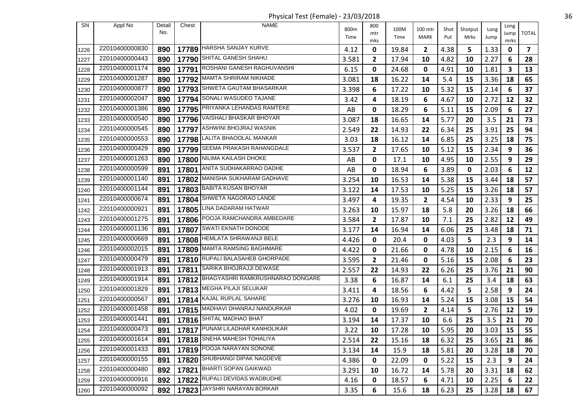Physical Test (Female) - 23/03/2018 36

| SN   | Appl No        | Detail | Chest | <b>NAME</b>                            | 800m  | 800          | 100M  | 100 mtr        | Shot | Shotput | Long | Long      |                |
|------|----------------|--------|-------|----------------------------------------|-------|--------------|-------|----------------|------|---------|------|-----------|----------------|
|      |                | No.    |       |                                        | Time  | mtr          | Time  | MARK           | Put  | Mrks    | Jump | Jump      | <b>TOTAL</b>   |
| 1226 | 22010400000830 | 890    |       | 17789 HARSHA SANJAY KURVE              | 4.12  | mks<br>0     | 19.84 | 2              | 4.38 | 5       | 1.33 | mrks<br>0 | $\overline{7}$ |
| 1227 | 22010400000443 | 890    | 17790 | SHITAL GANESH SHAHU                    | 3.581 | $\mathbf{2}$ | 17.94 | 10             | 4.82 | 10      | 2.27 | 6         | 28             |
| 1228 | 22010400001174 | 890    |       | 17791 ROSHANI GANESH RAGHUVANSHI       | 6.15  | 0            | 24.68 | 0              | 4.91 | 10      | 1.81 | 3         | 13             |
| 1229 | 22010400001287 | 890    |       | 17792 MAMTA SHRIRAM NIKHADE            | 3.081 | 18           | 16.22 | 14             | 5.4  | 15      | 3.36 | 18        | 65             |
| 1230 | 22010400000877 | 890    |       | 17793 SHWETA GAUTAM BHASARKAR          | 3.398 | 6            | 17.22 | 10             | 5.32 | 15      | 2.14 | 6         | 37             |
| 1231 | 22010400002047 | 890    |       | 17794 SONALI WASUDEO TAJANE            | 3.42  | 4            | 18.19 | 6              | 4.67 | 10      | 2.72 | 12        | 32             |
| 1232 | 22010400001386 | 890    | 17795 | PRIYANKA LEHANDAS RAMTEKE              | AB    | 0            | 18.29 | 6              | 5.11 | 15      | 2.09 | 6         | 27             |
| 1233 | 22010400000540 | 890    |       | 17796 VAISHALI BHASKAR BHOYAR          | 3.087 | 18           | 16.65 | 14             | 5.77 | 20      | 3.5  | 21        | 73             |
| 1234 | 22010400000545 | 890    |       | 17797 ASHWINI BHOJRAJ WASNIK           | 2.549 | 22           | 14.93 | 22             | 6.34 | 25      | 3.91 | 25        | 94             |
| 1235 | 22010400000553 | 890    |       | 17798 LALITA BHAOOLAL MANKAR           | 3.03  | 18           | 16.12 | 14             | 6.85 | 25      | 3.25 | 18        | 75             |
| 1236 | 22010400000429 | 890    |       | 17799 SEEMA PRAKASH RAHANGDALE         | 3.537 | $\mathbf{2}$ | 17.65 | 10             | 5.12 | 15      | 2.34 | 9         | 36             |
| 1237 | 22010400001263 | 890    | 17800 | NILIMA KAILASH DHOKE                   | AB    | 0            | 17.1  | 10             | 4.95 | 10      | 2.55 | 9         | 29             |
| 1238 | 22010400000599 | 891    |       | 17801 ANITA SUDHAKARRAO DADHE          | AB    | 0            | 18.94 | 6              | 3.89 | 0       | 2.03 | 6         | 12             |
| 1239 | 22010400001140 | 891    | 17802 | MANISHA SUKHARAM GADHAVE               | 3.254 | 10           | 16.53 | 14             | 5.38 | 15      | 3.44 | 18        | 57             |
| 1240 | 22010400001144 | 891    |       | 17803 BABITA KUSAN BHOYAR              | 3.122 | 14           | 17.53 | 10             | 5.25 | 15      | 3.26 | 18        | 57             |
| 1241 | 22010400000674 | 891    | 17804 | SHWETA NAGORAO LANDE                   | 3.497 | 4            | 19.35 | 2              | 4.54 | 10      | 2.33 | 9         | 25             |
| 1242 | 22010400000921 | 891    |       | 17805 LINA DADARAM HATWAR              | 3.263 | 10           | 15.97 | 18             | 5.8  | 20      | 3.26 | 18        | 66             |
| 1243 | 22010400001275 | 891    |       | 17806 POOJA RAMCHANDRA AMBEDARE        | 3.584 | $\mathbf{2}$ | 17.87 | 10             | 7.1  | 25      | 2.82 | 12        | 49             |
| 1244 | 22010400001136 | 891    | 17807 | <b>SWATI EKNATH DONODE</b>             | 3.177 | 14           | 16.94 | 14             | 6.06 | 25      | 3.48 | 18        | 71             |
| 1245 | 22010400000669 | 891    |       | 17808 HEMLATA SHRAWANJI BELE           | 4.426 | 0            | 20.4  | 0              | 4.03 | 5       | 2.3  | 9         | 14             |
| 1246 | 22010400002015 | 891    | 17809 | MAMTA RAMSING BAGHMARE                 | 4.422 | 0            | 21.66 | 0              | 4.78 | 10      | 2.15 | 6         | 16             |
| 1247 | 22010400000479 | 891    |       | 17810 RUPALI BALASAHEB GHORPADE        | 3.595 | $\mathbf{2}$ | 21.46 | 0              | 5.16 | 15      | 2.08 | 6         | 23             |
| 1248 | 22010400001913 | 891    | 17811 | SARIKA BHOJRAJJI DEWASE                | 2.557 | 22           | 14.93 | 22             | 6.26 | 25      | 3.76 | 21        | 90             |
| 1249 | 22010400001914 | 891    |       | 17812 BHAGYASHRI RAMKRUSHNARAO DONGARE | 3.38  | 6            | 16.87 | 14             | 6.1  | 25      | 3.4  | 18        | 63             |
| 1250 | 22010400001829 | 891    |       | 17813 MEGHA PILAJI SELUKAR             | 3.411 | 4            | 18.56 | 6              | 4.42 | 5       | 2.58 | 9         | 24             |
| 1251 | 22010400000567 | 891    | 17814 | KAJAL RUPLAL SAHARE                    | 3.276 | 10           | 16.93 | 14             | 5.24 | 15      | 3.08 | 15        | 54             |
| 1252 | 22010400001458 | 891    |       | 17815 MADHAVI DHANRAJ NANDURKAR        | 4.02  | 0            | 19.69 | $\overline{2}$ | 4.14 | 5       | 2.76 | 12        | 19             |
| 1253 | 22010400001441 | 891    |       | 17816 SHITAL MADHAO BHAT               | 3.194 | 14           | 17.37 | 10             | 6.6  | 25      | 3.5  | 21        | 70             |
| 1254 | 22010400000473 | 891    |       | 17817 PUNAM LILADHAR KANHOLIKAR        | 3.22  | 10           | 17.28 | 10             | 5.95 | 20      | 3.03 | 15        | 55             |
| 1255 | 22010400001614 | 891    |       | 17818 SNEHA MAHESH TOHALIYA            | 2.514 | 22           | 15.16 | 18             | 6.32 | 25      | 3.65 | 21        | 86             |
| 1256 | 22010400001433 | 891    |       | 17819 POOJA NARAYAN SONONE             | 3.134 | 14           | 15.9  | 18             | 5.81 | 20      | 3.28 | 18        | 70             |
| 1257 | 22010400000155 | 891    |       | 17820 SHUBHANGI DIPAK NAGDEVE          | 4.386 | 0            | 22.09 | 0              | 5.22 | 15      | 2.3  | 9         | 24             |
| 1258 | 22010400000480 | 892    |       | 17821 BHARTI SOPAN GAIKWAD             | 3.291 | 10           | 16.72 | 14             | 5.78 | 20      | 3.31 | 18        | 62             |
| 1259 | 22010400000916 | 892    |       | 17822 RUPALI DEVIDAS WADBUDHE          | 4.16  | 0            | 18.57 | 6              | 4.71 | 10      | 2.25 | 6         | 22             |
| 1260 | 22010400000092 | 892    |       | 17823 JAYSHRI NARAYAN BORKAR           | 3.35  | 6            | 15.6  | 18             | 6.23 | 25      | 3.28 | 18        | 67             |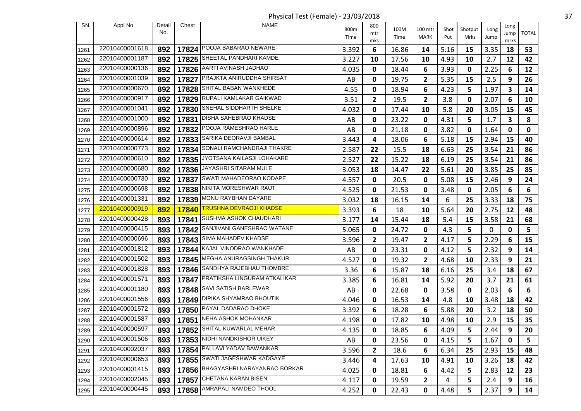Physical Test (Female) - 23/03/2018 37

| SN   | Appl No        | Detail<br>No. | Chest | <b>NAME</b>                        | 800m<br>Time | 800<br>mtr     | 100M<br>Time | 100 mtr<br>MARK | Shot<br>Put | Shotput<br>Mrks | Long<br>Jump | Long<br>Jump | <b>TOTAL</b> |
|------|----------------|---------------|-------|------------------------------------|--------------|----------------|--------------|-----------------|-------------|-----------------|--------------|--------------|--------------|
| 1261 | 22010400001618 | 892           |       | 17824 POOJA BABARAO NEWARE         | 3.392        | mks<br>6       | 16.86        | 14              | 5.16        | 15              | 3.35         | mrks<br>18   | 53           |
| 1262 | 22010400001187 | 892           |       | 17825 SHEETAL PANDHARI KAMDE       | 3.227        | 10             | 17.56        | 10              | 4.93        | 10              | 2.7          | 12           | 42           |
| 1263 | 22010400000136 | 892           |       | 17826 AARTI AVINASH JADHAO         | 4.035        | 0              | 18.44        | 6               | 3.93        | 0               | 2.25         | 6            | 12           |
| 1264 | 22010400001039 | 892           |       | 17827 PRAJKTA ANIRUDDHA SHIRSAT    | AB           | 0              | 19.75        | 2               | 5.35        | 15              | 2.5          | 9            | 26           |
| 1265 | 22010400000670 | 892           |       | 17828 SHITAL BABAN WANKHEDE        | 4.55         | 0              | 18.94        | 6               | 4.23        | 5               | 1.97         | $\mathbf{3}$ | 14           |
| 1266 | 22010400000917 | 892           |       | 17829 RUPALI KAMLAKAR GAIKWAD      | 3.51         | $\mathbf{2}$   | 19.5         | $\overline{2}$  | 3.8         | 0               | 2.07         | 6            | 10           |
| 1267 | 22010400001041 | 892           | 17830 | SNEHAL SIDDHARTH SHELKE            | 4.032        | 0              | 17.44        | 10              | 5.8         | 20              | 3.05         | 15           | 45           |
| 1268 | 22010400001000 | 892           |       | 17831   DISHA SAHEBRAO KHADSE      | AB           | 0              | 23.22        | 0               | 4.31        | 5               | 1.7          | 3            | 8            |
| 1269 | 22010400000896 | 892           | 17832 | POOJA RAMESHRAO HARLE              | AB           | 0              | 21.18        | 0               | 3.82        | 0               | 1.64         | 0            | 0            |
| 1270 | 22010400000614 | 892           |       | 17833 SARIKA DEORAVJI BAMBAL       | 3.443        | 4              | 18.06        | 6               | 5.18        | 15              | 2.94         | 15           | 40           |
| 1271 | 22010400000773 | 892           |       | 17834 SONALI RAMCHANDRAJI THAKRE   | 2.587        | 22             | 15.5         | 18              | 6.63        | 25              | 3.54         | 21           | 86           |
| 1272 | 22010400000610 | 892           |       | 17835 JYOTSANA KAILASJI LOHAKARE   | 2.527        | 22             | 15.22        | 18              | 6.19        | 25              | 3.54         | 21           | 86           |
| 1273 | 22010400000680 | 892           |       | 17836 JAYASHRI SITARAM MULE        | 3.053        | 18             | 14.47        | 22              | 5.61        | 20              | 3.85         | 25           | 85           |
| 1274 | 22010400000730 | 892           | 17837 | <b>SWATI MAHADEORAO KODAPE</b>     | 4.557        | 0              | 20.5         | 0               | 5.08        | 15              | 2.46         | 9            | 24           |
| 1275 | 22010400000698 | 892           |       | 17838 NIKITA MORESHWAR RAUT        | 4.525        | 0              | 21.53        | 0               | 3.48        | 0               | 2.05         | 6            | 6            |
| 1276 | 22010400001331 | 892           |       | 17839 MONU RAYBHAN DAYARE          | 3.032        | 18             | 16.15        | 14              | 6           | 25              | 3.33         | 18           | 75           |
| 1277 | 22010400000919 | 892           |       | 17840 TRUSHNA DEVRAOJI KHADSE      | 3.393        | 6              | 18           | 10              | 5.64        | 20              | 2.75         | 12           | 48           |
| 1278 | 22010400000428 | 893           |       | 17841 SUSHMA ASHOK CHAUDHARI       | 3.177        | 14             | 15.44        | 18              | 5.4         | 15              | 3.58         | 21           | 68           |
| 1279 | 22010400000415 | 893           | 17842 | SANJIVANI GANESHRAO WATANE         | 5.065        | 0              | 24.72        | 0               | 4.3         | 5               | 0            | 0            | 5            |
| 1280 | 22010400000696 | 893           |       | 17843 SIMA MAHADEV KHADSE          | 3.596        | $\overline{2}$ | 19.47        | 2               | 4.17        | 5               | 2.29         | 6            | 15           |
| 1281 | 22010400001812 | 893           | 17844 | KAJAL VINODRAO WANKHADE            | AB           | 0              | 23.31        | 0               | 4.12        | 5               | 2.32         | 9            | 14           |
| 1282 | 22010400001502 | 893           |       | 17845   MEGHA ANURAGSINGH THAKUR   | 4.527        | 0              | 19.32        | 2               | 4.68        | 10              | 2.33         | 9            | 21           |
| 1283 | 22010400001828 | 893           |       | 17846 SANDHYA RAJEBHAU THOMBRE     | 3.36         | 6              | 15.87        | 18              | 6.16        | 25              | 3.4          | 18           | 67           |
| 1284 | 22010400001571 | 893           |       | 17847 PRATIKSHA LINGURAM ATKALIKAR | 3.385        | 6              | 16.81        | 14              | 5.92        | 20              | 3.7          | 21           | 61           |
| 1285 | 22010400001180 | 893           |       | 17848 SAVI SATISH BARLEWAR         | AB           | 0              | 22.68        | 0               | 3.58        | 0               | 2.03         | 6            | 6            |
| 1286 | 22010400001556 | 893           | 17849 | <b>DIPIKA SHYAMRAO BHOUTIK</b>     | 4.046        | 0              | 16.53        | 14              | 4.8         | 10              | 3.48         | 18           | 42           |
| 1287 | 22010400001572 | 893           |       | 17850 PAYAL DADARAO DHOKE          | 3.392        | 6              | 18.28        | 6               | 5.88        | 20              | 3.2          | 18           | 50           |
| 1288 | 22010400001587 | 893           |       | 17851 NEHA ASHOK MOHANKAR          | 4.198        | 0              | 17.82        | 10              | 4.98        | 10              | 2.9          | 15           | 35           |
| 1289 | 22010400000597 | 893           |       | 17852 SHITAL KUWARLAL MEHAR        | 4.135        | $\pmb{0}$      | 18.85        | 6               | 4.09        | 5               | 2.44         | 9            | 20           |
| 1290 | 22010400001506 | 893           |       | 17853 NIDHI NANDKISHOR UIKEY       | AB           | 0              | 23.56        | 0               | 4.15        | 5               | 1.67         | 0            | 5            |
| 1291 | 22010400002037 | 893           |       | 17854 PALLAVI YADAV BAWANKAR       | 3.596        | $\mathbf{2}$   | 18.6         | 6               | 6.34        | 25              | 2.93         | 15           | 48           |
| 1292 | 22010400000653 | 893           |       | 17855 SWATI JAGESHWAR KADGAYE      | 3.446        | 4              | 17.63        | 10              | 4.91        | 10              | 3.26         | 18           | 42           |
| 1293 | 22010400001415 | 893           |       | 17856 BHAGYASHRI NARAYANRAO BORKAR | 4.025        | 0              | 18.81        | 6               | 4.42        | 5               | 2.83         | 12           | 23           |
| 1294 | 22010400002045 | 893           |       | 17857 CHETANA KARAN BISEN          | 4.117        | 0              | 19.59        | $\mathbf{2}$    | 4           | 5               | 2.4          | 9            | 16           |
| 1295 | 22010400000445 | 893           |       | 17858   AMRAPALI NAMDEO THOOL      | 4.252        | 0              | 22.43        | 0               | 4.48        | 5               | 2.37         | 9            | 14           |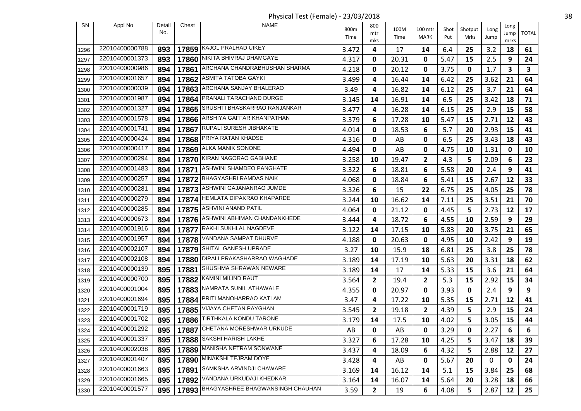Physical Test (Female) - 23/03/2018 38

| SN   | Appl No        | Detail | Chest | <b>NAME</b>                            | 800m  | 800          | 100M                   | 100 mtr     | Shot | Shotput | Long | Long         |              |
|------|----------------|--------|-------|----------------------------------------|-------|--------------|------------------------|-------------|------|---------|------|--------------|--------------|
|      |                | No.    |       |                                        | Time  | mtr<br>mks   | Time                   | MARK        | Put  | Mrks    | Jump | Jump<br>mrks | <b>TOTAL</b> |
| 1296 | 22010400000788 | 893    |       | 17859 KAJOL PRALHAD UIKEY              | 3.472 | 4            | 17                     | 14          | 6.4  | 25      | 3.2  | 18           | 61           |
| 1297 | 22010400001373 | 893    | 17860 | NIKITA BHIVRAJ DHAMGAYE                | 4.317 | 0            | 20.31                  | 0           | 5.47 | 15      | 2.5  | 9            | 24           |
| 1298 | 22010400000986 | 894    | 17861 | ARCHANA CHANDRABHUSHAN SHARMA          | 4.218 | 0            | 20.12                  | 0           | 3.75 | 0       | 1.7  | 3            | 3            |
| 1299 | 22010400001657 | 894    | 17862 | <b>ASMITA TATOBA GAYKI</b>             | 3.499 | 4            | 16.44                  | 14          | 6.42 | 25      | 3.62 | 21           | 64           |
| 1300 | 22010400000039 | 894    | 17863 | ARCHANA SANJAY BHALERAO                | 3.49  | 4            | 16.82                  | 14          | 6.12 | 25      | 3.7  | 21           | 64           |
| 1301 | 22010400001987 | 894    |       | 17864 PRANALI TARACHAND DURGE          | 3.145 | 14           | 16.91                  | 14          | 6.5  | 25      | 3.42 | 18           | 71           |
| 1302 | 22010400001327 | 894    | 17865 | SRUSHTI BHASKARRAO RANJANKAR           | 3.477 | 4            | 16.28                  | 14          | 6.15 | 25      | 2.9  | 15           | 58           |
| 1303 | 22010400001578 | 894    |       | 17866 ARSHIYA GAFFAR KHANPATHAN        | 3.379 | 6            | 17.28                  | 10          | 5.47 | 15      | 2.71 | 12           | 43           |
| 1304 | 22010400001741 | 894    | 17867 | RUPALI SURESH JIBHAKATE                | 4.014 | 0            | 18.53                  | 6           | 5.7  | 20      | 2.93 | 15           | 41           |
| 1305 | 22010400000424 | 894    |       | 17868 PRITA RATAN KHADSE               | 4.316 | 0            | AB                     | $\mathbf 0$ | 6.5  | 25      | 3.43 | 18           | 43           |
| 1306 | 22010400000417 | 894    |       | 17869 ALKA MANIK SONONE                | 4.494 | 0            | AB                     | 0           | 4.75 | 10      | 1.31 | 0            | 10           |
| 1307 | 22010400000294 | 894    |       | 17870 KIRAN NAGORAO GABHANE            | 3.258 | 10           | 19.47                  | 2           | 4.3  | 5       | 2.09 | 6            | 23           |
| 1308 | 22010400001483 | 894    |       | 17871 ASHWINI SHAMDEO PANGHATE         | 3.322 | 6            | 18.81                  | 6           | 5.58 | 20      | 2.4  | 9            | 41           |
| 1309 | 22010400000257 | 894    |       | 17872 BHAGYASHRI RAMDAS NAIK           | 4.068 | 0            | 18.84                  | 6           | 5.41 | 15      | 2.67 | 12           | 33           |
| 1310 | 22010400000281 | 894    |       | 17873   ASHWINI GAJANANRAO JUMDE       | 3.326 | 6            | 15                     | 22          | 6.75 | 25      | 4.05 | 25           | 78           |
| 1311 | 22010400000279 | 894    |       | 17874   HEMLATA DIPAKRAO KHAPARDE      | 3.244 | 10           | 16.62                  | 14          | 7.11 | 25      | 3.51 | 21           | 70           |
| 1312 | 22010400000285 | 894    |       | 17875 ASHVINI ANAND PATIL              | 4.064 | 0            | 21.12                  | 0           | 4.45 | 5       | 2.73 | 12           | 17           |
| 1313 | 22010400000673 | 894    |       | 17876 ASHWINI ABHIMAN CHANDANKHEDE     | 3.444 | 4            | 18.72                  | 6           | 4.55 | 10      | 2.59 | 9            | 29           |
| 1314 | 22010400001916 | 894    | 17877 | RAKHI SUKHLAL NAGDEVE                  | 3.122 | 14           | 17.15                  | 10          | 5.83 | 20      | 3.75 | 21           | 65           |
| 1315 | 22010400001957 | 894    |       | 17878 VANDANA SAMPAT DHURVE            | 4.188 | 0            | 20.63                  | 0           | 4.95 | 10      | 2.42 | 9            | 19           |
| 1316 | 22010400002107 | 894    |       | 17879 SHITAL GANESH UPRADE             | 3.27  | 10           | 15.9                   | 18          | 6.81 | 25      | 3.8  | 25           | 78           |
| 1317 | 22010400002108 | 894    |       | 17880 DIPALI PRAKASHARRAO WAGHADE      | 3.189 | 14           | 17.19                  | 10          | 5.63 | 20      | 3.31 | 18           | 62           |
| 1318 | 22010400000139 | 895    | 17881 | SHUSHMA SHRAWAN NEWARE                 | 3.189 | 14           | 17                     | 14          | 5.33 | 15      | 3.6  | 21           | 64           |
| 1319 | 22010400000700 | 895    | 17882 | KAMINI MILIND RAUT                     | 3.564 | $\mathbf{2}$ | 19.4                   | 2           | 5.3  | 15      | 2.92 | 15           | 34           |
| 1320 | 22010400001004 | 895    |       | 17883 NAMRATA SUNIL ATHAWALE           | 4.355 | 0            | 20.97                  | 0           | 3.93 | 0       | 2.4  | 9            | 9            |
| 1321 | 22010400001694 | 895    | 17884 | PRITI MANOHARRAO KATLAM                | 3.47  | 4            | 17.22                  | 10          | 5.35 | 15      | 2.71 | 12           | 41           |
| 1322 | 22010400001719 | 895    |       | 17885 VIJAYA CHETAN PAYGHAN            | 3.545 | $\mathbf{2}$ | 19.18                  | 2           | 4.39 | 5       | 2.9  | 15           | 24           |
| 1323 | 22010400001702 | 895    |       | 17886 TIRTHKALA KONDU TARONE           | 3.179 | 14           | 17.5                   | 10          | 4.02 | 5       | 3.05 | 15           | 44           |
| 1324 | 22010400001292 | 895    |       | 17887 CHETANA MORESHWAR URKUDE         | AB    | 0            | $\mathsf{A}\mathsf{B}$ | $\pmb{0}$   | 3.29 | 0       | 2.27 | 6            | 6            |
| 1325 | 22010400001337 | 895    |       | 17888 SAKSHI HARISH LAKHE              | 3.327 | 6            | 17.28                  | 10          | 4.25 | 5       | 3.47 | 18           | 39           |
| 1326 | 22010400002038 | 895    |       | 17889 MANISHA NETRAM SONWANE           | 3.437 | 4            | 18.09                  | 6           | 4.32 | 5       | 2.88 | 12           | 27           |
| 1327 | 22010400001407 | 895    |       | 17890 MINAKSHI TEJRAM DOYE             | 3.428 | 4            | AB                     | 0           | 5.67 | 20      | 0    | 0            | 24           |
| 1328 | 22010400001663 | 895    | 17891 | SAMKSHA ARVINDJI CHAWARE               | 3.169 | 14           | 16.12                  | 14          | 5.1  | 15      | 3.84 | 25           | 68           |
| 1329 | 22010400001665 | 895    |       | 17892 VANDANA URKUDAJI KHEDKAR         | 3.164 | 14           | 16.07                  | 14          | 5.64 | 20      | 3.28 | 18           | 66           |
| 1330 | 22010400001577 | 895    |       | 17893 BHAGYASHREE BHAGWANSINGH CHAUHAN | 3.59  | $\mathbf{2}$ | 19                     | 6           | 4.08 | 5       | 2.87 | 12           | 25           |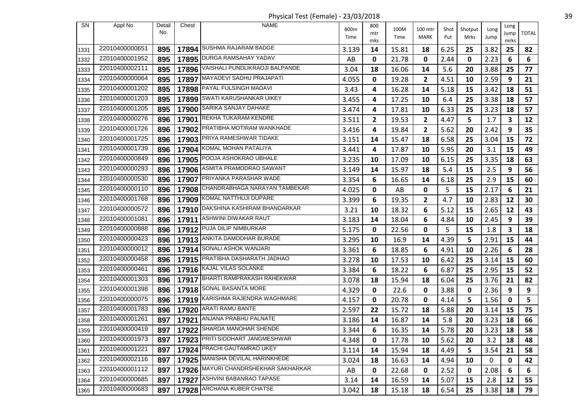Physical Test (Female) - 23/03/2018 39

| SN   | Appl No        | Detail | Chest | <b>NAME</b>                          | 800m  | 800        | 100M  | 100 mtr | Shot | Shotput | Long | Long         |              |
|------|----------------|--------|-------|--------------------------------------|-------|------------|-------|---------|------|---------|------|--------------|--------------|
|      |                | No.    |       |                                      | Time  | mtr<br>mks | Time  | MARK    | Put  | Mrks    | Jump | Jump<br>mrks | <b>TOTAL</b> |
| 1331 | 22010400000651 | 895    |       | 17894 SUSHMA RAJARAM BADGE           | 3.139 | 14         | 15.81 | 18      | 6.25 | 25      | 3.82 | 25           | 82           |
| 1332 | 22010400001952 | 895    |       | 17895 DURGA RAMSAHAY YADAV           | AB    | 0          | 21.78 | 0       | 2.44 | 0       | 2.23 | 6            | 6            |
| 1333 | 22010400002111 | 895    |       | 17896 VAISHALI PUNDLIKRAOJI BALPANDE | 3.04  | 18         | 16.06 | 14      | 5.6  | 20      | 3.88 | 25           | 77           |
| 1334 | 22010400000064 | 895    |       | 17897 MAYADEVI SADHU PRAJAPATI       | 4.055 | 0          | 19.28 | 2       | 4.51 | 10      | 2.59 | 9            | 21           |
| 1335 | 22010400001202 | 895    |       | 17898 PAYAL FULSINGH MADAVI          | 3.43  | 4          | 16.28 | 14      | 5.18 | 15      | 3.42 | 18           | 51           |
| 1336 | 22010400001203 | 895    |       | 17899 SWATI KARUSHANKAR UIKEY        | 3.455 | 4          | 17.25 | 10      | 6.4  | 25      | 3.38 | 18           | 57           |
| 1337 | 22010400001205 | 895    | 17900 | SARIKA SANJAY DAHAKE                 | 3.474 | 4          | 17.81 | 10      | 6.33 | 25      | 3.23 | 18           | 57           |
| 1338 | 22010400000276 | 896    | 17901 | <b>REKHA TUKARAM KENDRE</b>          | 3.511 | 2          | 19.53 | 2       | 4.47 | 5       | 1.7  | 3            | 12           |
| 1339 | 22010400001726 | 896    | 17902 | PRATIBHA MOTIRAM WANKHADE            | 3.416 | 4          | 19.84 | 2       | 5.62 | 20      | 2.42 | 9            | 35           |
| 1340 | 22010400001725 | 896    |       | 17903 PRIYA RAMESHWAR TIDAKE         | 3.151 | 14         | 15.47 | 18      | 6.58 | 25      | 3.04 | 15           | 72           |
| 1341 | 22010400001739 | 896    | 17904 | KOMAL MOHAN PATALIYA                 | 3.441 | 4          | 17.87 | 10      | 5.95 | 20      | 3.1  | 15           | 49           |
| 1342 | 22010400000849 | 896    |       | 17905 POOJA ASHOKRAO UBHALE          | 3.235 | 10         | 17.09 | 10      | 6.15 | 25      | 3.35 | 18           | 63           |
| 1343 | 22010400000293 | 896    |       | 17906 ASMITA PRAMODRAO SAWANT        | 3.149 | 14         | 15.97 | 18      | 5.4  | 15      | 2.5  | 9            | 56           |
| 1344 | 22010400000530 | 896    | 17907 | PRIYANKA PARASHAR WADE               | 3.354 | 6          | 16.65 | 14      | 6.18 | 25      | 2.9  | 15           | 60           |
| 1345 | 22010400000110 | 896    |       | 17908 CHANDRABHAGA NARAYAN TAMBEKAR  | 4.025 | 0          | AB    | 0       | 5    | 15      | 2.17 | 6            | 21           |
| 1346 | 22010400001768 | 896    |       | 17909 KOMAL NATTHUJI DUPARE          | 3.399 | 6          | 19.35 | 2       | 4.7  | 10      | 2.83 | 12           | 30           |
| 1347 | 22010400000572 | 896    |       | 17910 DAKSHINA KASHIRAM BHANDARKAR   | 3.21  | 10         | 18.32 | 6       | 5.12 | 15      | 2.65 | 12           | 43           |
| 1348 | 22010400001081 | 896    | 17911 | ASHWINI DIWAKAR RAUT                 | 3.183 | 14         | 18.04 | 6       | 4.84 | 10      | 2.45 | 9            | 39           |
| 1349 | 22010400000888 | 896    | 17912 | PUJA DILIP NIMBURKAR                 | 5.175 | 0          | 22.56 | 0       | 5    | 15      | 1.8  | 3            | 18           |
| 1350 | 22010400000423 | 896    |       | 17913 ANKITA DAMODHAR BURADE         | 3.295 | 10         | 16.9  | 14      | 4.39 | 5       | 2.91 | 15           | 44           |
| 1351 | 22010400000012 | 896    | 17914 | SONALI ASHOK WANJARI                 | 3.361 | 6          | 18.85 | 6       | 4.91 | 10      | 2.26 | 6            | 28           |
| 1352 | 22010400000458 | 896    |       | 17915 PRATIBHA DASHARATH JADHAO      | 3.278 | 10         | 17.53 | 10      | 6.42 | 25      | 3.14 | 15           | 60           |
| 1353 | 22010400000461 | 896    |       | 17916 KAJAL VILAS SOLANKE            | 3.384 | 6          | 18.22 | 6       | 6.87 | 25      | 2.95 | 15           | 52           |
| 1354 | 22010400001303 | 896    |       | 17917 BHARTI RAMPRAKASH RAHEKWAR     | 3.078 | 18         | 15.94 | 18      | 6.04 | 25      | 3.76 | 21           | 82           |
| 1355 | 22010400001398 | 896    |       | 17918 SONAL BASANTA MORE             | 4.329 | 0          | 22.6  | 0       | 3.88 | 0       | 2.36 | 9            | 9            |
| 1356 | 22010400000075 | 896    | 17919 | KARISHMA RAJENDRA WAGHMARE           | 4.157 | 0          | 20.78 | 0       | 4.14 | 5       | 1.56 | 0            | 5            |
| 1357 | 22010400001783 | 896    |       | 17920 ARATI RAMU BANTE               | 2.597 | 22         | 15.72 | 18      | 5.88 | 20      | 3.14 | 15           | 75           |
| 1358 | 22010400001261 | 897    | 17921 | ANJANA PRABHU PALNATE                | 3.186 | 14         | 16.87 | 14      | 5.8  | 20      | 3.23 | 18           | 66           |
| 1359 | 22010400000419 | 897    |       | 17922 SHARDA MANOHAR SHENDE          | 3.344 | 6          | 16.35 | 14      | 5.78 | 20      | 3.23 | 18           | 58           |
| 1360 | 22010400001973 | 897    |       | 17923 PRITI SIDDHART JANGMESHWAR     | 4.348 | 0          | 17.78 | 10      | 5.62 | 20      | 3.2  | 18           | 48           |
| 1361 | 22010400001221 | 897    |       | 17924 PRACHI GAUTAMRAO UKEY          | 3.114 | 14         | 15.94 | 18      | 4.49 | 5       | 3.54 | 21           | 58           |
| 1362 | 22010400002116 | 897    |       | 17925 MANISHA DEVILAL HARINKHEDE     | 3.024 | 18         | 16.63 | 14      | 4.94 | 10      | 0    | 0            | 42           |
| 1363 | 22010400001112 | 897    |       | 17926 MAYURI CHANDRSHEKHAR SAKHARKAR | AB    | 0          | 22.68 | 0       | 2.52 | 0       | 2.08 | 6            | 6            |
| 1364 | 22010400000685 | 897    |       | 17927 ASHVINI BABANRAO TAPASE        | 3.14  | 14         | 16.59 | 14      | 5.07 | 15      | 2.8  | 12           | 55           |
| 1365 | 22010400000683 | 897    |       | 17928 ARCHANA KUBER CHATSE           | 3.042 | 18         | 15.18 | 18      | 6.54 | 25      | 3.38 | 18           | 79           |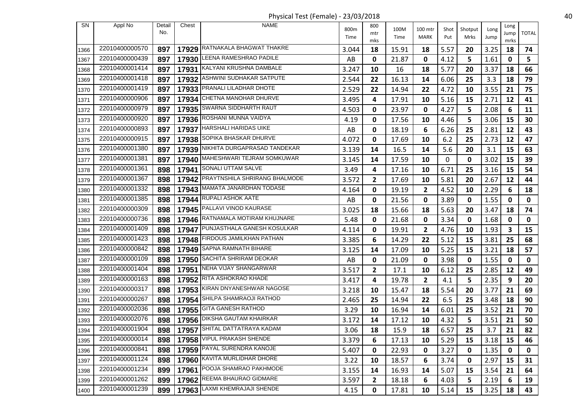Physical Test (Female) - 23/03/2018 40

| SN           | Appl No        | Detail | Chest | <b>NAME</b>                         | 800m  | 800          | 100M  | 100 mtr      |             |                 |              | Long       |              |
|--------------|----------------|--------|-------|-------------------------------------|-------|--------------|-------|--------------|-------------|-----------------|--------------|------------|--------------|
|              |                | No.    |       |                                     | Time  | mtr          | Time  | MARK         | Shot<br>Put | Shotput<br>Mrks | Long<br>Jump | Jump       | <b>TOTAL</b> |
|              | 22010400000570 | 897    |       | 17929 RATNAKALA BHAGWAT THAKRE      | 3.044 | mks<br>18    | 15.91 | 18           | 5.57        | 20              | 3.25         | mrks<br>18 | 74           |
| 1366<br>1367 | 22010400000439 | 897    | 17930 | LEENA RAMESHRAO PADILE              | AB    | 0            | 21.87 | 0            | 4.12        | 5               | 1.61         | 0          | 5            |
|              | 22010400001414 | 897    |       | 17931 KALYANI KRUSHNA DAMBALE       |       | 10           |       | 18           | 5.77        | 20              | 3.37         | 18         | 66           |
| 1368         | 22010400001418 |        |       | ASHWINI SUDHAKAR SATPUTE            | 3.247 |              | 16    |              |             |                 |              |            |              |
| 1369         | 22010400001419 | 897    | 17932 | 17933 PRANALI LILADHAR DHOTE        | 2.544 | 22           | 16.13 | 14           | 6.06        | 25              | 3.3          | 18         | 79           |
| 1370         | 22010400000906 | 897    |       | 17934 CHETNA MANOHAR DHURVE         | 2.529 | 22           | 14.94 | 22           | 4.72        | 10              | 3.55         | 21         | 75           |
| 1371         | 22010400000979 | 897    |       | <b>SWARNA SIDDHARTH RAUT</b>        | 3.495 | 4            | 17.91 | 10           | 5.16        | 15              | 2.71         | 12         | 41           |
| 1372         |                | 897    | 17935 |                                     | 4.503 | 0            | 23.97 | 0            | 4.27        | 5               | 2.08         | 6          | 11           |
| 1373         | 22010400000920 | 897    |       | 17936 ROSHANI MUNNA VAIDYA          | 4.19  | 0            | 17.56 | 10           | 4.46        | 5               | 3.06         | 15         | 30           |
| 1374         | 22010400000893 | 897    | 17937 | <b>HARSHALI HARIDAS UIKE</b>        | AB    | 0            | 18.19 | 6            | 6.26        | 25              | 2.81         | 12         | 43           |
| 1375         | 22010400000915 | 897    |       | 17938 SOPIKA BHASKAR DHURVE         | 4.072 | 0            | 17.69 | 10           | $6.2$       | 25              | 2.73         | 12         | 47           |
| 1376         | 22010400001380 | 897    | 17939 | NIKHITA DURGAPRASAD TANDEKAR        | 3.139 | 14           | 16.5  | 14           | 5.6         | 20              | 3.1          | 15         | 63           |
| 1377         | 22010400001381 | 897    |       | 17940 MAHESHWARI TEJRAM SOMKUWAR    | 3.145 | 14           | 17.59 | 10           | 0           | 0               | 3.02         | 15         | 39           |
| 1378         | 22010400001361 | 898    |       | 17941 SONALI UTTAM SALVE            | 3.49  | 4            | 17.16 | 10           | 6.71        | 25              | 3.16         | 15         | 54           |
| 1379         | 22010400001367 | 898    | 17942 | PRAYTNSHILA SHRIRANG BHALMODE       | 3.572 | $\mathbf{2}$ | 17.69 | 10           | 5.81        | 20              | 2.67         | 12         | 44           |
| 1380         | 22010400001332 | 898    |       | 17943 MAMATA JANARDHAN TODASE       | 4.164 | 0            | 19.19 | $\mathbf{2}$ | 4.52        | 10              | 2.29         | 6          | 18           |
| 1381         | 22010400001385 | 898    | 17944 | <b>RUPALI ASHOK AATE</b>            | AB    | 0            | 21.56 | 0            | 3.89        | 0               | 1.55         | 0          | 0            |
| 1382         | 22010400000309 | 898    |       | 17945 PALLAVI VINOD KAURASE         | 3.025 | 18           | 15.66 | 18           | 5.63        | 20              | 3.47         | 18         | 74           |
| 1383         | 22010400000736 | 898    |       | 17946 RATNAMALA MOTIRAM KHUJNARE    | 5.48  | 0            | 21.68 | 0            | 3.34        | 0               | 1.68         | 0          | 0            |
| 1384         | 22010400001409 | 898    | 17947 | PUNJASTHALA GANESH KOSULKAR         | 4.114 | 0            | 19.91 | $\mathbf{2}$ | 4.76        | 10              | 1.93         | 3          | 15           |
| 1385         | 22010400001423 | 898    |       | 17948 FIRDOUS JAMILKHAN PATHAN      | 3.385 | 6            | 14.29 | 22           | 5.12        | 15              | 3.81         | 25         | 68           |
| 1386         | 22010400000842 | 898    | 17949 | <b>SAPNA RAMNATH BIHARE</b>         | 3.125 | 14           | 17.09 | 10           | 5.25        | 15              | 3.21         | 18         | 57           |
| 1387         | 22010400000109 | 898    | 17950 | SACHITA SHRIRAM DEOKAR              | AB    | 0            | 21.09 | 0            | 3.98        | 0               | 1.55         | 0          | 0            |
| 1388         | 22010400001404 | 898    | 17951 | NEHA VIJAY SHANGARWAR               | 3.517 | $\mathbf{2}$ | 17.1  | 10           | 6.12        | 25              | 2.85         | 12         | 49           |
| 1389         | 22010400000163 | 898    |       | 17952 RITA ASHOKRAO KHADE           | 3.417 | 4            | 19.78 | $\mathbf{2}$ | 4.1         | 5               | 2.35         | 9          | 20           |
| 1390         | 22010400000317 | 898    |       | 17953 KIRAN DNYANESHWAR NAGOSE      | 3.218 | 10           | 15.47 | 18           | 5.54        | 20              | 3.77         | 21         | 69           |
| 1391         | 22010400000267 | 898    | 17954 | SHILPA SHAMRAOJI RATHOD             | 2.465 | 25           | 14.94 | 22           | 6.5         | 25              | 3.48         | 18         | 90           |
| 1392         | 22010400002036 | 898    |       | 17955 GITA GANESH RATHOD            | 3.29  | 10           | 16.94 | 14           | 6.01        | 25              | 3.52         | 21         | 70           |
| 1393         | 22010400002076 | 898    | 17956 | <b>DIKSHA GAUTAM KHAIRKAR</b>       | 3.172 | 14           | 17.12 | 10           | 4.32        | 5               | 3.51         | 21         | 50           |
| 1394         | 22010400001904 |        |       | 898   17957 SHITAL DATTATRAYA KADAM | 3.06  | 18           | 15.9  | 18           | 6.57        | 25              | 3.7          | 21         | 82           |
| 1395         | 22010400000014 | 898    |       | 17958 VIPUL PRAKASH SHENDE          | 3.379 | 6            | 17.13 | 10           | 5.29        | 15              | 3.18         | 15         | 46           |
| 1396         | 22010400000841 | 898    |       | 17959 PAYAL SURENDRA KANOJE         | 5.407 | 0            | 22.93 | 0            | 3.27        | 0               | 1.35         | 0          | 0            |
| 1397         | 22010400001124 | 898    |       | 17960 KAVITA MURLIDHAR DHORE        | 3.22  | 10           | 18.57 | 6            | 3.74        | 0               | 2.97         | 15         | 31           |
| 1398         | 22010400001234 | 899    |       | 17961   POOJA SHAMRAO PAKHMODE      | 3.155 | 14           | 16.93 | 14           | 5.07        | 15              | 3.54         | 21         | 64           |
| 1399         | 22010400001262 | 899    |       | 17962 REEMA BHAURAO GIDMARE         | 3.597 | $\mathbf{2}$ | 18.18 | 6            | 4.03        | 5               | 2.19         | 6          | 19           |
| 1400         | 22010400001239 | 899    |       | 17963 LAXMI KHEMRAJAJI SHENDE       | 4.15  | $\mathbf 0$  | 17.81 | 10           | 5.14        | 15              | 3.25         | 18         | 43           |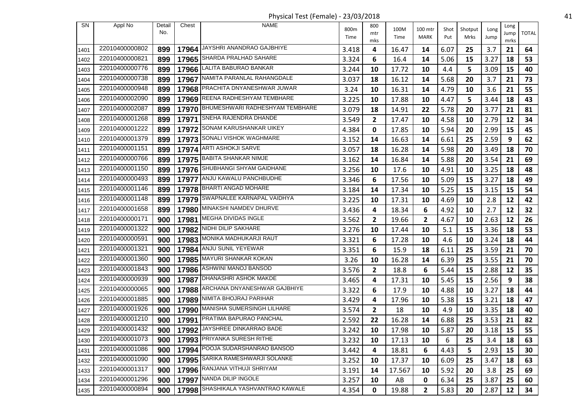Physical Test (Female) - 23/03/2018 41

| SN   | Appl No        | Detail | Chest | <b>NAME</b>                           | 800m  | 800          | 100M   | 100 mtr      | Shot | Shotput | Long      | Long         |              |
|------|----------------|--------|-------|---------------------------------------|-------|--------------|--------|--------------|------|---------|-----------|--------------|--------------|
|      |                | No.    |       |                                       | Time  | mtr<br>mks   | Time   | MARK         | Put  | Mrks    | Jump      | Jump<br>mrks | <b>TOTAL</b> |
| 1401 | 22010400000802 | 899    | 17964 | JAYSHRI ANANDRAO GAJBHIYE             | 3.418 | 4            | 16.47  | 14           | 6.07 | 25      | 3.7       | 21           | 64           |
| 1402 | 22010400000821 | 899    | 17965 | SHARDA PRALHAD SAHARE                 | 3.324 | 6            | 16.4   | 14           | 5.06 | 15      | 3.27      | 18           | 53           |
| 1403 | 22010400000776 | 899    |       | 17966 LALITA BABURAO BANKAR           | 3.244 | 10           | 17.72  | 10           | 4.4  | 5       | 3.09      | 15           | 40           |
| 1404 | 22010400000738 | 899    | 17967 | NAMITA PARANLAL RAHANGDALE            | 3.037 | 18           | 16.12  | 14           | 5.68 | 20      | 3.7       | 21           | 73           |
| 1405 | 22010400000948 | 899    |       | 17968 PRACHITA DNYANESHWAR JUWAR      | 3.24  | 10           | 16.31  | 14           | 4.79 | 10      | 3.6       | 21           | 55           |
| 1406 | 22010400002090 | 899    |       | 17969 REENA RADHESHYAM TEMBHARE       | 3.225 | 10           | 17.88  | 10           | 4.47 | 5       | 3.44      | 18           | 43           |
| 1407 | 22010400002087 | 899    |       | 17970 BHUMESHWARI RADHESHYAM TEMBHARE | 3.079 | 18           | 14.91  | 22           | 5.78 | 20      | 3.77      | 21           | 81           |
| 1408 | 22010400001268 | 899    |       | 17971 SNEHA RAJENDRA DHANDE           | 3.549 | 2            | 17.47  | 10           | 4.58 | 10      | 2.79      | 12           | 34           |
| 1409 | 22010400001222 | 899    | 17972 | <b>SONAM KARUSHANKAR UIKEY</b>        | 4.384 | 0            | 17.85  | 10           | 5.94 | 20      | 2.99      | 15           | 45           |
| 1410 | 22010400001379 | 899    |       | 17973 SONALI VISHOK WAGHMARE          | 3.152 | 14           | 16.63  | 14           | 6.61 | 25      | 2.59      | 9            | 62           |
| 1411 | 22010400001151 | 899    |       | 17974 ARTI ASHOKJI SARVE              | 3.057 | 18           | 16.28  | 14           | 5.98 | 20      | 3.49      | 18           | 70           |
| 1412 | 22010400000766 | 899    |       | 17975 BABITA SHANKAR NIMJE            | 3.162 | 14           | 16.84  | 14           | 5.88 | 20      | 3.54      | 21           | 69           |
| 1413 | 22010400001150 | 899    |       | 17976 SHUBHANGI SHYAM GAIDHANE        | 3.256 | 10           | 17.6   | 10           | 4.91 | 10      | 3.25      | 18           | 48           |
| 1414 | 22010400000493 | 899    | 17977 | ANJU KAWALU PANCHBUDHE                | 3.346 | 6            | 17.56  | 10           | 5.09 | 15      | 3.27      | 18           | 49           |
| 1415 | 22010400001146 | 899    |       | 17978 BHARTI ANGAD MOHARE             | 3.184 | 14           | 17.34  | 10           | 5.25 | 15      | 3.15      | 15           | 54           |
| 1416 | 22010400001148 | 899    |       | 17979 SWAPNALEE KARNAPAL VAIDHYA      | 3.225 | 10           | 17.31  | 10           | 4.69 | 10      | 2.8       | 12           | 42           |
| 1417 | 22010400001658 | 899    |       | 17980 MINAKSHI NAMDEV DHURVE          | 3.436 | 4            | 18.34  | 6            | 4.92 | 10      | 2.7       | 12           | 32           |
| 1418 | 22010400000171 | 900    |       | 17981 MEGHA DIVIDAS INGLE             | 3.562 | 2            | 19.66  | $\mathbf{2}$ | 4.67 | 10      | 2.63      | 12           | 26           |
| 1419 | 22010400001322 | 900    | 17982 | NIDHI DILIP SAKHARE                   | 3.276 | 10           | 17.44  | 10           | 5.1  | 15      | 3.36      | 18           | 53           |
| 1420 | 22010400000591 | 900    |       | 17983 MONIKA MADHUKARJI RAUT          | 3.321 | 6            | 17.28  | 10           | 4.6  | 10      | 3.24      | 18           | 44           |
| 1421 | 22010400001321 | 900    | 17984 | ANJU SUNIL YEYEWAR                    | 3.351 | 6            | 15.9   | 18           | 6.11 | 25      | 3.59      | 21           | 70           |
| 1422 | 22010400001360 | 900    |       | 17985 MAYURI SHANKAR KOKAN            | 3.26  | 10           | 16.28  | 14           | 6.39 | 25      | 3.55      | 21           | 70           |
| 1423 | 22010400001843 | 900    | 17986 | ASHWINI MANOJ BANSOD                  | 3.576 | $\mathbf{2}$ | 18.8   | 6            | 5.44 | 15      | 2.88      | 12           | 35           |
| 1424 | 22010400000939 | 900    |       | 17987 DHANASHRI ASHOK MAKDE           | 3.465 | 4            | 17.31  | 10           | 5.45 | 15      | 2.56      | 9            | 38           |
| 1425 | 22010400000065 | 900    |       | 17988 ARCHANA DNYANESHWAR GAJBHIYE    | 3.322 | 6            | 17.9   | 10           | 4.88 | 10      | 3.27      | 18           | 44           |
| 1426 | 22010400001885 | 900    | 17989 | NIMITA BHOJRAJ PARIHAR                | 3.429 | 4            | 17.96  | 10           | 5.38 | 15      | 3.21      | 18           | 47           |
| 1427 | 22010400001926 | 900    |       | 17990 MANISHA SUMERSINGH LILHARE      | 3.574 | $\mathbf{2}$ | 18     | 10           | 4.9  | 10      | 3.35      | 18           | 40           |
| 1428 | 22010400001210 | 900    | 17991 | PRATIMA BAPURAO PANCHAL               | 2.592 | 22           | 16.28  | 14           | 6.88 | 25      | 3.53      | 21           | 82           |
| 1429 | 22010400001432 |        |       | 900   17992 JAYSHREE DINKARRAO BADE   | 3.242 | 10           | 17.98  | 10           | 5.87 | 20      | $3.18$ 15 |              | 55           |
| 1430 | 22010400001073 | 900    |       | 17993 PRIYANKA SURESH RITHE           | 3.232 | 10           | 17.13  | 10           | 6    | 25      | 3.4       | 18           | 63           |
| 1431 | 22010400001086 | 900    |       | 17994 POOJA SUDARSHANRAO BANSOD       | 3.442 | 4            | 18.81  | 6            | 4.43 | 5       | 2.93      | 15           | 30           |
| 1432 | 22010400001090 | 900    |       | 17995 SARIKA RAMESHWARJI SOLANKE      | 3.252 | 10           | 17.37  | 10           | 6.09 | 25      | 3.47      | 18           | 63           |
| 1433 | 22010400001317 | 900    |       | 17996 RANJANA VITHUJI SHRIYAM         | 3.191 | 14           | 17.567 | 10           | 5.92 | 20      | 3.8       | 25           | 69           |
| 1434 | 22010400001296 | 900    |       | 17997 NANDA DILIP INGOLE              | 3.257 | 10           | AB     | 0            | 6.34 | 25      | 3.87      | 25           | 60           |
| 1435 | 22010400000894 | 900    |       | 17998 SHASHIKALA YASHVANTRAO KAWALE   | 4.354 | 0            | 19.88  | 2            | 5.83 | 20      | 2.87      | 12           | 34           |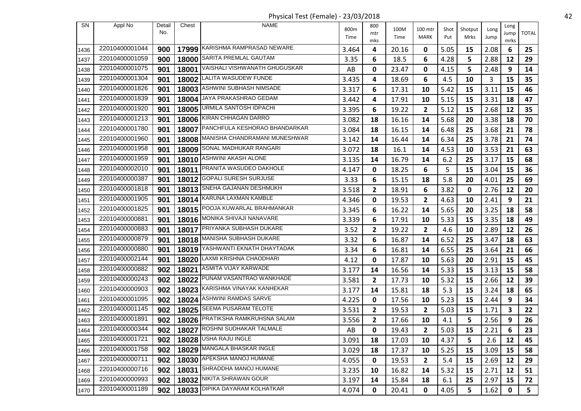Physical Test (Female) - 23/03/2018 42

| SN   | Appl No        | Detail<br>No. | Chest | <b>NAME</b>                         | 800m                   | 800<br>mtr   | 100M  | 100 mtr        | Shot | Shotput | Long | Long<br>Jump | <b>TOTAL</b>   |
|------|----------------|---------------|-------|-------------------------------------|------------------------|--------------|-------|----------------|------|---------|------|--------------|----------------|
|      |                |               |       |                                     | Time                   | mks          | Time  | MARK           | Put  | Mrks    | Jump | mrks         |                |
| 1436 | 22010400001044 | 900           |       | 17999 KARISHMA RAMPRASAD NEWARE     | 3.464                  | 4            | 20.16 | 0              | 5.05 | 15      | 2.08 | 6            | 25             |
| 1437 | 22010400001059 | 900           | 18000 | SARITA PREMLAL GAUTAM               | 3.35                   | 6            | 18.5  | 6              | 4.28 | 5       | 2.88 | 12           | 29             |
| 1438 | 22010400001075 | 901           | 18001 | VAISHALI VISHWANATH GHUGUSKAR       | AB                     | 0            | 23.47 | 0              | 4.15 | 5       | 2.48 | 9            | 14             |
| 1439 | 22010400001304 | 901           | 18002 | LALITA WASUDEW FUNDE                | 3.435                  | 4            | 18.69 | 6              | 4.5  | 10      | 3    | 15           | 35             |
| 1440 | 22010400001826 | 901           | 18003 | ASHWINI SUBHASH NIMSADE             | 3.317                  | 6            | 17.31 | 10             | 5.42 | 15      | 3.11 | 15           | 46             |
| 1441 | 22010400001839 | 901           | 18004 | JAYA PRAKASHRAO GEDAM               | 3.442                  | 4            | 17.91 | 10             | 5.15 | 15      | 3.31 | 18           | 47             |
| 1442 | 22010400001920 | 901           | 18005 | URMILA SANTOSH IDPACHI              | 3.395                  | 6            | 19.22 | $\mathbf{2}$   | 5.12 | 15      | 2.68 | 12           | 35             |
| 1443 | 22010400001213 | 901           |       | 18006 KIRAN CHHAGAN DARRO           | 3.082                  | 18           | 16.16 | 14             | 5.68 | 20      | 3.38 | 18           | 70             |
| 1444 | 22010400001780 | 901           |       | 18007 PANCHFULA KESHORAO BHANDARKAR | 3.084                  | 18           | 16.15 | 14             | 6.48 | 25      | 3.68 | 21           | 78             |
| 1445 | 22010400001960 | 901           |       | 18008 MANISHA CHANDRAMANI MUNESHWAR | 3.142                  | 14           | 16.44 | 14             | 6.34 | 25      | 3.78 | 21           | 74             |
| 1446 | 22010400001958 | 901           |       | 18009 SONAL MADHUKAR RANGARI        | 3.072                  | 18           | 16.1  | 14             | 4.53 | 10      | 3.53 | 21           | 63             |
| 1447 | 22010400001959 | 901           | 18010 | ASHWINI AKASH ALONE                 | 3.135                  | 14           | 16.79 | 14             | 6.2  | 25      | 3.17 | 15           | 68             |
| 1448 | 22010400002010 | 901           |       | 18011 PRANITA WASUDEO DAKHOLE       | 4.147                  | 0            | 18.25 | 6              | 5    | 15      | 3.04 | 15           | 36             |
| 1449 | 22010400000387 | 901           |       | 18012 GOPALI SURESH SURJUSE         | 3.33                   | 6            | 15.15 | 18             | 5.8  | 20      | 4.01 | 25           | 69             |
| 1450 | 22010400001818 | 901           |       | 18013 SNEHA GAJANAN DESHMUKH        | 3.518                  | $\mathbf{2}$ | 18.91 | 6              | 3.82 | 0       | 2.76 | 12           | 20             |
| 1451 | 22010400001905 | 901           |       | 18014 KARUNA LAXMAN KAMBLE          | 4.346                  | 0            | 19.53 | 2              | 4.63 | 10      | 2.41 | 9            | 21             |
| 1452 | 22010400001825 | 901           |       | 18015 POOJA KUWARLAL BRAHMANKAR     | 3.345                  | 6            | 16.22 | 14             | 5.65 | 20      | 3.25 | 18           | 58             |
| 1453 | 22010400000881 | 901           |       | 18016 MONIKA SHIVAJI NANAVARE       | 3.339                  | 6            | 17.91 | 10             | 5.33 | 15      | 3.35 | 18           | 49             |
| 1454 | 22010400000883 | 901           | 18017 | PRIYANKA SUBHASH DUKARE             | 3.52                   | 2            | 19.22 | $\overline{2}$ | 4.6  | 10      | 2.89 | 12           | 26             |
| 1455 | 22010400000879 | 901           |       | 18018 MANISHA SUBHASH DUKARE        | 3.32                   | 6            | 16.87 | 14             | 6.52 | 25      | 3.47 | 18           | 63             |
| 1456 | 22010400000880 | 901           |       | 18019 YASHWANTI EKNATH DHAYTADAK    | 3.34                   | 6            | 16.81 | 14             | 6.55 | 25      | 3.64 | 21           | 66             |
| 1457 | 22010400002144 | 901           | 18020 | LAXMI KRISHNA CHAODHARI             | 4.12                   | 0            | 17.87 | 10             | 5.63 | 20      | 2.91 | 15           | 45             |
| 1458 | 22010400000882 | 902           | 18021 | <b>ASMITA VIJAY KARWADE</b>         | 3.177                  | 14           | 16.56 | 14             | 5.33 | 15      | 3.13 | 15           | 58             |
| 1459 | 22010400000243 | 902           | 18022 | PUNAM VASANTRAO WANKHADE            | 3.581                  | $\mathbf{2}$ | 17.73 | 10             | 5.32 | 15      | 2.66 | 12           | 39             |
| 1460 | 22010400000903 | 902           |       | 18023 KARISHMA VINAYAK KANHEKAR     | 3.177                  | 14           | 15.81 | 18             | 5.3  | 15      | 3.24 | 18           | 65             |
| 1461 | 22010400001095 | 902           | 18024 | <b>ASHWINI RAMDAS SARVE</b>         | 4.225                  | 0            | 17.56 | 10             | 5.23 | 15      | 2.44 | 9            | 34             |
| 1462 | 22010400001145 | 902           |       | 18025 SEEMA PUSARAM TELOTE          | 3.531                  | 2            | 19.53 | $\mathbf{2}$   | 5.03 | 15      | 1.71 | 3            | 22             |
| 1463 | 22010400001891 | 902           |       | 18026 PRATIKSHA RAMKRUHSNA SALAM    | 3.556                  | 2            | 17.66 | 10             | 4.1  | 5       | 2.56 | 9            | 26             |
| 1464 | 22010400000344 | 902           |       | 18027 ROSHNI SUDHAKAR TALMALE       | $\mathsf{A}\mathsf{B}$ | 0            | 19.43 | $\mathbf{2}$   | 5.03 | 15      | 2.21 | 6            | 23             |
| 1465 | 22010400001721 | 902           |       | 18028 USHA RAJU INGLE               | 3.091                  | 18           | 17.03 | 10             | 4.37 | 5       | 2.6  | 12           | 45             |
| 1466 | 22010400001758 | 902           |       | 18029 MANGALA BHASKAR INGLE         | 3.029                  | 18           | 17.37 | 10             | 5.25 | 15      | 3.09 | 15           | 58             |
| 1467 | 22010400000711 | 902           |       | 18030 APEKSHA MANOJ HUMANE          | 4.055                  | 0            | 19.53 | 2              | 5.4  | 15      | 2.69 | 12           | 29             |
| 1468 | 22010400000716 | 902           | 18031 | SHRADDHA MANOJ HUMANE               | 3.235                  | 10           | 16.82 | 14             | 5.32 | 15      | 2.71 | 12           | 51             |
| 1469 | 22010400000993 | 902           |       | 18032   NIKITA SHRAWAN GOUR         | 3.197                  | 14           | 15.84 | 18             | 6.1  | 25      | 2.97 | 15           | 72             |
| 1470 | 22010400001189 | 902           |       | 18033 DIPIKA DAYARAM KOLHATKAR      | 4.074                  | 0            | 20.41 | 0              | 4.05 | 5       | 1.62 | 0            | 5 <sub>1</sub> |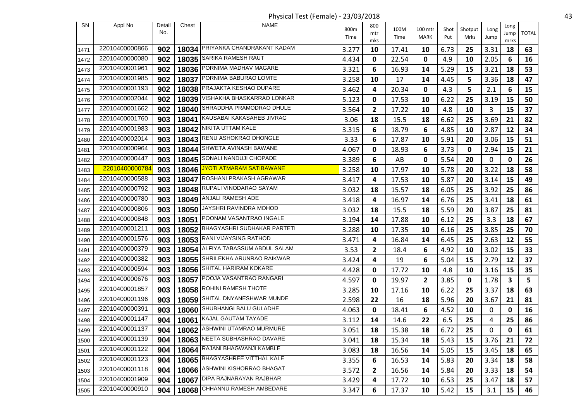Physical Test (Female) - 23/03/2018 43

| <b>SN</b> | Appl No        | Detail | Chest | <b>NAME</b>                       | 800m  | 800          | 100M  | 100 mtr        | Shot | Shotput | Long        | Long                    |              |
|-----------|----------------|--------|-------|-----------------------------------|-------|--------------|-------|----------------|------|---------|-------------|-------------------------|--------------|
|           |                | No.    |       |                                   | Time  | mtr          | Time  | <b>MARK</b>    | Put  | Mrks    | Jump        | Jump<br>mrks            | <b>TOTAL</b> |
| 1471      | 22010400000866 | 902    |       | 18034 PRIYANKA CHANDRAKANT KADAM  | 3.277 | mks<br>10    | 17.41 | 10             | 6.73 | 25      | 3.31        | 18                      | 63           |
| 1472      | 22010400000080 | 902    |       | 18035 SARIKA RAMESH RAUT          | 4.434 | 0            | 22.54 | 0              | 4.9  | 10      | 2.05        | 6                       | 16           |
| 1473      | 22010400001961 | 902    |       | 18036 PORNIMA MADHAV MAGARE       | 3.321 | 6            | 16.93 | 14             | 5.29 | 15      | 3.21        | 18                      | 53           |
| 1474      | 22010400001985 | 902    |       | 18037 PORNIMA BABURAO LOMTE       | 3.258 | 10           | 17    | 14             | 4.45 | 5       | 3.36        | 18                      | 47           |
| 1475      | 22010400001193 | 902    |       | 18038 PRAJAKTA KESHAO DUPARE      | 3.462 | 4            | 20.34 | 0              | 4.3  | 5       | 2.1         | 6                       | 15           |
| 1476      | 22010400002044 | 902    |       | 18039 VISHAKHA BHASKARRAO LONKAR  | 5.123 | 0            | 17.53 | 10             | 6.22 | 25      | 3.19        | 15                      | 50           |
| 1477      | 22010400001662 | 902    | 18040 | SHRADDHA PRAMODRAO DHULE          | 3.564 | 2            | 17.22 | 10             | 4.8  | 10      | 3           | 15                      | 37           |
| 1478      | 22010400001760 | 903    |       | 18041 KAUSABAI KAKASAHEB JIVRAG   | 3.06  | 18           | 15.5  | 18             | 6.62 | 25      | 3.69        | 21                      | 82           |
| 1479      | 22010400001983 | 903    |       | 18042 NIKITA UTTAM KALE           | 3.315 | 6            | 18.79 | 6              | 4.85 | 10      | 2.87        | 12                      | 34           |
| 1480      | 22010400002014 | 903    |       | 18043 RENU ASHOKRAO DHONGLE       | 3.33  | 6            | 17.87 | 10             | 5.91 | 20      | 3.06        | 15                      | 51           |
| 1481      | 22010400000964 | 903    |       | 18044 SHWETA AVINASH BAWANE       | 4.067 | 0            | 18.93 | 6              | 3.73 | 0       | 2.94        | 15                      | 21           |
| 1482      | 22010400000447 | 903    | 18045 | SONALI NANDUJI CHOPADE            | 3.389 | 6            | AB    | 0              | 5.54 | 20      | 0           | 0                       | 26           |
| 1483      | 22010400000784 | 903    |       | 18046 JYOTI ATMARAM SATIBAWANE    | 3.258 | 10           | 17.97 | 10             | 5.78 | 20      | 3.22        | 18                      | 58           |
| 1484      | 22010400000588 | 903    | 18047 | ROSHANI PRAKASH AGRAWAR           | 3.417 | 4            | 17.53 | 10             | 5.87 | 20      | 3.14        | 15                      | 49           |
| 1485      | 22010400000792 | 903    |       | 18048 RUPALI VINODARAO SAYAM      | 3.032 | 18           | 15.57 | 18             | 6.05 | 25      | 3.92        | 25                      | 86           |
| 1486      | 22010400000780 | 903    |       | 18049   ANJALI RAMESH ADE         | 3.418 | 4            | 16.97 | 14             | 6.76 | 25      | 3.41        | 18                      | 61           |
| 1487      | 22010400000806 | 903    |       | 18050 JAYSHRI RAVINDRA MOHOD      | 3.032 | 18           | 15.5  | 18             | 5.59 | 20      | 3.87        | 25                      | 81           |
| 1488      | 22010400000848 | 903    |       | 18051 POONAM VASANTRAO INGALE     | 3.194 | 14           | 17.88 | 10             | 6.12 | 25      | 3.3         | 18                      | 67           |
| 1489      | 22010400001211 | 903    |       | 18052 BHAGYASHRI SUDHAKAR PARTETI | 3.288 | 10           | 17.35 | 10             | 6.16 | 25      | 3.85        | 25                      | 70           |
| 1490      | 22010400001576 | 903    |       | 18053 RANI VIJAYSING RATHOD       | 3.471 | 4            | 16.84 | 14             | 6.45 | 25      | 2.63        | 12                      | 55           |
| 1491      | 22010400000379 | 903    | 18054 | ALFIYA TABASSUM ABDUL SALAM       | 3.53  | 2            | 18.4  | 6              | 4.92 | 10      | 3.02        | 15                      | 33           |
| 1492      | 22010400000382 | 903    |       | 18055 SHRILEKHA ARUNRAO RAIKWAR   | 3.424 | 4            | 19    | 6              | 5.04 | 15      | 2.79        | 12                      | 37           |
| 1493      | 22010400000594 | 903    |       | 18056 SHITAL HARIRAM KOKARE       | 4.428 | 0            | 17.72 | 10             | 4.8  | 10      | 3.16        | 15                      | 35           |
| 1494      | 22010400000676 | 903    | 18057 | POOJA VASANTRAO RANGARI           | 4.597 | 0            | 19.97 | $\overline{2}$ | 3.85 | 0       | 1.78        | $\overline{\mathbf{3}}$ | 5            |
| 1495      | 22010400001857 | 903    |       | 18058 ROHINI RAMESH THOTE         | 3.285 | 10           | 17.16 | 10             | 6.22 | 25      | 3.37        | 18                      | 63           |
| 1496      | 22010400001196 | 903    | 18059 | SHITAL DNYANESHWAR MUNDE          | 2.598 | 22           | 16    | 18             | 5.96 | 20      | 3.67        | 21                      | 81           |
| 1497      | 22010400000391 | 903    |       | 18060 SHUBHANGI BALU GULADHE      | 4.063 | 0            | 18.41 | 6              | 4.52 | 10      | 0           | 0                       | 16           |
| 1498      | 22010400001147 | 904    |       | 18061 KAJAL GAUTAM TAYADE         | 3.112 | 14           | 14.6  | 22             | 6.5  | 25      | 4           | 25                      | 86           |
| 1499      | 22010400001137 | 904    |       | 18062 ASHWINI UTAMRAO MURMURE     | 3.051 | 18           | 15.38 | 18             | 6.72 | 25      | $\mathbf 0$ | $\pmb{0}$               | 61           |
| 1500      | 22010400001139 | 904    |       | 18063 NEETA SUBHASHRAO DAVARE     | 3.041 | 18           | 15.34 | 18             | 5.43 | 15      | 3.76        | 21                      | 72           |
| 1501      | 22010400001122 | 904    |       | 18064 RAJANI BHAGWANJI KAMBLE     | 3.083 | 18           | 16.56 | 14             | 5.05 | 15      | 3.45        | 18                      | 65           |
| 1502      | 22010400001123 | 904    |       | 18065 BHAGYASHREE VITTHAL KALE    | 3.355 | 6            | 16.53 | 14             | 5.83 | 20      | 3.34        | 18                      | 58           |
| 1503      | 22010400001118 | 904    |       | 18066 ASHWINI KISHORRAO BHAGAT    | 3.572 | $\mathbf{2}$ | 16.56 | 14             | 5.84 | 20      | 3.33        | 18                      | 54           |
| 1504      | 22010400001909 | 904    |       | 18067 DIPA RAJNARAYAN RAJBHAR     | 3.429 | 4            | 17.72 | 10             | 6.53 | 25      | 3.47        | 18                      | 57           |
| 1505      | 22010400000910 | 904    |       | 18068 CHHANNU RAMESH AMBEDARE     | 3.347 | 6            | 17.37 | 10             | 5.42 | 15      | 3.1         | 15                      | 46           |